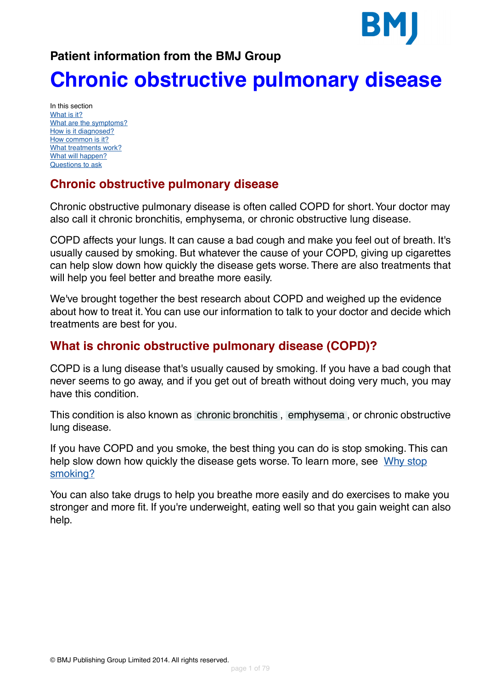### **Patient information from the BMJ Group**

# **Chronic obstructive pulmonary disease**

In this section [What is it?](#page-0-0) [What are the symptoms?](#page-6-0) [How is it diagnosed?](#page-7-0) [How common is it?](#page-9-0) [What treatments work?](#page-9-1) [What will happen?](#page-15-0) [Questions to ask](#page-15-1)

### **Chronic obstructive pulmonary disease**

Chronic obstructive pulmonary disease is often called COPD for short.Your doctor may also call it chronic bronchitis, emphysema, or chronic obstructive lung disease.

COPD affects your lungs. It can cause a bad cough and make you feel out of breath. It's usually caused by smoking. But whatever the cause of your COPD, giving up cigarettes can help slow down how quickly the disease gets worse. There are also treatments that will help you feel better and breathe more easily.

<span id="page-0-0"></span>We've brought together the best research about COPD and weighed up the evidence about how to treat it.You can use our information to talk to your doctor and decide which treatments are best for you.

### **What is chronic obstructive pulmonary disease (COPD)?**

COPD is a lung disease that's usually caused by smoking. If you have a bad cough that never seems to go away, and if you get out of breath without doing very much, you may have this condition.

This condition is also known as [chronic bronchitis](#page-69-0) , [emphysema](#page-69-1) , or chronic obstructive lung disease.

If you have COPD and you smoke, the best thing you can do is stop smoking. This can help slow down how quickly the disease gets worse. To learn more, see [Why stop](#page-63-0) [smoking?](#page-63-0)

You can also take drugs to help you breathe more easily and do exercises to make you stronger and more fit. If you're underweight, eating well so that you gain weight can also help.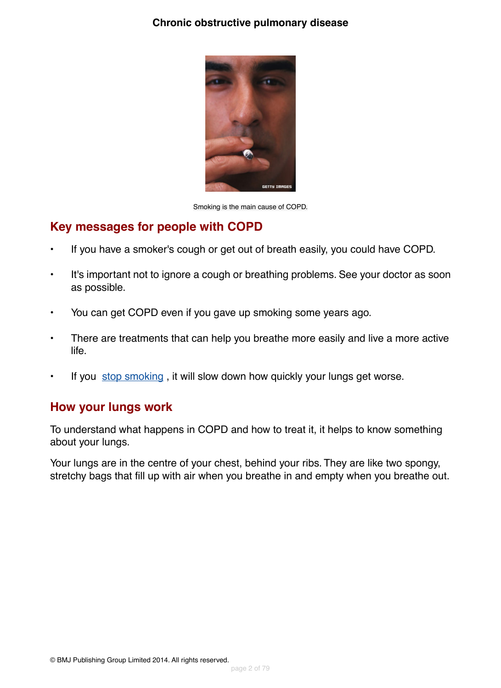#### **Chronic obstructive pulmonary disease**



Smoking is the main cause of COPD.

#### **Key messages for people with COPD**

- If you have a smoker's cough or get out of breath easily, you could have COPD.
- It's important not to ignore a cough or breathing problems. See your doctor as soon as possible.
- You can get COPD even if you gave up smoking some years ago.
- There are treatments that can help you breathe more easily and live a more active life.
- If you [stop smoking](#page-63-0), it will slow down how quickly your lungs get worse.

#### **How your lungs work**

To understand what happens in COPD and how to treat it, it helps to know something about your lungs.

Your lungs are in the centre of your chest, behind your ribs. They are like two spongy, stretchy bags that fill up with air when you breathe in and empty when you breathe out.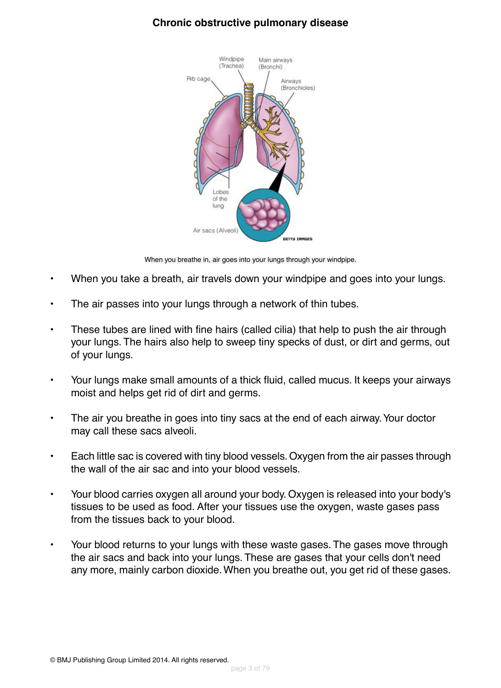#### **Chronic obstructive pulmonary disease**



When you breathe in, air goes into your lungs through your windpipe.

- When you take a breath, air travels down your windpipe and goes into your lungs.
- The air passes into your lungs through a network of thin tubes.
- These tubes are lined with fine hairs (called cilia) that help to push the air through your lungs. The hairs also help to sweep tiny specks of dust, or dirt and germs, out of your lungs.
- Your lungs make small amounts of a thick fluid, called mucus. It keeps your airways moist and helps get rid of dirt and germs.
- The air you breathe in goes into tiny sacs at the end of each airway. Your doctor may call these sacs alveoli.
- Each little sac is covered with tiny blood vessels. Oxygen from the air passes through the wall of the air sac and into your blood vessels.
- Your blood carries oxygen all around your body. Oxygen is released into your body's tissues to be used as food. After your tissues use the oxygen, waste gases pass from the tissues back to your blood.
- Your blood returns to your lungs with these waste gases. The gases move through the air sacs and back into your lungs. These are gases that your cells don't need any more, mainly carbon dioxide.When you breathe out, you get rid of these gases.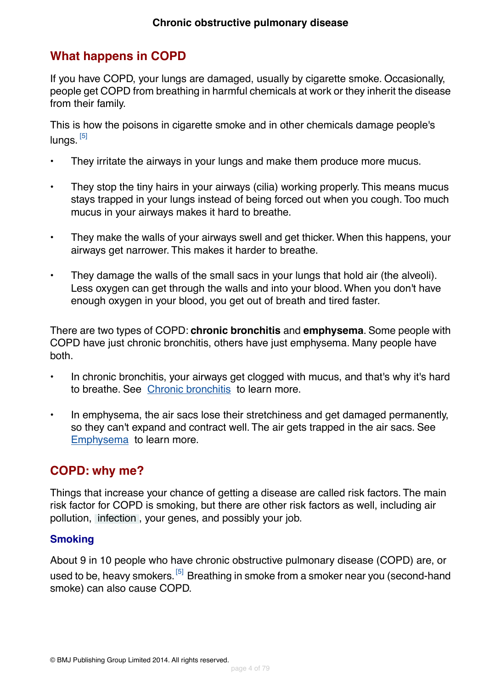### **What happens in COPD**

If you have COPD, your lungs are damaged, usually by cigarette smoke. Occasionally, people get COPD from breathing in harmful chemicals at work or they inherit the disease from their family.

This is how the poisons in cigarette smoke and in other chemicals damage people's lungs. <sup>[\[5\]](#page-72-0)</sup>

- They irritate the airways in your lungs and make them produce more mucus.
- They stop the tiny hairs in your airways (cilia) working properly. This means mucus stays trapped in your lungs instead of being forced out when you cough. Too much mucus in your airways makes it hard to breathe.
- They make the walls of your airways swell and get thicker. When this happens, your airways get narrower. This makes it harder to breathe.
- They damage the walls of the small sacs in your lungs that hold air (the alveoli). Less oxygen can get through the walls and into your blood. When you don't have enough oxygen in your blood, you get out of breath and tired faster.

There are two types of COPD: **chronic bronchitis** and **emphysema**. Some people with COPD have just chronic bronchitis, others have just emphysema. Many people have both.

- In chronic bronchitis, your airways get clogged with mucus, and that's why it's hard to breathe. See [Chronic bronchitis](#page-64-0) to learn more.
- In emphysema, the air sacs lose their stretchiness and get damaged permanently, so they can't expand and contract well. The air gets trapped in the air sacs. See [Emphysema](#page-64-1) to learn more.

#### **COPD: why me?**

Things that increase your chance of getting a disease are called risk factors. The main risk factor for COPD is smoking, but there are other risk factors as well, including air pollution, [infection](#page-69-2) , your genes, and possibly your job.

#### **Smoking**

About 9 in 10 people who have chronic obstructive pulmonary disease (COPD) are, or used to be, heavy smokers. <sup>[\[5\]](#page-72-0)</sup> Breathing in smoke from a smoker near you (second-hand smoke) can also cause COPD.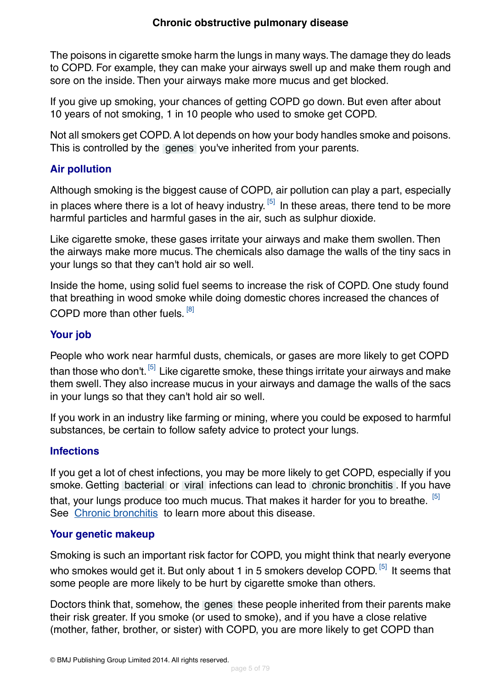The poisons in cigarette smoke harm the lungs in many ways.The damage they do leads to COPD. For example, they can make your airways swell up and make them rough and sore on the inside. Then your airways make more mucus and get blocked.

If you give up smoking, your chances of getting COPD go down. But even after about 10 years of not smoking, 1 in 10 people who used to smoke get COPD.

Not all smokers get COPD. A lot depends on how your body handles smoke and poisons. This is controlled by the [genes](#page-70-0) you've inherited from your parents.

#### **Air pollution**

Although smoking is the biggest cause of COPD, air pollution can play a part, especially in places where there is a lot of heavy industry.  $^{[5]}$  $^{[5]}$  $^{[5]}$  In these areas, there tend to be more harmful particles and harmful gases in the air, such as sulphur dioxide.

Like cigarette smoke, these gases irritate your airways and make them swollen. Then the airways make more mucus. The chemicals also damage the walls of the tiny sacs in your lungs so that they can't hold air so well.

Inside the home, using solid fuel seems to increase the risk of COPD. One study found that breathing in wood smoke while doing domestic chores increased the chances of COPD more than other fuels. <sup>[\[8\]](#page-72-1)</sup>

#### **Your job**

People who work near harmful dusts, chemicals, or gases are more likely to get COPD than those who don't.<sup>[\[5\]](#page-72-0)</sup> Like cigarette smoke, these things irritate your airways and make them swell.They also increase mucus in your airways and damage the walls of the sacs in your lungs so that they can't hold air so well.

If you work in an industry like farming or mining, where you could be exposed to harmful substances, be certain to follow safety advice to protect your lungs.

#### **Infections**

If you get a lot of chest infections, you may be more likely to get COPD, especially if you smoke. Getting [bacterial](#page-69-3) or [viral](#page-69-4) infections can lead to [chronic bronchitis](#page-69-0) . If you have that, your lungs produce too much mucus. That makes it harder for you to breathe. <sup>[\[5\]](#page-72-0)</sup> See [Chronic bronchitis](#page-64-0) to learn more about this disease.

#### **Your genetic makeup**

Smoking is such an important risk factor for COPD, you might think that nearly everyone who smokes would get it. But only about 1 in 5 smokers develop COPD. <sup>[\[5\]](#page-72-0)</sup> It seems that some people are more likely to be hurt by cigarette smoke than others.

Doctors think that, somehow, the [genes](#page-70-0) these people inherited from their parents make their risk greater. If you smoke (or used to smoke), and if you have a close relative (mother, father, brother, or sister) with COPD, you are more likely to get COPD than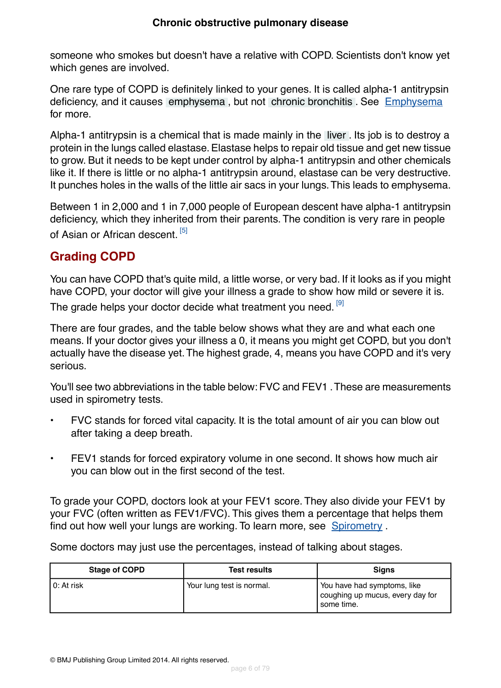someone who smokes but doesn't have a relative with COPD. Scientists don't know yet which genes are involved.

One rare type of COPD is definitely linked to your genes. It is called alpha-1 antitrypsin deficiency, and it causes [emphysema](#page-69-1) , but not [chronic bronchitis](#page-69-0) . See [Emphysema](#page-64-1) for more.

Alpha-1 antitrypsin is a chemical that is made mainly in the [liver](#page-70-1) . Its job is to destroy a protein in the lungs called elastase. Elastase helps to repair old tissue and get new tissue to grow. But it needs to be kept under control by alpha-1 antitrypsin and other chemicals like it. If there is little or no alpha-1 antitrypsin around, elastase can be very destructive. It punches holes in the walls of the little air sacs in your lungs.This leads to emphysema.

Between 1 in 2,000 and 1 in 7,000 people of European descent have alpha-1 antitrypsin deficiency, which they inherited from their parents. The condition is very rare in people of Asian or African descent. [\[5\]](#page-72-0)

### **Grading COPD**

You can have COPD that's quite mild, a little worse, or very bad. If it looks as if you might have COPD, your doctor will give your illness a grade to show how mild or severe it is.

The grade helps your doctor decide what treatment you need. [\[9\]](#page-72-2)

There are four grades, and the table below shows what they are and what each one means. If your doctor gives your illness a 0, it means you might get COPD, but you don't actually have the disease yet.The highest grade, 4, means you have COPD and it's very serious.

You'll see two abbreviations in the table below: FVC and FEV1 .These are measurements used in spirometry tests.

- FVC stands for forced vital capacity. It is the total amount of air you can blow out after taking a deep breath.
- FEV1 stands for forced expiratory volume in one second. It shows how much air you can blow out in the first second of the test.

To grade your COPD, doctors look at your FEV1 score. They also divide your FEV1 by your FVC (often written as FEV1/FVC). This gives them a percentage that helps them find out how well your lungs are working. To learn more, see [Spirometry](#page-67-0) .

Some doctors may just use the percentages, instead of talking about stages.

| <b>Stage of COPD</b> | <b>Test results</b>       | <b>Signs</b>                                                                   |
|----------------------|---------------------------|--------------------------------------------------------------------------------|
| 0: At risk           | Your lung test is normal. | You have had symptoms, like<br>coughing up mucus, every day for<br>'some time. |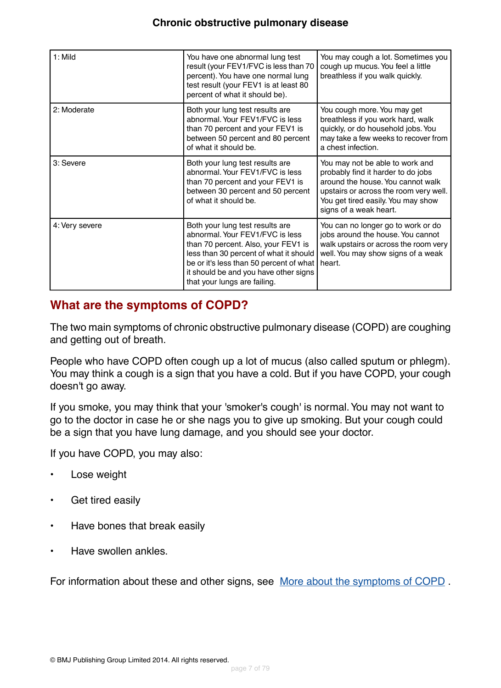| $1:$ Mild      | You have one abnormal lung test<br>result (your FEV1/FVC is less than 70<br>percent). You have one normal lung<br>test result (your FEV1 is at least 80<br>percent of what it should be).                                                                               | You may cough a lot. Sometimes you<br>cough up mucus. You feel a little<br>breathless if you walk quickly.                                                                                                           |
|----------------|-------------------------------------------------------------------------------------------------------------------------------------------------------------------------------------------------------------------------------------------------------------------------|----------------------------------------------------------------------------------------------------------------------------------------------------------------------------------------------------------------------|
| 2: Moderate    | Both your lung test results are<br>abnormal. Your FEV1/FVC is less<br>than 70 percent and your FEV1 is<br>between 50 percent and 80 percent<br>of what it should be.                                                                                                    | You cough more. You may get<br>breathless if you work hard, walk<br>quickly, or do household jobs. You<br>may take a few weeks to recover from<br>a chest infection.                                                 |
| 3: Severe      | Both your lung test results are<br>abnormal. Your FEV1/FVC is less<br>than 70 percent and your FEV1 is<br>between 30 percent and 50 percent<br>of what it should be.                                                                                                    | You may not be able to work and<br>probably find it harder to do jobs<br>around the house. You cannot walk<br>upstairs or across the room very well.<br>You get tired easily. You may show<br>signs of a weak heart. |
| 4: Very severe | Both your lung test results are<br>abnormal. Your FEV1/FVC is less<br>than 70 percent. Also, your FEV1 is<br>less than 30 percent of what it should<br>be or it's less than 50 percent of what<br>it should be and you have other signs<br>that your lungs are failing. | You can no longer go to work or do<br>jobs around the house. You cannot<br>walk upstairs or across the room very<br>well. You may show signs of a weak<br>heart.                                                     |

### <span id="page-6-0"></span>**What are the symptoms of COPD?**

The two main symptoms of chronic obstructive pulmonary disease (COPD) are coughing and getting out of breath.

People who have COPD often cough up a lot of mucus (also called sputum or phlegm). You may think a cough is a sign that you have a cold. But if you have COPD, your cough doesn't go away.

If you smoke, you may think that your 'smoker's cough' is normal.You may not want to go to the doctor in case he or she nags you to give up smoking. But your cough could be a sign that you have lung damage, and you should see your doctor.

If you have COPD, you may also:

- Lose weight
- Get tired easily
- Have bones that break easily
- Have swollen ankles.

For information about these and other signs, see [More about the symptoms of COPD](#page-65-0).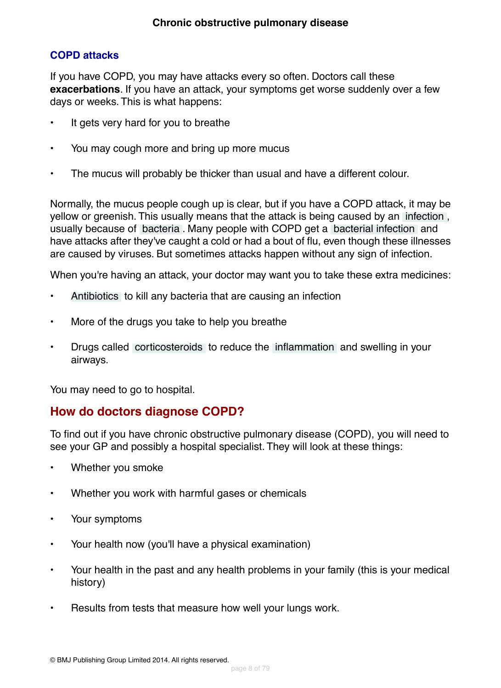#### **COPD attacks**

If you have COPD, you may have attacks every so often. Doctors call these **exacerbations**. If you have an attack, your symptoms get worse suddenly over a few days or weeks. This is what happens:

- It gets very hard for you to breathe
- You may cough more and bring up more mucus
- The mucus will probably be thicker than usual and have a different colour.

Normally, the mucus people cough up is clear, but if you have a COPD attack, it may be yellow or greenish. This usually means that the attack is being caused by an [infection](#page-69-2) , usually because of [bacteria](#page-69-3) . Many people with COPD get a [bacterial infection](#page-70-2) and have attacks after they've caught a cold or had a bout of flu, even though these illnesses are caused by viruses. But sometimes attacks happen without any sign of infection.

When you're having an attack, your doctor may want you to take these extra medicines:

- [Antibiotics](#page-70-3) to kill any bacteria that are causing an infection
- More of the drugs you take to help you breathe
- Drugs called [corticosteroids](#page-70-4) to reduce the [inflammation](#page-69-5) and swelling in your airways.

<span id="page-7-0"></span>You may need to go to hospital.

### **How do doctors diagnose COPD?**

To find out if you have chronic obstructive pulmonary disease (COPD), you will need to see your GP and possibly a hospital specialist. They will look at these things:

- Whether you smoke
- Whether you work with harmful gases or chemicals
- Your symptoms
- Your health now (you'll have a physical examination)
- Your health in the past and any health problems in your family (this is your medical history)
- Results from tests that measure how well your lungs work.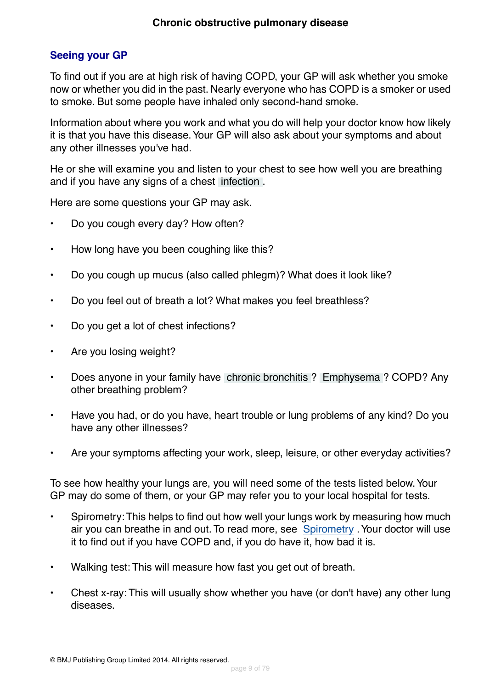#### **Seeing your GP**

To find out if you are at high risk of having COPD, your GP will ask whether you smoke now or whether you did in the past. Nearly everyone who has COPD is a smoker or used to smoke. But some people have inhaled only second-hand smoke.

Information about where you work and what you do will help your doctor know how likely it is that you have this disease. Your GP will also ask about your symptoms and about any other illnesses you've had.

He or she will examine you and listen to your chest to see how well you are breathing and if you have any signs of a chest [infection](#page-69-2) .

Here are some questions your GP may ask.

- Do you cough every day? How often?
- How long have you been coughing like this?
- Do you cough up mucus (also called phlegm)? What does it look like?
- Do you feel out of breath a lot? What makes you feel breathless?
- Do you get a lot of chest infections?
- Are you losing weight?
- Does anyone in your family have [chronic bronchitis](#page-69-0) ? [Emphysema](#page-69-1) ? COPD? Any other breathing problem?
- Have you had, or do you have, heart trouble or lung problems of any kind? Do you have any other illnesses?
- Are your symptoms affecting your work, sleep, leisure, or other everyday activities?

To see how healthy your lungs are, you will need some of the tests listed below.Your GP may do some of them, or your GP may refer you to your local hospital for tests.

- Spirometry:This helps to find out how well your lungs work by measuring how much air you can breathe in and out. To read more, see [Spirometry](#page-67-0) .Your doctor will use it to find out if you have COPD and, if you do have it, how bad it is.
- Walking test: This will measure how fast you get out of breath.
- Chest x-ray: This will usually show whether you have (or don't have) any other lung diseases.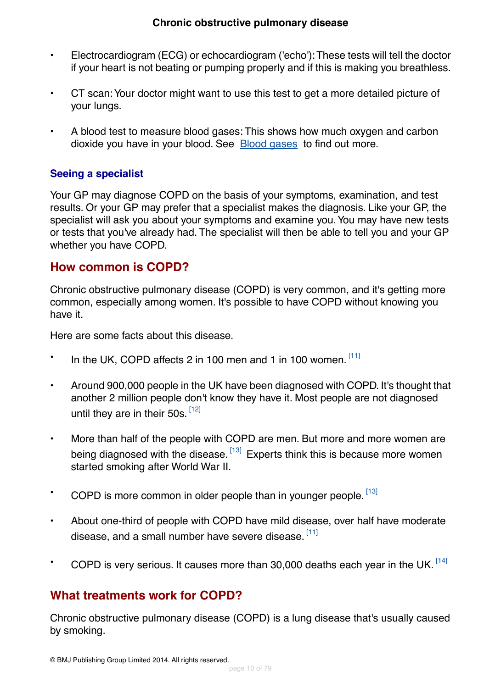- Electrocardiogram (ECG) or echocardiogram ('echo'):These tests will tell the doctor if your heart is not beating or pumping properly and if this is making you breathless.
- CT scan:Your doctor might want to use this test to get a more detailed picture of your lungs.
- A blood test to measure blood gases: This shows how much oxygen and carbon dioxide you have in your blood. See [Blood gases](#page-68-0) to find out more.

#### **Seeing a specialist**

Your GP may diagnose COPD on the basis of your symptoms, examination, and test results. Or your GP may prefer that a specialist makes the diagnosis. Like your GP, the specialist will ask you about your symptoms and examine you.You may have new tests or tests that you've already had. The specialist will then be able to tell you and your GP whether you have COPD.

#### <span id="page-9-0"></span>**How common is COPD?**

Chronic obstructive pulmonary disease (COPD) is very common, and it's getting more common, especially among women. It's possible to have COPD without knowing you have it.

Here are some facts about this disease.

- $\cdot$  In the UK, COPD affects 2 in 100 men and 1 in 100 women.  $[11]$
- Around 900,000 people in the UK have been diagnosed with COPD. It's thought that another 2 million people don't know they have it. Most people are not diagnosed until they are in their 50s. [\[12\]](#page-72-4)
- More than half of the people with COPD are men. But more and more women are being diagnosed with the disease. <sup>[\[13\]](#page-72-5)</sup> Experts think this is because more women started smoking after World War II.
- COPD is more common in older people than in younger people. [\[13\]](#page-72-5)
- <span id="page-9-1"></span>• About one-third of people with COPD have mild disease, over half have moderate disease, and a small number have severe disease.  $^{\left[ 11\right] }$
- COPD is very serious. It causes more than 30,000 deaths each year in the UK.  $[14]$

### **What treatments work for COPD?**

Chronic obstructive pulmonary disease (COPD) is a lung disease that's usually caused by smoking.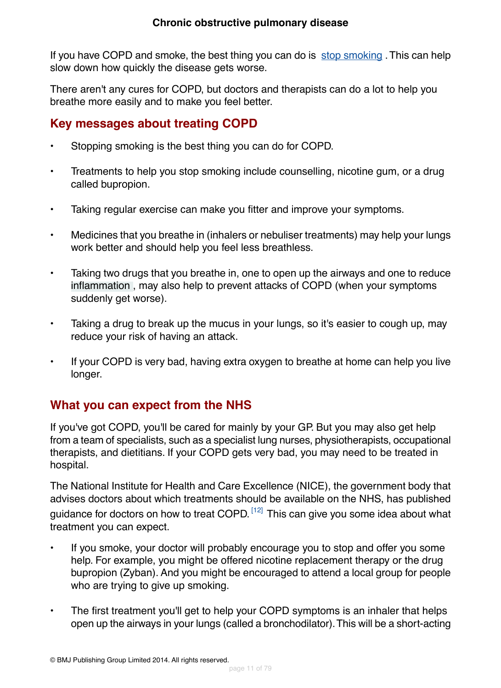If you have COPD and smoke, the best thing you can do is [stop smoking](http://besthealth.bmj.com). This can help slow down how quickly the disease gets worse.

There aren't any cures for COPD, but doctors and therapists can do a lot to help you breathe more easily and to make you feel better.

### **Key messages about treating COPD**

- Stopping smoking is the best thing you can do for COPD.
- Treatments to help you stop smoking include counselling, nicotine gum, or a drug called bupropion.
- Taking regular exercise can make you fitter and improve your symptoms.
- Medicines that you breathe in (inhalers or nebuliser treatments) may help your lungs work better and should help you feel less breathless.
- Taking two drugs that you breathe in, one to open up the airways and one to reduce [inflammation](#page-69-5) , may also help to prevent attacks of COPD (when your symptoms suddenly get worse).
- Taking a drug to break up the mucus in your lungs, so it's easier to cough up, may reduce your risk of having an attack.
- <span id="page-10-0"></span>• If your COPD is very bad, having extra oxygen to breathe at home can help you live longer.

### **What you can expect from the NHS**

If you've got COPD, you'll be cared for mainly by your GP. But you may also get help from a team of specialists, such as a specialist lung nurses, physiotherapists, occupational therapists, and dietitians. If your COPD gets very bad, you may need to be treated in hospital.

The National Institute for Health and Care Excellence (NICE), the government body that advises doctors about which treatments should be available on the NHS, has published guidance for doctors on how to treat COPD. <sup>[\[12\]](#page-72-4)</sup> This can give you some idea about what treatment you can expect.

- If you smoke, your doctor will probably encourage you to stop and offer you some help. For example, you might be offered nicotine replacement therapy or the drug bupropion (Zyban). And you might be encouraged to attend a local group for people who are trying to give up smoking.
- The first treatment you'll get to help your COPD symptoms is an inhaler that helps open up the airways in your lungs (called a bronchodilator).This will be a short-acting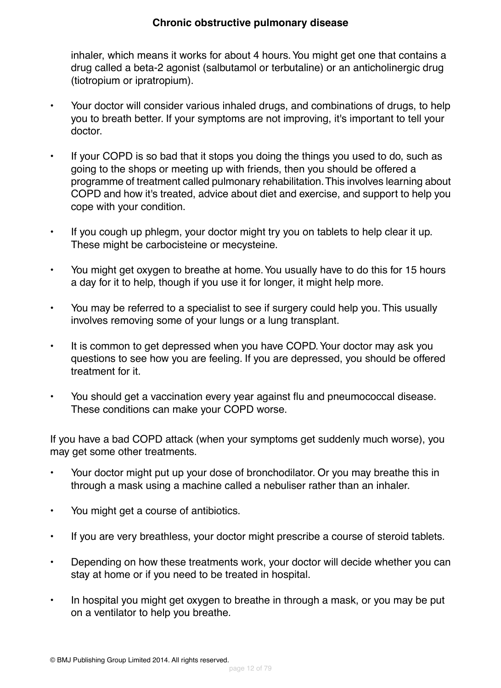#### **Chronic obstructive pulmonary disease**

inhaler, which means it works for about 4 hours.You might get one that contains a drug called a beta-2 agonist (salbutamol or terbutaline) or an anticholinergic drug (tiotropium or ipratropium).

- Your doctor will consider various inhaled drugs, and combinations of drugs, to help you to breath better. If your symptoms are not improving, it's important to tell your doctor.
- If your COPD is so bad that it stops you doing the things you used to do, such as going to the shops or meeting up with friends, then you should be offered a programme of treatment called pulmonary rehabilitation.This involves learning about COPD and how it's treated, advice about diet and exercise, and support to help you cope with your condition.
- If you cough up phlegm, your doctor might try you on tablets to help clear it up. These might be carbocisteine or mecysteine.
- You might get oxygen to breathe at home.You usually have to do this for 15 hours a day for it to help, though if you use it for longer, it might help more.
- You may be referred to a specialist to see if surgery could help you. This usually involves removing some of your lungs or a lung transplant.
- It is common to get depressed when you have COPD. Your doctor may ask you questions to see how you are feeling. If you are depressed, you should be offered treatment for it.
- You should get a vaccination every year against flu and pneumococcal disease. These conditions can make your COPD worse.

If you have a bad COPD attack (when your symptoms get suddenly much worse), you may get some other treatments.

- Your doctor might put up your dose of bronchodilator. Or you may breathe this in through a mask using a machine called a nebuliser rather than an inhaler.
- You might get a course of antibiotics.
- If you are very breathless, your doctor might prescribe a course of steroid tablets.
- Depending on how these treatments work, your doctor will decide whether you can stay at home or if you need to be treated in hospital.
- In hospital you might get oxygen to breathe in through a mask, or you may be put on a ventilator to help you breathe.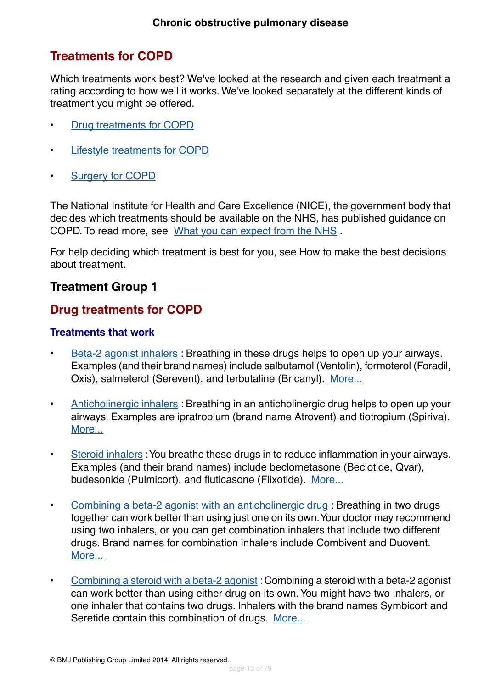### **Treatments for COPD**

Which treatments work best? We've looked at the research and given each treatment a rating according to how well it works. We've looked separately at the different kinds of treatment you might be offered.

- [Drug treatments for COPD](#page-12-0)
- [Lifestyle treatments for COPD](#page-14-0)
- [Surgery for COPD](#page-14-1)

The National Institute for Health and Care Excellence (NICE), the government body that decides which treatments should be available on the NHS, has published guidance on COPD. To read more, see [What you can expect from the NHS](#page-10-0) .

For help deciding which treatment is best for you, see How to make the best decisions about treatment.

#### <span id="page-12-0"></span>**Treatment Group 1**

### **Drug treatments for COPD**

#### **Treatments that work**

- [Beta-2 agonist inhalers](#page-16-0) : Breathing in these drugs helps to open up your airways. Examples (and their brand names) include salbutamol (Ventolin), formoterol (Foradil, Oxis), salmeterol (Serevent), and terbutaline (Bricanyl). [More...](#page-16-0)
- [Anticholinergic inhalers](#page-19-0): Breathing in an anticholinergic drug helps to open up your airways. Examples are ipratropium (brand name Atrovent) and tiotropium (Spiriva). [More...](#page-19-0)
- [Steroid inhalers](#page-23-0) :You breathe these drugs in to reduce inflammation in your airways. Examples (and their brand names) include beclometasone (Beclotide, Qvar), budesonide (Pulmicort), and fluticasone (Flixotide). [More...](#page-23-0)
- [Combining a beta-2 agonist with an anticholinergic drug](#page-26-0) : Breathing in two drugs together can work better than using just one on its own.Your doctor may recommend using two inhalers, or you can get combination inhalers that include two different drugs. Brand names for combination inhalers include Combivent and Duovent. [More...](#page-26-0)
- [Combining a steroid with a beta-2 agonist](#page-31-0) : Combining a steroid with a beta-2 agonist can work better than using either drug on its own.You might have two inhalers, or one inhaler that contains two drugs. Inhalers with the brand names Symbicort and Seretide contain this combination of drugs. [More...](#page-31-0)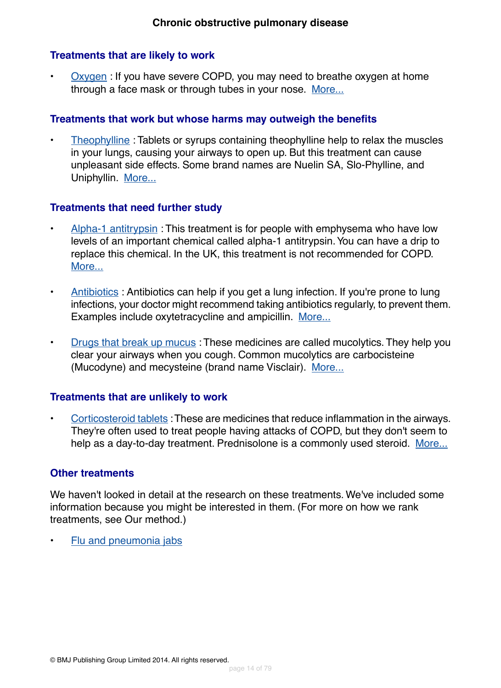#### **Treatments that are likely to work**

• [Oxygen](#page-34-0) : If you have severe COPD, you may need to breathe oxygen at home through a face mask or through tubes in your nose. [More...](#page-34-0)

#### **Treatments that work but whose harms may outweigh the benefits**

• [Theophylline](#page-37-0) : Tablets or syrups containing theophylline help to relax the muscles in your lungs, causing your airways to open up. But this treatment can cause unpleasant side effects. Some brand names are Nuelin SA, Slo-Phylline, and Uniphyllin. [More...](#page-37-0)

#### **Treatments that need further study**

- [Alpha-1 antitrypsin](#page-39-0): This treatment is for people with emphysema who have low levels of an important chemical called alpha-1 antitrypsin.You can have a drip to replace this chemical. In the UK, this treatment is not recommended for COPD. [More...](#page-39-0)
- [Antibiotics](#page-40-0) : Antibiotics can help if you get a lung infection. If you're prone to lung infections, your doctor might recommend taking antibiotics regularly, to prevent them. Examples include oxytetracycline and ampicillin. [More...](#page-40-0)
- [Drugs that break up mucus](#page-42-0) : These medicines are called mucolytics. They help you clear your airways when you cough. Common mucolytics are carbocisteine (Mucodyne) and mecysteine (brand name Visclair). [More...](#page-42-0)

#### **Treatments that are unlikely to work**

• [Corticosteroid tablets](#page-44-0) :These are medicines that reduce inflammation in the airways. They're often used to treat people having attacks of COPD, but they don't seem to help as a day-to-day treatment. Prednisolone is a commonly used steroid. [More...](#page-44-0)

#### **Other treatments**

We haven't looked in detail at the research on these treatments. We've included some information because you might be interested in them. (For more on how we rank treatments, see Our method.)

• [Flu and pneumonia jabs](#page-46-0)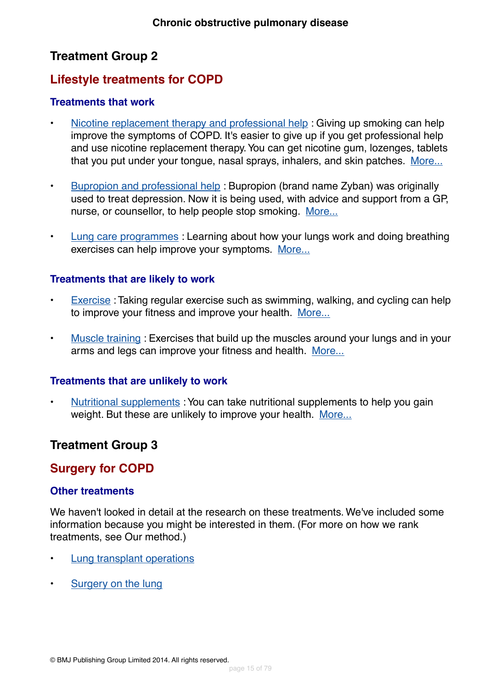## **Treatment Group 2**

### <span id="page-14-0"></span>**Lifestyle treatments for COPD**

#### **Treatments that work**

- [Nicotine replacement therapy and professional help](#page-48-0) : Giving up smoking can help improve the symptoms of COPD. It's easier to give up if you get professional help and use nicotine replacement therapy.You can get nicotine gum, lozenges, tablets that you put under your tongue, nasal sprays, inhalers, and skin patches. [More...](#page-48-0)
- [Bupropion and professional help](#page-52-0) : Bupropion (brand name Zyban) was originally used to treat depression. Now it is being used, with advice and support from a GP, nurse, or counsellor, to help people stop smoking. [More...](#page-52-0)
- [Lung care programmes](#page-54-0) : Learning about how your lungs work and doing breathing exercises can help improve your symptoms. [More...](#page-54-0)

#### **Treatments that are likely to work**

- [Exercise](#page-56-0): Taking regular exercise such as swimming, walking, and cycling can help to improve your fitness and improve your health. [More...](#page-56-0)
- [Muscle training](#page-57-0) : Exercises that build up the muscles around your lungs and in your arms and legs can improve your fitness and health. [More...](#page-57-0)

#### **Treatments that are unlikely to work**

<span id="page-14-1"></span>[Nutritional supplements](#page-59-0) : You can take nutritional supplements to help you gain weight. But these are unlikely to improve your health. [More...](#page-59-0)

### **Treatment Group 3**

#### **Surgery for COPD**

#### **Other treatments**

We haven't looked in detail at the research on these treatments. We've included some information because you might be interested in them. (For more on how we rank treatments, see Our method.)

- [Lung transplant operations](#page-60-0)
- [Surgery on the lung](#page-61-0)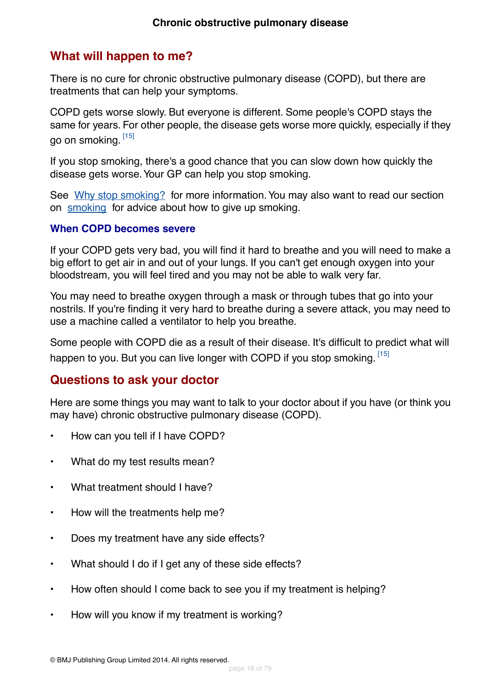### <span id="page-15-0"></span>**What will happen to me?**

There is no cure for chronic obstructive pulmonary disease (COPD), but there are treatments that can help your symptoms.

COPD gets worse slowly. But everyone is different. Some people's COPD stays the same for years. For other people, the disease gets worse more quickly, especially if they go on smoking. [\[15\]](#page-72-7)

If you stop smoking, there's a good chance that you can slow down how quickly the disease gets worse.Your GP can help you stop smoking.

See [Why stop smoking?](#page-63-0) for more information. You may also want to read our section on [smoking](http://besthealth.bmj.com) for advice about how to give up smoking.

#### **When COPD becomes severe**

If your COPD gets very bad, you will find it hard to breathe and you will need to make a big effort to get air in and out of your lungs. If you can't get enough oxygen into your bloodstream, you will feel tired and you may not be able to walk very far.

You may need to breathe oxygen through a mask or through tubes that go into your nostrils. If you're finding it very hard to breathe during a severe attack, you may need to use a machine called a ventilator to help you breathe.

<span id="page-15-1"></span>Some people with COPD die as a result of their disease. It's difficult to predict what will happen to you. But you can live longer with COPD if you stop smoking. [\[15\]](#page-72-7)

### **Questions to ask your doctor**

Here are some things you may want to talk to your doctor about if you have (or think you may have) chronic obstructive pulmonary disease (COPD).

- How can you tell if I have COPD?
- What do my test results mean?
- What treatment should I have?
- How will the treatments help me?
- Does my treatment have any side effects?
- What should I do if I get any of these side effects?
- How often should I come back to see you if my treatment is helping?
- How will you know if my treatment is working?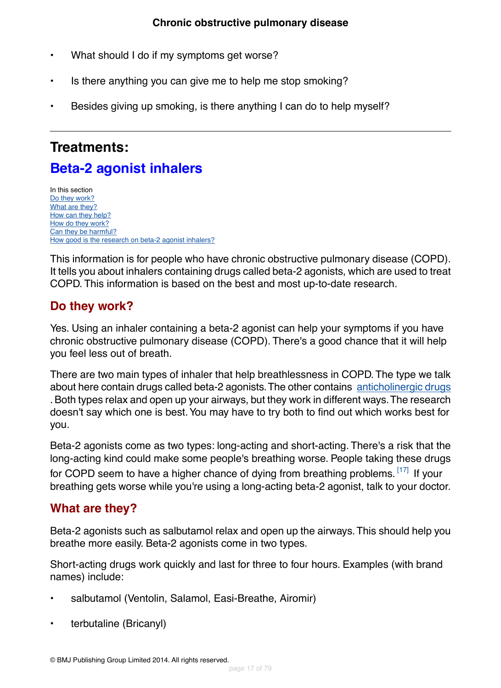- What should I do if my symptoms get worse?
- Is there anything you can give me to help me stop smoking?
- Besides giving up smoking, is there anything I can do to help myself?

# <span id="page-16-0"></span>**Treatments:**

# **Beta-2 agonist inhalers**

In this section [Do they work?](#page-16-1) [What are they?](#page-16-2) [How can they help?](#page-18-0) [How do they work?](#page-18-1) [Can they be harmful?](#page-18-2) [How good is the research on beta-2 agonist inhalers?](#page-19-1)

<span id="page-16-1"></span>This information is for people who have chronic obstructive pulmonary disease (COPD). It tells you about inhalers containing drugs called beta-2 agonists, which are used to treat COPD. This information is based on the best and most up-to-date research.

### **Do they work?**

Yes. Using an inhaler containing a beta-2 agonist can help your symptoms if you have chronic obstructive pulmonary disease (COPD). There's a good chance that it will help you feel less out of breath.

There are two main types of inhaler that help breathlessness in COPD.The type we talk about here contain drugs called beta-2 agonists. The other contains [anticholinergic drugs](#page-19-0) . Both types relax and open up your airways, but they work in different ways.The research doesn't say which one is best.You may have to try both to find out which works best for you.

<span id="page-16-2"></span>Beta-2 agonists come as two types: long-acting and short-acting. There's a risk that the long-acting kind could make some people's breathing worse. People taking these drugs for COPD seem to have a higher chance of dying from breathing problems.  $^{[17]}$  $^{[17]}$  $^{[17]}$  If your breathing gets worse while you're using a long-acting beta-2 agonist, talk to your doctor.

### **What are they?**

Beta-2 agonists such as salbutamol relax and open up the airways.This should help you breathe more easily. Beta-2 agonists come in two types.

Short-acting drugs work quickly and last for three to four hours. Examples (with brand names) include:

- salbutamol (Ventolin, Salamol, Easi-Breathe, Airomir)
- terbutaline (Bricanyl)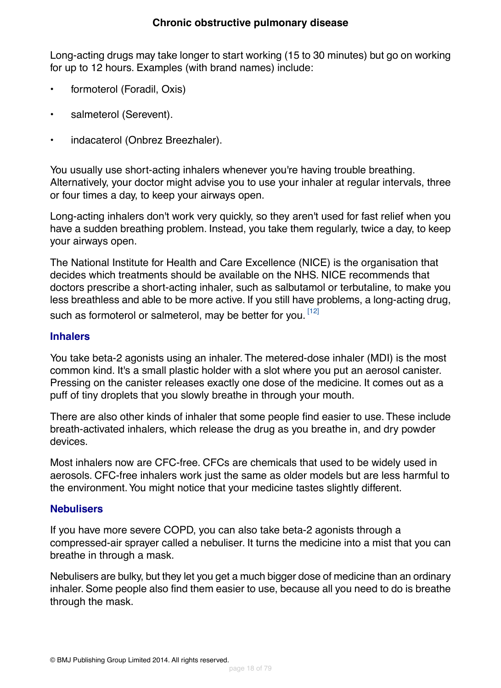Long-acting drugs may take longer to start working (15 to 30 minutes) but go on working for up to 12 hours. Examples (with brand names) include:

- formoterol (Foradil, Oxis)
- salmeterol (Serevent).
- indacaterol (Onbrez Breezhaler).

You usually use short-acting inhalers whenever you're having trouble breathing. Alternatively, your doctor might advise you to use your inhaler at regular intervals, three or four times a day, to keep your airways open.

Long-acting inhalers don't work very quickly, so they aren't used for fast relief when you have a sudden breathing problem. Instead, you take them regularly, twice a day, to keep your airways open.

The National Institute for Health and Care Excellence (NICE) is the organisation that decides which treatments should be available on the NHS. NICE recommends that doctors prescribe a short-acting inhaler, such as salbutamol or terbutaline, to make you less breathless and able to be more active. If you still have problems, a long-acting drug, such as formoterol or salmeterol, may be better for you. [\[12\]](#page-72-4)

#### **Inhalers**

You take beta-2 agonists using an inhaler. The metered-dose inhaler (MDI) is the most common kind. It's a small plastic holder with a slot where you put an aerosol canister. Pressing on the canister releases exactly one dose of the medicine. It comes out as a puff of tiny droplets that you slowly breathe in through your mouth.

There are also other kinds of inhaler that some people find easier to use. These include breath-activated inhalers, which release the drug as you breathe in, and dry powder devices.

Most inhalers now are CFC-free. CFCs are chemicals that used to be widely used in aerosols. CFC-free inhalers work just the same as older models but are less harmful to the environment.You might notice that your medicine tastes slightly different.

#### **Nebulisers**

If you have more severe COPD, you can also take beta-2 agonists through a compressed-air sprayer called a nebuliser. It turns the medicine into a mist that you can breathe in through a mask.

Nebulisers are bulky, but they let you get a much bigger dose of medicine than an ordinary inhaler. Some people also find them easier to use, because all you need to do is breathe through the mask.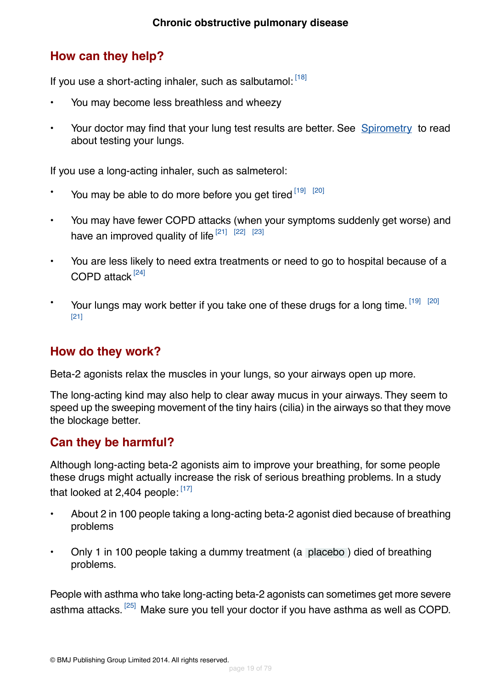### <span id="page-18-0"></span>**How can they help?**

If you use a short-acting inhaler, such as salbutamol: [\[18\]](#page-73-0)

- You may become less breathless and wheezy
- Your doctor may find that your lung test results are better. See [Spirometry](#page-67-0) to read about testing your lungs.

If you use a long-acting inhaler, such as salmeterol:

- You may be able to do more before you get tired  $[19]$   $[20]$
- You may have fewer COPD attacks (when your symptoms suddenly get worse) and have an improved quality of life  $[21]$   $[22]$   $[23]$
- You are less likely to need extra treatments or need to go to hospital because of a COPD attack<sup>[\[24\]](#page-73-6)</sup>
- <span id="page-18-1"></span> $\cdot$  Your lungs may work better if you take one of these drugs for a long time.  $^{[19]}$  $^{[19]}$  $^{[19]}$   $^{[20]}$  $^{[20]}$  $^{[20]}$ [\[21\]](#page-73-3)

### **How do they work?**

Beta-2 agonists relax the muscles in your lungs, so your airways open up more.

<span id="page-18-2"></span>The long-acting kind may also help to clear away mucus in your airways. They seem to speed up the sweeping movement of the tiny hairs (cilia) in the airways so that they move the blockage better.

### **Can they be harmful?**

Although long-acting beta-2 agonists aim to improve your breathing, for some people these drugs might actually increase the risk of serious breathing problems. In a study that looked at 2,404 people:  $[17]$ 

- About 2 in 100 people taking a long-acting beta-2 agonist died because of breathing problems
- Only 1 in 100 people taking a dummy treatment (a [placebo](#page-70-5) ) died of breathing problems.

People with asthma who take long-acting beta-2 agonists can sometimes get more severe asthma attacks. <sup>[\[25\]](#page-73-7)</sup> Make sure you tell your doctor if you have asthma as well as COPD.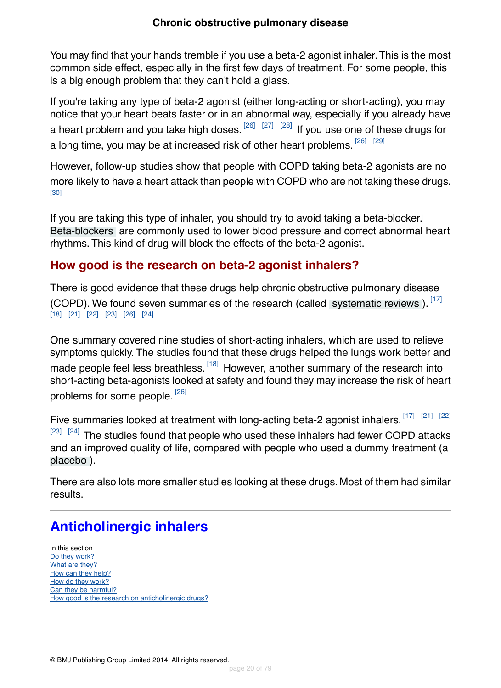You may find that your hands tremble if you use a beta-2 agonist inhaler.This is the most common side effect, especially in the first few days of treatment. For some people, this is a big enough problem that they can't hold a glass.

If you're taking any type of beta-2 agonist (either long-acting or short-acting), you may notice that your heart beats faster or in an abnormal way, especially if you already have a heart problem and you take high doses.  $^{[26]}$  $^{[26]}$  $^{[26]}$   $^{[27]}$  $^{[27]}$  $^{[27]}$   $^{[28]}$  $^{[28]}$  $^{[28]}$  If you use one of these drugs for a long time, you may be at increased risk of other heart problems.  $^{[26]}$  $^{[26]}$  $^{[26]}$   $^{[29]}$  $^{[29]}$  $^{[29]}$ 

However, follow-up studies show that people with COPD taking beta-2 agonists are no more likely to have a heart attack than people with COPD who are not taking these drugs. [\[30\]](#page-73-12)

<span id="page-19-1"></span>If you are taking this type of inhaler, you should try to avoid taking a beta-blocker. [Beta-blockers](#page-70-6) are commonly used to lower blood pressure and correct abnormal heart rhythms. This kind of drug will block the effects of the beta-2 agonist.

### **How good is the research on beta-2 agonist inhalers?**

There is good evidence that these drugs help chronic obstructive pulmonary disease (COPD). We found seven summaries of the research (called [systematic reviews](#page-70-7)).  $[17]$ [\[18\]](#page-73-0) [\[21\]](#page-73-3) [\[22\]](#page-73-4) [\[23\]](#page-73-5) [\[26\]](#page-73-8) [\[24\]](#page-73-6)

One summary covered nine studies of short-acting inhalers, which are used to relieve symptoms quickly. The studies found that these drugs helped the lungs work better and made people feel less breathless. <sup>[\[18\]](#page-73-0)</sup> However, another summary of the research into short-acting beta-agonists looked at safety and found they may increase the risk of heart problems for some people. <sup>[\[26\]](#page-73-8)</sup>

Five summaries looked at treatment with long-acting beta-2 agonist inhalers. [\[17\]](#page-72-8) [\[21\]](#page-73-3) [\[22\]](#page-73-4)  $[23]$   $[24]$  The studies found that people who used these inhalers had fewer COPD attacks and an improved quality of life, compared with people who used a dummy treatment (a [placebo](#page-70-5) ).

<span id="page-19-0"></span>There are also lots more smaller studies looking at these drugs. Most of them had similar results.

# **Anticholinergic inhalers**

In this section [Do they work?](#page-20-0) [What are they?](#page-20-1) [How can they help?](#page-21-0) [How do they work?](#page-21-1) [Can they be harmful?](#page-22-0) [How good is the research on anticholinergic drugs?](#page-22-1)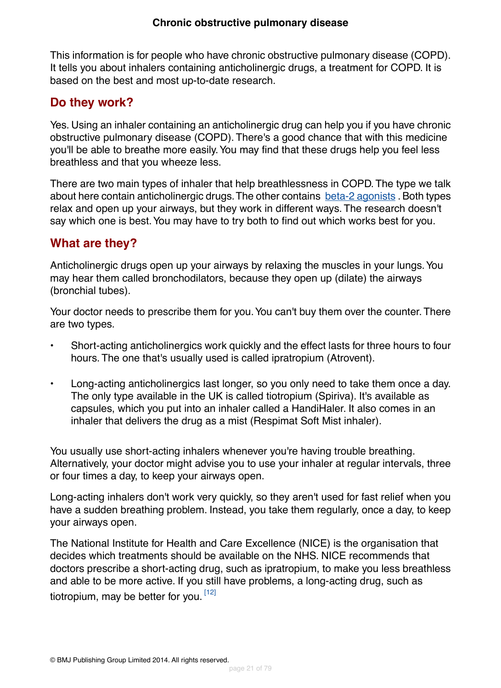This information is for people who have chronic obstructive pulmonary disease (COPD). It tells you about inhalers containing anticholinergic drugs, a treatment for COPD. It is based on the best and most up-to-date research.

### <span id="page-20-0"></span>**Do they work?**

Yes. Using an inhaler containing an anticholinergic drug can help you if you have chronic obstructive pulmonary disease (COPD). There's a good chance that with this medicine you'll be able to breathe more easily.You may find that these drugs help you feel less breathless and that you wheeze less.

There are two main types of inhaler that help breathlessness in COPD.The type we talk about here contain anticholinergic drugs. The other contains [beta-2 agonists](#page-16-0) . Both types relax and open up your airways, but they work in different ways. The research doesn't say which one is best.You may have to try both to find out which works best for you.

### <span id="page-20-1"></span>**What are they?**

Anticholinergic drugs open up your airways by relaxing the muscles in your lungs. You may hear them called bronchodilators, because they open up (dilate) the airways (bronchial tubes).

Your doctor needs to prescribe them for you. You can't buy them over the counter. There are two types.

- Short-acting anticholinergics work quickly and the effect lasts for three hours to four hours. The one that's usually used is called ipratropium (Atrovent).
- Long-acting anticholinergics last longer, so you only need to take them once a day. The only type available in the UK is called tiotropium (Spiriva). It's available as capsules, which you put into an inhaler called a HandiHaler. It also comes in an inhaler that delivers the drug as a mist (Respimat Soft Mist inhaler).

You usually use short-acting inhalers whenever you're having trouble breathing. Alternatively, your doctor might advise you to use your inhaler at regular intervals, three or four times a day, to keep your airways open.

Long-acting inhalers don't work very quickly, so they aren't used for fast relief when you have a sudden breathing problem. Instead, you take them regularly, once a day, to keep your airways open.

The National Institute for Health and Care Excellence (NICE) is the organisation that decides which treatments should be available on the NHS. NICE recommends that doctors prescribe a short-acting drug, such as ipratropium, to make you less breathless and able to be more active. If you still have problems, a long-acting drug, such as tiotropium, may be better for you.<sup>[\[12\]](#page-72-4)</sup>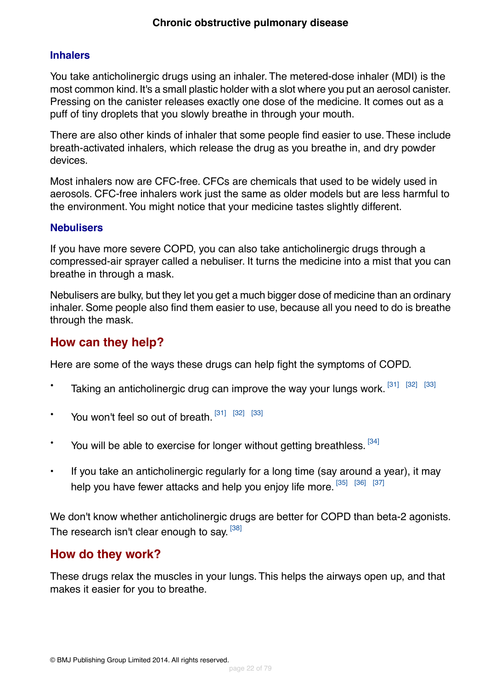#### **Inhalers**

You take anticholinergic drugs using an inhaler. The metered-dose inhaler (MDI) is the most common kind. It's a small plastic holder with a slot where you put an aerosol canister. Pressing on the canister releases exactly one dose of the medicine. It comes out as a puff of tiny droplets that you slowly breathe in through your mouth.

There are also other kinds of inhaler that some people find easier to use. These include breath-activated inhalers, which release the drug as you breathe in, and dry powder devices.

Most inhalers now are CFC-free. CFCs are chemicals that used to be widely used in aerosols. CFC-free inhalers work just the same as older models but are less harmful to the environment.You might notice that your medicine tastes slightly different.

#### **Nebulisers**

If you have more severe COPD, you can also take anticholinergic drugs through a compressed-air sprayer called a nebuliser. It turns the medicine into a mist that you can breathe in through a mask.

<span id="page-21-0"></span>Nebulisers are bulky, but they let you get a much bigger dose of medicine than an ordinary inhaler. Some people also find them easier to use, because all you need to do is breathe through the mask.

### **How can they help?**

Here are some of the ways these drugs can help fight the symptoms of COPD.

- Taking an anticholinergic drug can improve the way your lungs work.  $^{[31]}$  $^{[31]}$  $^{[31]}$   $^{[32]}$  $^{[32]}$  $^{[32]}$   $^{[33]}$  $^{[33]}$  $^{[33]}$
- You won't feel so out of breath.  $[31]$   $[32]$   $[33]$
- \* You will be able to exercise for longer without getting breathless. [\[34\]](#page-73-16)
- If you take an anticholinergic regularly for a long time (say around a year), it may help you have fewer attacks and help you enjoy life more.  $^{[35]}$  $^{[35]}$  $^{[35]}$   $^{[36]}$  $^{[36]}$  $^{[36]}$   $^{[37]}$  $^{[37]}$  $^{[37]}$

<span id="page-21-1"></span>We don't know whether anticholinergic drugs are better for COPD than beta-2 agonists. The research isn't clear enough to say. <sup>[\[38\]](#page-74-0)</sup>

#### **How do they work?**

These drugs relax the muscles in your lungs. This helps the airways open up, and that makes it easier for you to breathe.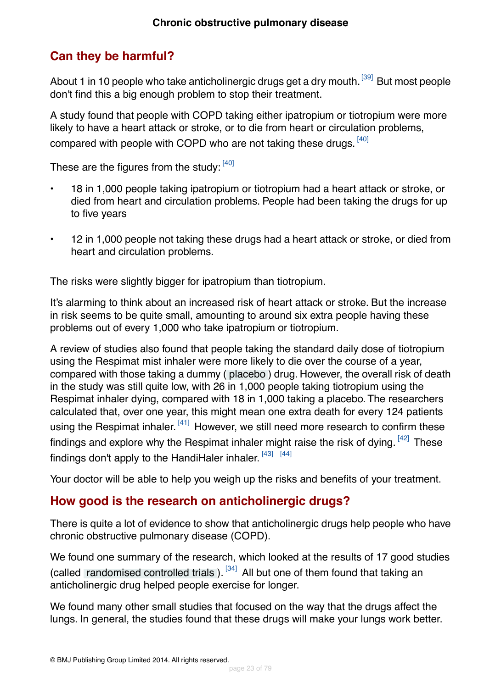## <span id="page-22-0"></span>**Can they be harmful?**

About 1 in 10 people who take anticholinergic drugs get a dry mouth.<sup>[\[39\]](#page-74-1)</sup> But most people don't find this a big enough problem to stop their treatment.

A study found that people with COPD taking either ipatropium or tiotropium were more likely to have a heart attack or stroke, or to die from heart or circulation problems, compared with people with COPD who are not taking these drugs.  $^{[40]}$  $^{[40]}$  $^{[40]}$ 

These are the figures from the study: [\[40\]](#page-74-2)

- 18 in 1,000 people taking ipatropium or tiotropium had a heart attack or stroke, or died from heart and circulation problems. People had been taking the drugs for up to five years
- 12 in 1,000 people not taking these drugs had a heart attack or stroke, or died from heart and circulation problems.

The risks were slightly bigger for ipatropium than tiotropium.

It's alarming to think about an increased risk of heart attack or stroke. But the increase in risk seems to be quite small, amounting to around six extra people having these problems out of every 1,000 who take ipatropium or tiotropium.

A review of studies also found that people taking the standard daily dose of tiotropium using the Respimat mist inhaler were more likely to die over the course of a year, compared with those taking a dummy ( [placebo](#page-70-5) ) drug. However, the overall risk of death in the study was still quite low, with 26 in 1,000 people taking tiotropium using the Respimat inhaler dying, compared with 18 in 1,000 taking a placebo. The researchers calculated that, over one year, this might mean one extra death for every 124 patients using the Respimat inhaler. <sup>[\[41\]](#page-74-3)</sup> However, we still need more research to confirm these findings and explore why the Respimat inhaler might raise the risk of dying.  $^{[42]}$  $^{[42]}$  $^{[42]}$  These findings don't apply to the HandiHaler inhaler.  $^{[43]}$  $^{[43]}$  $^{[43]}$   $^{[44]}$  $^{[44]}$  $^{[44]}$ 

<span id="page-22-1"></span>Your doctor will be able to help you weigh up the risks and benefits of your treatment.

### **How good is the research on anticholinergic drugs?**

There is quite a lot of evidence to show that anticholinergic drugs help people who have chronic obstructive pulmonary disease (COPD).

We found one summary of the research, which looked at the results of 17 good studies (called [randomised controlled trials](#page-70-8)).  $[34]$  All but one of them found that taking an anticholinergic drug helped people exercise for longer.

We found many other small studies that focused on the way that the drugs affect the lungs. In general, the studies found that these drugs will make your lungs work better.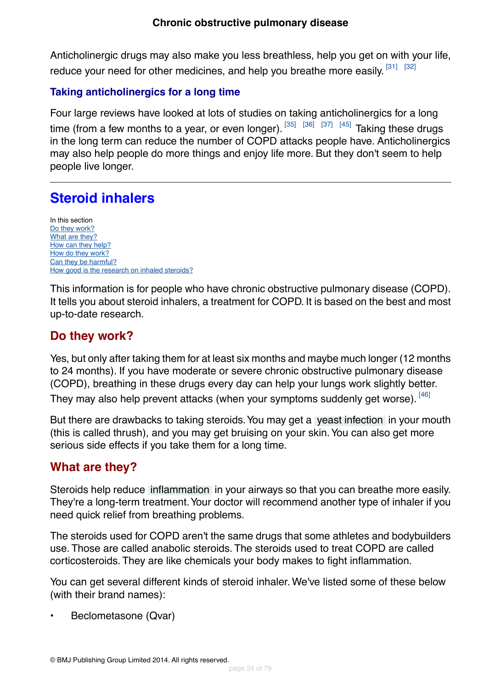Anticholinergic drugs may also make you less breathless, help you get on with your life, reduce your need for other medicines, and help you breathe more easily. [\[31\]](#page-73-13) [\[32\]](#page-73-14)

#### **Taking anticholinergics for a long time**

Four large reviews have looked at lots of studies on taking anticholinergics for a long time (from a few months to a year, or even longer).  $\frac{35}{36}$   $\frac{36}{37}$   $\frac{[37]}{37}$  $\frac{[37]}{37}$  $\frac{[37]}{37}$  Taking these drugs in the long term can reduce the number of COPD attacks people have. Anticholinergics may also help people do more things and enjoy life more. But they don't seem to help people live longer.

# <span id="page-23-0"></span>**Steroid inhalers**

In this section [Do they work?](#page-23-1) [What are they?](#page-23-2) [How can they help?](#page-24-0) [How do they work?](#page-25-0) [Can they be harmful?](#page-25-1) [How good is the research on inhaled steroids?](#page-26-1)

<span id="page-23-1"></span>This information is for people who have chronic obstructive pulmonary disease (COPD). It tells you about steroid inhalers, a treatment for COPD. It is based on the best and most up-to-date research.

### **Do they work?**

Yes, but only after taking them for at least six months and maybe much longer (12 months to 24 months). If you have moderate or severe chronic obstructive pulmonary disease (COPD), breathing in these drugs every day can help your lungs work slightly better.

They may also help prevent attacks (when your symptoms suddenly get worse). [\[46\]](#page-74-8)

<span id="page-23-2"></span>But there are drawbacks to taking steroids. You may get a [yeast infection](#page-70-9) in your mouth (this is called thrush), and you may get bruising on your skin.You can also get more serious side effects if you take them for a long time.

### **What are they?**

Steroids help reduce [inflammation](#page-69-5) in your airways so that you can breathe more easily. They're a long-term treatment.Your doctor will recommend another type of inhaler if you need quick relief from breathing problems.

The steroids used for COPD aren't the same drugs that some athletes and bodybuilders use. Those are called anabolic steroids. The steroids used to treat COPD are called corticosteroids. They are like chemicals your body makes to fight inflammation.

You can get several different kinds of steroid inhaler. We've listed some of these below (with their brand names):

• Beclometasone (Qvar)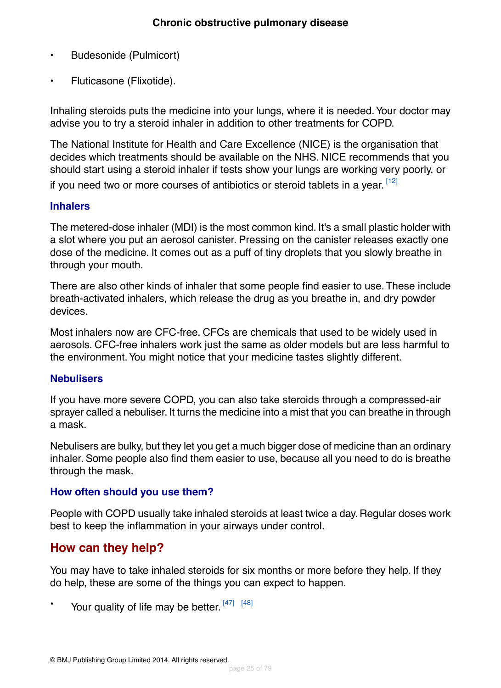- Budesonide (Pulmicort)
- Fluticasone (Flixotide).

Inhaling steroids puts the medicine into your lungs, where it is needed. Your doctor may advise you to try a steroid inhaler in addition to other treatments for COPD.

The National Institute for Health and Care Excellence (NICE) is the organisation that decides which treatments should be available on the NHS. NICE recommends that you should start using a steroid inhaler if tests show your lungs are working very poorly, or if you need two or more courses of antibiotics or steroid tablets in a year. [\[12\]](#page-72-4)

#### **Inhalers**

The metered-dose inhaler (MDI) is the most common kind. It's a small plastic holder with a slot where you put an aerosol canister. Pressing on the canister releases exactly one dose of the medicine. It comes out as a puff of tiny droplets that you slowly breathe in through your mouth.

There are also other kinds of inhaler that some people find easier to use. These include breath-activated inhalers, which release the drug as you breathe in, and dry powder devices.

Most inhalers now are CFC-free. CFCs are chemicals that used to be widely used in aerosols. CFC-free inhalers work just the same as older models but are less harmful to the environment.You might notice that your medicine tastes slightly different.

#### **Nebulisers**

If you have more severe COPD, you can also take steroids through a compressed-air sprayer called a nebuliser. It turns the medicine into a mist that you can breathe in through a mask.

Nebulisers are bulky, but they let you get a much bigger dose of medicine than an ordinary inhaler. Some people also find them easier to use, because all you need to do is breathe through the mask.

#### <span id="page-24-0"></span>**How often should you use them?**

People with COPD usually take inhaled steroids at least twice a day. Regular doses work best to keep the inflammation in your airways under control.

### **How can they help?**

You may have to take inhaled steroids for six months or more before they help. If they do help, these are some of the things you can expect to happen.

\* Your quality of life may be better. [\[47\]](#page-74-9) [\[48\]](#page-74-10)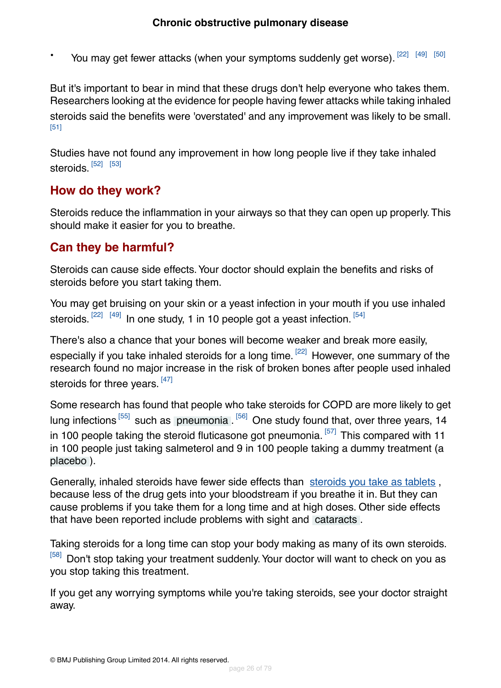You may get fewer attacks (when your symptoms suddenly get worse). [\[22\]](#page-73-4) [\[49\]](#page-74-11) [\[50\]](#page-74-12)

But it's important to bear in mind that these drugs don't help everyone who takes them. Researchers looking at the evidence for people having fewer attacks while taking inhaled steroids said the benefits were 'overstated' and any improvement was likely to be small. [\[51\]](#page-74-13)

Studies have not found any improvement in how long people live if they take inhaled steroids. <sup>[\[52\]](#page-74-14) [\[53\]](#page-74-15)</sup>

### <span id="page-25-0"></span>**How do they work?**

<span id="page-25-1"></span>Steroids reduce the inflammation in your airways so that they can open up properly.This should make it easier for you to breathe.

### **Can they be harmful?**

Steroids can cause side effects.Your doctor should explain the benefits and risks of steroids before you start taking them.

You may get bruising on your skin or a yeast infection in your mouth if you use inhaled steroids.  $^{[22]}$  $^{[22]}$  $^{[22]}$   $^{[49]}$  $^{[49]}$  $^{[49]}$  In one study, 1 in 10 people got a yeast infection.  $^{[54]}$  $^{[54]}$  $^{[54]}$ 

There's also a chance that your bones will become weaker and break more easily, especially if you take inhaled steroids for a long time. <sup>[\[22\]](#page-73-4)</sup> However, one summary of the research found no major increase in the risk of broken bones after people used inhaled steroids for three years. [\[47\]](#page-74-9)

Some research has found that people who take steroids for COPD are more likely to get lung infections <sup>[\[55\]](#page-74-17)</sup> such as [pneumonia](#page-71-0) . <sup>[\[56\]](#page-74-18)</sup> One study found that, over three years, 14 in 100 people taking the steroid fluticasone got pneumonia.<sup>[\[57\]](#page-75-0)</sup> This compared with 11 in 100 people just taking salmeterol and 9 in 100 people taking a dummy treatment (a [placebo](#page-70-5) ).

Generally, inhaled steroids have fewer side effects than [steroids you take as tablets](#page-44-0), because less of the drug gets into your bloodstream if you breathe it in. But they can cause problems if you take them for a long time and at high doses. Other side effects that have been reported include problems with sight and [cataracts](#page-71-1) .

Taking steroids for a long time can stop your body making as many of its own steroids. [\[58\]](#page-75-1) Don't stop taking your treatment suddenly. Your doctor will want to check on you as you stop taking this treatment.

If you get any worrying symptoms while you're taking steroids, see your doctor straight away.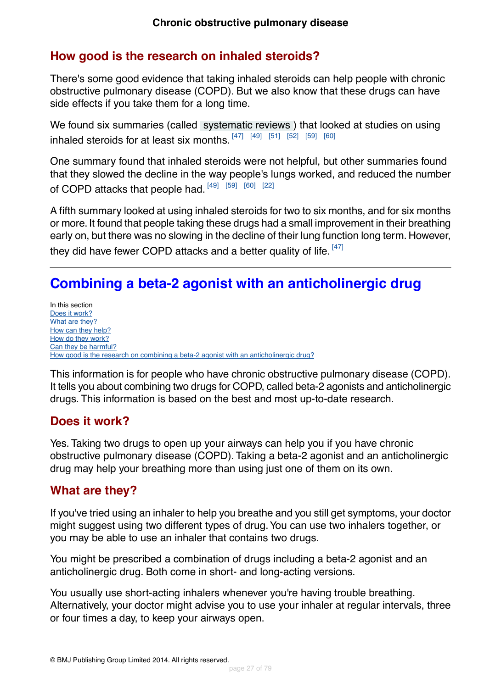### <span id="page-26-1"></span>**How good is the research on inhaled steroids?**

There's some good evidence that taking inhaled steroids can help people with chronic obstructive pulmonary disease (COPD). But we also know that these drugs can have side effects if you take them for a long time.

We found six summaries (called [systematic reviews](#page-70-7) ) that looked at studies on using inhaled steroids for at least six months.  $^{[47]}$  $^{[47]}$  $^{[47]}$   $^{[49]}$  $^{[49]}$  $^{[49]}$   $^{[51]}$  $^{[51]}$  $^{[51]}$   $^{[52]}$  $^{[52]}$  $^{[52]}$   $^{[59]}$  $^{[59]}$  $^{[59]}$   $^{[60]}$  $^{[60]}$  $^{[60]}$ 

One summary found that inhaled steroids were not helpful, but other summaries found that they slowed the decline in the way people's lungs worked, and reduced the number of COPD attacks that people had. [\[49\]](#page-74-11) [\[59\]](#page-75-2) [\[60\]](#page-75-3) [\[22\]](#page-73-4)

A fifth summary looked at using inhaled steroids for two to six months, and for six months or more. It found that people taking these drugs had a small improvement in their breathing early on, but there was no slowing in the decline of their lung function long term. However, they did have fewer COPD attacks and a better quality of life.  $^{[47]}$  $^{[47]}$  $^{[47]}$ 

# <span id="page-26-0"></span>**Combining a beta-2 agonist with an anticholinergic drug**

In this section [Does it work?](#page-26-2) [What are they?](#page-26-3) [How can they help?](#page-28-0) [How do they work?](#page-29-0) [Can they be harmful?](#page-29-1) [How good is the research on combining a beta-2 agonist with an anticholinergic drug?](#page-30-0)

<span id="page-26-2"></span>This information is for people who have chronic obstructive pulmonary disease (COPD). It tells you about combining two drugs for COPD, called beta-2 agonists and anticholinergic drugs. This information is based on the best and most up-to-date research.

### **Does it work?**

<span id="page-26-3"></span>Yes. Taking two drugs to open up your airways can help you if you have chronic obstructive pulmonary disease (COPD). Taking a beta-2 agonist and an anticholinergic drug may help your breathing more than using just one of them on its own.

### **What are they?**

If you've tried using an inhaler to help you breathe and you still get symptoms, your doctor might suggest using two different types of drug.You can use two inhalers together, or you may be able to use an inhaler that contains two drugs.

You might be prescribed a combination of drugs including a beta-2 agonist and an anticholinergic drug. Both come in short- and long-acting versions.

You usually use short-acting inhalers whenever you're having trouble breathing. Alternatively, your doctor might advise you to use your inhaler at regular intervals, three or four times a day, to keep your airways open.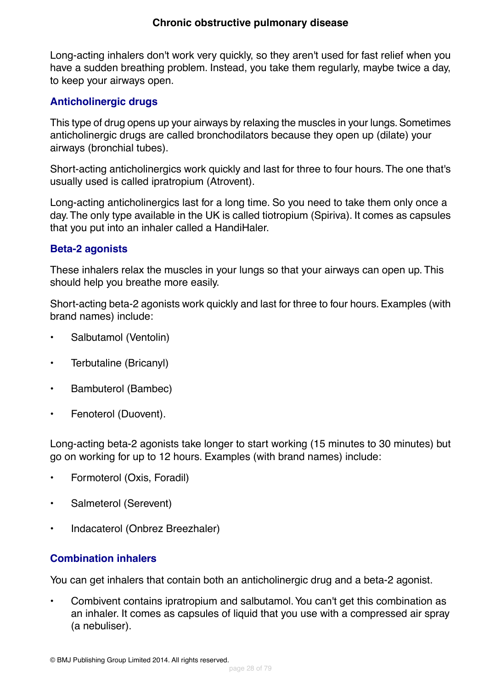#### **Chronic obstructive pulmonary disease**

Long-acting inhalers don't work very quickly, so they aren't used for fast relief when you have a sudden breathing problem. Instead, you take them regularly, maybe twice a day, to keep your airways open.

#### **Anticholinergic drugs**

This type of drug opens up your airways by relaxing the muscles in your lungs. Sometimes anticholinergic drugs are called bronchodilators because they open up (dilate) your airways (bronchial tubes).

Short-acting anticholinergics work quickly and last for three to four hours.The one that's usually used is called ipratropium (Atrovent).

Long-acting anticholinergics last for a long time. So you need to take them only once a day.The only type available in the UK is called tiotropium (Spiriva). It comes as capsules that you put into an inhaler called a HandiHaler.

#### **Beta-2 agonists**

These inhalers relax the muscles in your lungs so that your airways can open up. This should help you breathe more easily.

Short-acting beta-2 agonists work quickly and last for three to four hours. Examples (with brand names) include:

- Salbutamol (Ventolin)
- Terbutaline (Bricanyl)
- Bambuterol (Bambec)
- Fenoterol (Duovent).

Long-acting beta-2 agonists take longer to start working (15 minutes to 30 minutes) but go on working for up to 12 hours. Examples (with brand names) include:

- Formoterol (Oxis, Foradil)
- Salmeterol (Serevent)
- Indacaterol (Onbrez Breezhaler)

#### **Combination inhalers**

You can get inhalers that contain both an anticholinergic drug and a beta-2 agonist.

• Combivent contains ipratropium and salbutamol.You can't get this combination as an inhaler. It comes as capsules of liquid that you use with a compressed air spray (a nebuliser).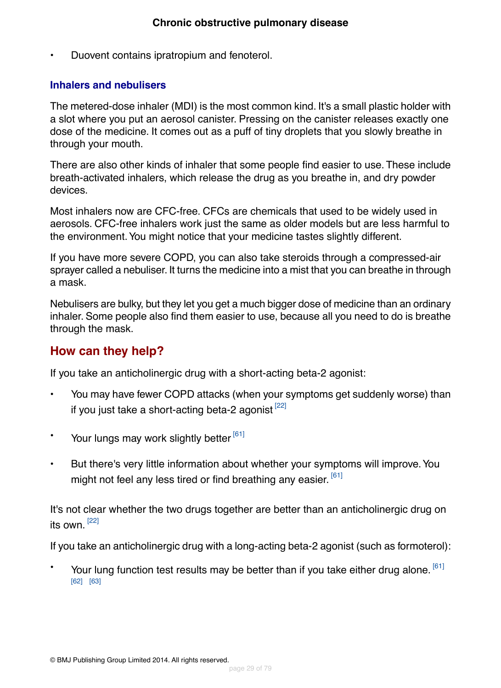• Duovent contains ipratropium and fenoterol.

#### **Inhalers and nebulisers**

The metered-dose inhaler (MDI) is the most common kind. It's a small plastic holder with a slot where you put an aerosol canister. Pressing on the canister releases exactly one dose of the medicine. It comes out as a puff of tiny droplets that you slowly breathe in through your mouth.

There are also other kinds of inhaler that some people find easier to use. These include breath-activated inhalers, which release the drug as you breathe in, and dry powder devices.

Most inhalers now are CFC-free. CFCs are chemicals that used to be widely used in aerosols. CFC-free inhalers work just the same as older models but are less harmful to the environment.You might notice that your medicine tastes slightly different.

If you have more severe COPD, you can also take steroids through a compressed-air sprayer called a nebuliser. It turns the medicine into a mist that you can breathe in through a mask.

<span id="page-28-0"></span>Nebulisers are bulky, but they let you get a much bigger dose of medicine than an ordinary inhaler. Some people also find them easier to use, because all you need to do is breathe through the mask.

### **How can they help?**

If you take an anticholinergic drug with a short-acting beta-2 agonist:

- You may have fewer COPD attacks (when your symptoms get suddenly worse) than if you just take a short-acting beta-2 agonist  $[22]$
- Your lungs may work slightly better [\[61\]](#page-75-4)
- But there's very little information about whether your symptoms will improve. You might not feel any less tired or find breathing any easier. <sup>[\[61\]](#page-75-4)</sup>

It's not clear whether the two drugs together are better than an anticholinergic drug on its own.<sup>[\[22\]](#page-73-4)</sup>

If you take an anticholinergic drug with a long-acting beta-2 agonist (such as formoterol):

 $\cdot$  Your lung function test results may be better than if you take either drug alone.  $^{[61]}$  $^{[61]}$  $^{[61]}$ [\[62\]](#page-75-5) [\[63\]](#page-75-6)

© BMJ Publishing Group Limited 2014. All rights reserved.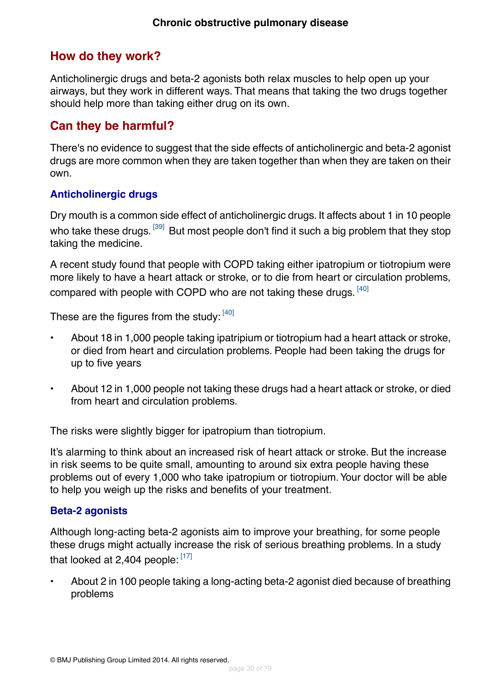### <span id="page-29-0"></span>**How do they work?**

Anticholinergic drugs and beta-2 agonists both relax muscles to help open up your airways, but they work in different ways. That means that taking the two drugs together should help more than taking either drug on its own.

### <span id="page-29-1"></span>**Can they be harmful?**

There's no evidence to suggest that the side effects of anticholinergic and beta-2 agonist drugs are more common when they are taken together than when they are taken on their own.

#### **Anticholinergic drugs**

Dry mouth is a common side effect of anticholinergic drugs. It affects about 1 in 10 people who take these drugs. <sup>[\[39\]](#page-74-1)</sup> But most people don't find it such a big problem that they stop taking the medicine.

A recent study found that people with COPD taking either ipatropium or tiotropium were more likely to have a heart attack or stroke, or to die from heart or circulation problems, compared with people with COPD who are not taking these drugs.  $^{[40]}$  $^{[40]}$  $^{[40]}$ 

These are the figures from the study: [\[40\]](#page-74-2)

- About 18 in 1,000 people taking ipatripium or tiotropium had a heart attack or stroke, or died from heart and circulation problems. People had been taking the drugs for up to five years
- About 12 in 1,000 people not taking these drugs had a heart attack or stroke, or died from heart and circulation problems.

The risks were slightly bigger for ipatropium than tiotropium.

It's alarming to think about an increased risk of heart attack or stroke. But the increase in risk seems to be quite small, amounting to around six extra people having these problems out of every 1,000 who take ipatropium or tiotropium.Your doctor will be able to help you weigh up the risks and benefits of your treatment.

#### **Beta-2 agonists**

Although long-acting beta-2 agonists aim to improve your breathing, for some people these drugs might actually increase the risk of serious breathing problems. In a study that looked at 2,404 people: [\[17\]](#page-72-8)

• About 2 in 100 people taking a long-acting beta-2 agonist died because of breathing problems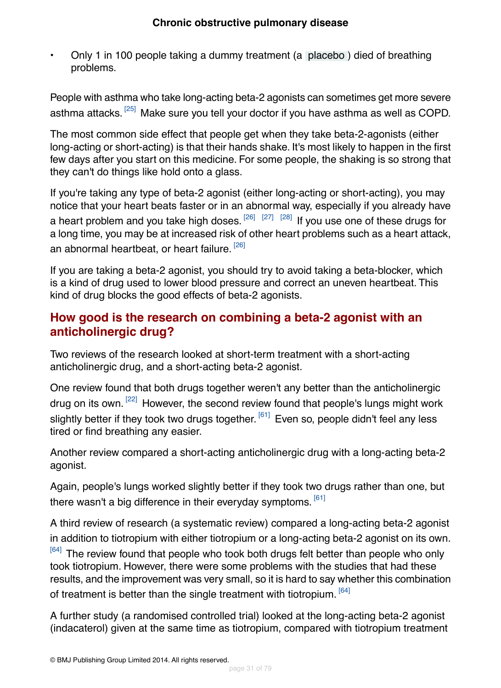• Only 1 in 100 people taking a dummy treatment (a [placebo](#page-70-5) ) died of breathing problems.

People with asthma who take long-acting beta-2 agonists can sometimes get more severe asthma attacks. <sup>[\[25\]](#page-73-7)</sup> Make sure you tell your doctor if you have asthma as well as COPD.

The most common side effect that people get when they take beta-2-agonists (either long-acting or short-acting) is that their hands shake. It's most likely to happen in the first few days after you start on this medicine. For some people, the shaking is so strong that they can't do things like hold onto a glass.

If you're taking any type of beta-2 agonist (either long-acting or short-acting), you may notice that your heart beats faster or in an abnormal way, especially if you already have a heart problem and you take high doses.  $^{[26]}$  $^{[26]}$  $^{[26]}$   $^{[27]}$  $^{[27]}$  $^{[27]}$   $^{[28]}$  $^{[28]}$  $^{[28]}$  If you use one of these drugs for a long time, you may be at increased risk of other heart problems such as a heart attack, an abnormal heartbeat, or heart failure. <sup>[\[26\]](#page-73-8)</sup>

<span id="page-30-0"></span>If you are taking a beta-2 agonist, you should try to avoid taking a beta-blocker, which is a kind of drug used to lower blood pressure and correct an uneven heartbeat. This kind of drug blocks the good effects of beta-2 agonists.

### **How good is the research on combining a beta-2 agonist with an anticholinergic drug?**

Two reviews of the research looked at short-term treatment with a short-acting anticholinergic drug, and a short-acting beta-2 agonist.

One review found that both drugs together weren't any better than the anticholinergic drug on its own.<sup>[\[22\]](#page-73-4)</sup> However, the second review found that people's lungs might work slightly better if they took two drugs together. <sup>[\[61\]](#page-75-4)</sup> Even so, people didn't feel any less tired or find breathing any easier.

Another review compared a short-acting anticholinergic drug with a long-acting beta-2 agonist.

Again, people's lungs worked slightly better if they took two drugs rather than one, but there wasn't a big difference in their everyday symptoms.  $^{\left[ 61\right] }$ 

A third review of research (a systematic review) compared a long-acting beta-2 agonist in addition to tiotropium with either tiotropium or a long-acting beta-2 agonist on its own. <sup>[\[64\]](#page-75-7)</sup> The review found that people who took both drugs felt better than people who only took tiotropium. However, there were some problems with the studies that had these results, and the improvement was very small, so it is hard to say whether this combination of treatment is better than the single treatment with tiotropium.  $[64]$ 

A further study (a randomised controlled trial) looked at the long-acting beta-2 agonist (indacaterol) given at the same time as tiotropium, compared with tiotropium treatment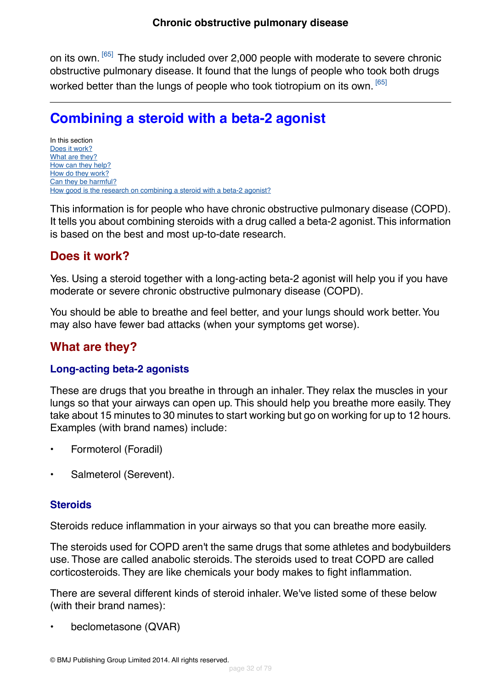on its own. <sup>[\[65\]](#page-75-8)</sup> The study included over 2,000 people with moderate to severe chronic obstructive pulmonary disease. It found that the lungs of people who took both drugs worked better than the lungs of people who took tiotropium on its own.<sup>[\[65\]](#page-75-8)</sup>

# <span id="page-31-0"></span>**Combining a steroid with a beta-2 agonist**

In this section [Does it work?](#page-31-1) [What are they?](#page-31-2) [How can they help?](#page-32-0) [How do they work?](#page-33-0) [Can they be harmful?](#page-33-1) [How good is the research on combining a steroid with a beta-2 agonist?](#page-34-1)

<span id="page-31-1"></span>This information is for people who have chronic obstructive pulmonary disease (COPD). It tells you about combining steroids with a drug called a beta-2 agonist.This information is based on the best and most up-to-date research.

### **Does it work?**

Yes. Using a steroid together with a long-acting beta-2 agonist will help you if you have moderate or severe chronic obstructive pulmonary disease (COPD).

<span id="page-31-2"></span>You should be able to breathe and feel better, and your lungs should work better. You may also have fewer bad attacks (when your symptoms get worse).

### **What are they?**

#### **Long-acting beta-2 agonists**

These are drugs that you breathe in through an inhaler. They relax the muscles in your lungs so that your airways can open up. This should help you breathe more easily. They take about 15 minutes to 30 minutes to start working but go on working for up to 12 hours. Examples (with brand names) include:

- Formoterol (Foradil)
- Salmeterol (Serevent).

#### **Steroids**

Steroids reduce inflammation in your airways so that you can breathe more easily.

The steroids used for COPD aren't the same drugs that some athletes and bodybuilders use. Those are called anabolic steroids. The steroids used to treat COPD are called corticosteroids. They are like chemicals your body makes to fight inflammation.

There are several different kinds of steroid inhaler. We've listed some of these below (with their brand names):

• beclometasone (QVAR)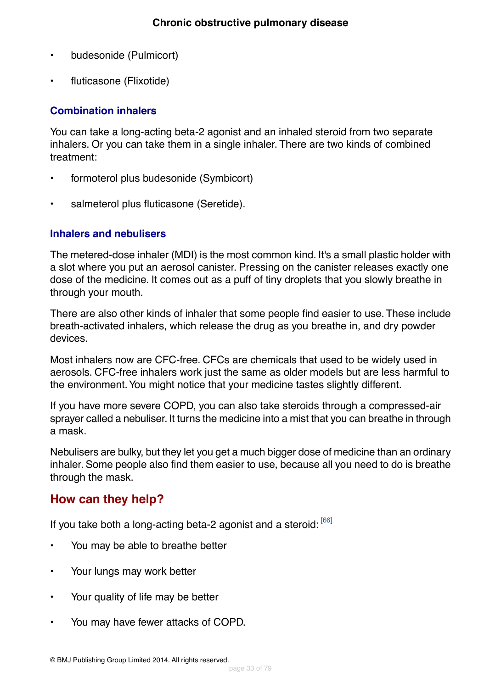- budesonide (Pulmicort)
- fluticasone (Flixotide)

#### **Combination inhalers**

You can take a long-acting beta-2 agonist and an inhaled steroid from two separate inhalers. Or you can take them in a single inhaler. There are two kinds of combined treatment:

- formoterol plus budesonide (Symbicort)
- salmeterol plus fluticasone (Seretide).

#### **Inhalers and nebulisers**

The metered-dose inhaler (MDI) is the most common kind. It's a small plastic holder with a slot where you put an aerosol canister. Pressing on the canister releases exactly one dose of the medicine. It comes out as a puff of tiny droplets that you slowly breathe in through your mouth.

There are also other kinds of inhaler that some people find easier to use. These include breath-activated inhalers, which release the drug as you breathe in, and dry powder devices.

Most inhalers now are CFC-free. CFCs are chemicals that used to be widely used in aerosols. CFC-free inhalers work just the same as older models but are less harmful to the environment.You might notice that your medicine tastes slightly different.

If you have more severe COPD, you can also take steroids through a compressed-air sprayer called a nebuliser. It turns the medicine into a mist that you can breathe in through a mask.

<span id="page-32-0"></span>Nebulisers are bulky, but they let you get a much bigger dose of medicine than an ordinary inhaler. Some people also find them easier to use, because all you need to do is breathe through the mask.

#### **How can they help?**

If you take both a long-acting beta-2 agonist and a steroid: [\[66\]](#page-75-9)

- You may be able to breathe better
- Your lungs may work better
- Your quality of life may be better
- You may have fewer attacks of COPD.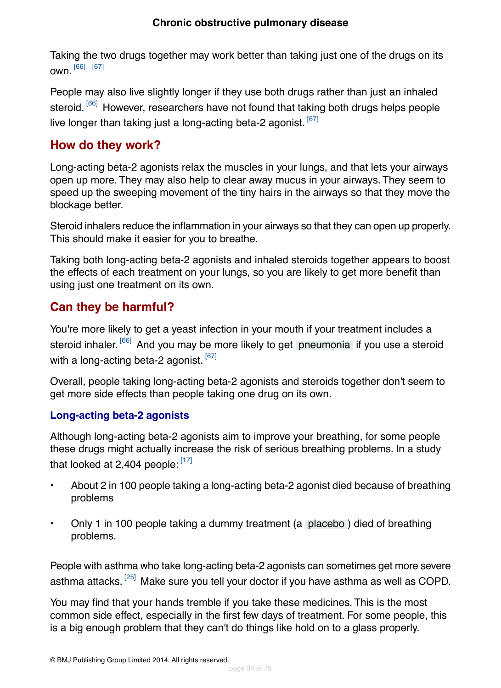#### **Chronic obstructive pulmonary disease**

Taking the two drugs together may work better than taking just one of the drugs on its own. [\[66\]](#page-75-9) [\[67\]](#page-75-10)

People may also live slightly longer if they use both drugs rather than just an inhaled steroid. <sup>[\[66\]](#page-75-9)</sup> However, researchers have not found that taking both drugs helps people live longer than taking just a long-acting beta-2 agonist.  $[67]$ 

#### <span id="page-33-0"></span>**How do they work?**

Long-acting beta-2 agonists relax the muscles in your lungs, and that lets your airways open up more. They may also help to clear away mucus in your airways. They seem to speed up the sweeping movement of the tiny hairs in the airways so that they move the blockage better.

Steroid inhalers reduce the inflammation in your airways so that they can open up properly. This should make it easier for you to breathe.

<span id="page-33-1"></span>Taking both long-acting beta-2 agonists and inhaled steroids together appears to boost the effects of each treatment on your lungs, so you are likely to get more benefit than using just one treatment on its own.

### **Can they be harmful?**

You're more likely to get a yeast infection in your mouth if your treatment includes a steroid inhaler. <sup>[\[66\]](#page-75-9)</sup> And you may be more likely to get [pneumonia](#page-71-0) if you use a steroid with a long-acting beta-2 agonist. [\[67\]](#page-75-10)

Overall, people taking long-acting beta-2 agonists and steroids together don't seem to get more side effects than people taking one drug on its own.

#### **Long-acting beta-2 agonists**

Although long-acting beta-2 agonists aim to improve your breathing, for some people these drugs might actually increase the risk of serious breathing problems. In a study that looked at 2,404 people:  $[17]$ 

- About 2 in 100 people taking a long-acting beta-2 agonist died because of breathing problems
- Only 1 in 100 people taking a dummy treatment (a [placebo](#page-70-5) ) died of breathing problems.

People with asthma who take long-acting beta-2 agonists can sometimes get more severe asthma attacks. <sup>[\[25\]](#page-73-7)</sup> Make sure you tell your doctor if you have asthma as well as COPD.

You may find that your hands tremble if you take these medicines. This is the most common side effect, especially in the first few days of treatment. For some people, this is a big enough problem that they can't do things like hold on to a glass properly.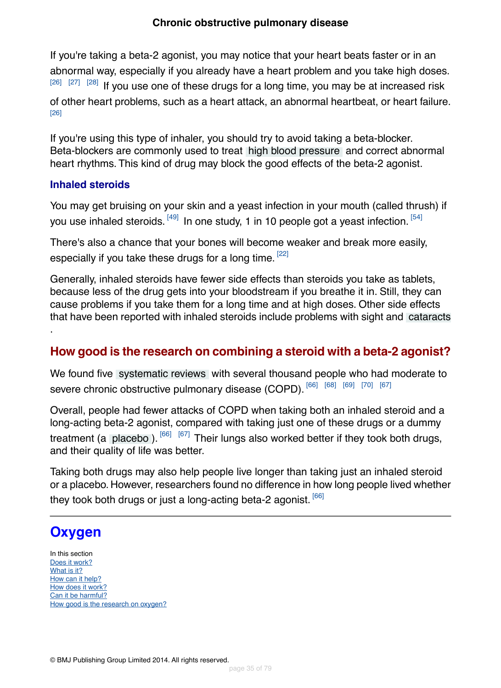If you're taking a beta-2 agonist, you may notice that your heart beats faster or in an abnormal way, especially if you already have a heart problem and you take high doses.  $[26]$   $[27]$   $[28]$  If you use one of these drugs for a long time, you may be at increased risk of other heart problems, such as a heart attack, an abnormal heartbeat, or heart failure. [\[26\]](#page-73-8)

If you're using this type of inhaler, you should try to avoid taking a beta-blocker. Beta-blockers are commonly used to treat [high blood pressure](#page-71-2) and correct abnormal heart rhythms. This kind of drug may block the good effects of the beta-2 agonist.

#### **Inhaled steroids**

You may get bruising on your skin and a yeast infection in your mouth (called thrush) if you use inhaled steroids. <sup>[\[49\]](#page-74-11)</sup> In one study, 1 in 10 people got a yeast infection. <sup>[\[54\]](#page-74-16)</sup>

There's also a chance that your bones will become weaker and break more easily, especially if you take these drugs for a long time. <sup>[\[22\]](#page-73-4)</sup>

Generally, inhaled steroids have fewer side effects than steroids you take as tablets, because less of the drug gets into your bloodstream if you breathe it in. Still, they can cause problems if you take them for a long time and at high doses. Other side effects that have been reported with inhaled steroids include problems with sight and [cataracts](#page-71-1)

### **How good is the research on combining a steroid with a beta-2 agonist?**

We found five [systematic reviews](#page-70-7) with several thousand people who had moderate to severe chronic obstructive pulmonary disease (COPD). [\[66\]](#page-75-9) [\[68\]](#page-75-11) [\[69\]](#page-75-12) [\[70\]](#page-75-13) [\[67\]](#page-75-10)

Overall, people had fewer attacks of COPD when taking both an inhaled steroid and a long-acting beta-2 agonist, compared with taking just one of these drugs or a dummy treatment (a [placebo](#page-70-5)).  $[66]$   $[67]$  Their lungs also worked better if they took both drugs, and their quality of life was better.

<span id="page-34-0"></span>Taking both drugs may also help people live longer than taking just an inhaled steroid or a placebo. However, researchers found no difference in how long people lived whether they took both drugs or just a long-acting beta-2 agonist.  $[66]$ 

# **Oxygen**

<span id="page-34-1"></span>.

In this section [Does it work?](#page-35-0) [What is it?](#page-35-1) [How can it help?](#page-35-2) [How does it work?](#page-36-0) [Can it be harmful?](#page-36-1) [How good is the research on oxygen?](#page-36-2)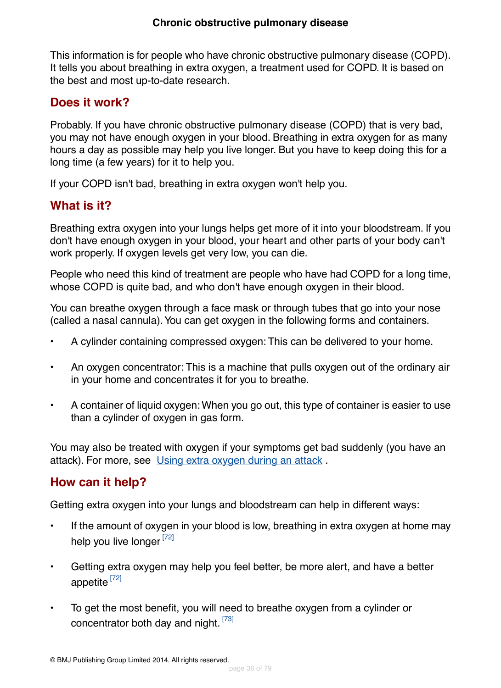This information is for people who have chronic obstructive pulmonary disease (COPD). It tells you about breathing in extra oxygen, a treatment used for COPD. It is based on the best and most up-to-date research.

### <span id="page-35-0"></span>**Does it work?**

Probably. If you have chronic obstructive pulmonary disease (COPD) that is very bad, you may not have enough oxygen in your blood. Breathing in extra oxygen for as many hours a day as possible may help you live longer. But you have to keep doing this for a long time (a few years) for it to help you.

<span id="page-35-1"></span>If your COPD isn't bad, breathing in extra oxygen won't help you.

### **What is it?**

Breathing extra oxygen into your lungs helps get more of it into your bloodstream. If you don't have enough oxygen in your blood, your heart and other parts of your body can't work properly. If oxygen levels get very low, you can die.

People who need this kind of treatment are people who have had COPD for a long time, whose COPD is quite bad, and who don't have enough oxygen in their blood.

You can breathe oxygen through a face mask or through tubes that go into your nose (called a nasal cannula).You can get oxygen in the following forms and containers.

- A cylinder containing compressed oxygen: This can be delivered to your home.
- An oxygen concentrator: This is a machine that pulls oxygen out of the ordinary air in your home and concentrates it for you to breathe.
- A container of liquid oxygen:When you go out, this type of container is easier to use than a cylinder of oxygen in gas form.

<span id="page-35-2"></span>You may also be treated with oxygen if your symptoms get bad suddenly (you have an attack). For more, see Using extra oxygen during an attack .

### **How can it help?**

Getting extra oxygen into your lungs and bloodstream can help in different ways:

- If the amount of oxygen in your blood is low, breathing in extra oxygen at home may help you live longer [\[72\]](#page-75-14)
- Getting extra oxygen may help you feel better, be more alert, and have a better appetite [\[72\]](#page-75-14)
- To get the most benefit, you will need to breathe oxygen from a cylinder or concentrator both day and night.  $[73]$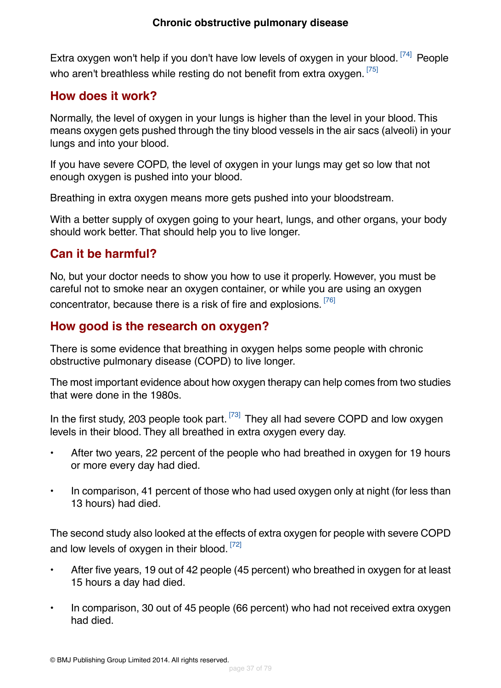Extra oxygen won't help if you don't have low levels of oxygen in your blood.<sup>[\[74\]](#page-75-0)</sup> People who aren't breathless while resting do not benefit from extra oxygen. [\[75\]](#page-75-1)

## **How does it work?**

Normally, the level of oxygen in your lungs is higher than the level in your blood. This means oxygen gets pushed through the tiny blood vessels in the air sacs (alveoli) in your lungs and into your blood.

If you have severe COPD, the level of oxygen in your lungs may get so low that not enough oxygen is pushed into your blood.

Breathing in extra oxygen means more gets pushed into your bloodstream.

With a better supply of oxygen going to your heart, lungs, and other organs, your body should work better. That should help you to live longer.

## **Can it be harmful?**

No, but your doctor needs to show you how to use it properly. However, you must be careful not to smoke near an oxygen container, or while you are using an oxygen concentrator, because there is a risk of fire and explosions. <sup>[\[76\]](#page-76-0)</sup>

## **How good is the research on oxygen?**

There is some evidence that breathing in oxygen helps some people with chronic obstructive pulmonary disease (COPD) to live longer.

The most important evidence about how oxygen therapy can help comes from two studies that were done in the 1980s.

In the first study, 203 people took part.  $[73]$  They all had severe COPD and low oxygen levels in their blood. They all breathed in extra oxygen every day.

- After two years, 22 percent of the people who had breathed in oxygen for 19 hours or more every day had died.
- In comparison, 41 percent of those who had used oxygen only at night (for less than 13 hours) had died.

The second study also looked at the effects of extra oxygen for people with severe COPD and low levels of oxygen in their blood. [\[72\]](#page-75-3)

- After five years, 19 out of 42 people (45 percent) who breathed in oxygen for at least 15 hours a day had died.
- In comparison, 30 out of 45 people (66 percent) who had not received extra oxygen had died.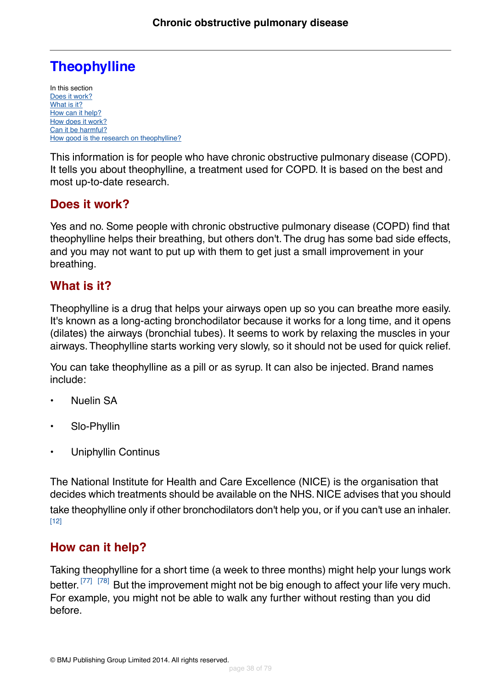# **Theophylline**

In this section [Does it work?](#page-37-0) [What is it?](#page-37-1) [How can it help?](#page-37-2) [How does it work?](#page-38-0) [Can it be harmful?](#page-38-1) [How good is the research on theophylline?](#page-38-2)

This information is for people who have chronic obstructive pulmonary disease (COPD). It tells you about theophylline, a treatment used for COPD. It is based on the best and most up-to-date research.

## <span id="page-37-0"></span>**Does it work?**

Yes and no. Some people with chronic obstructive pulmonary disease (COPD) find that theophylline helps their breathing, but others don't.The drug has some bad side effects, and you may not want to put up with them to get just a small improvement in your breathing.

## <span id="page-37-1"></span>**What is it?**

Theophylline is a drug that helps your airways open up so you can breathe more easily. It's known as a long-acting bronchodilator because it works for a long time, and it opens (dilates) the airways (bronchial tubes). It seems to work by relaxing the muscles in your airways.Theophylline starts working very slowly, so it should not be used for quick relief.

You can take theophylline as a pill or as syrup. It can also be injected. Brand names include:

- Nuelin SA
- Slo-Phyllin
- Uniphyllin Continus

<span id="page-37-2"></span>The National Institute for Health and Care Excellence (NICE) is the organisation that decides which treatments should be available on the NHS. NICE advises that you should take theophylline only if other bronchodilators don't help you, or if you can't use an inhaler. [\[12\]](#page-72-0)

## **How can it help?**

Taking theophylline for a short time (a week to three months) might help your lungs work better.<sup>[\[77\]](#page-76-1)</sup> <sup>[\[78\]](#page-76-2)</sup> But the improvement might not be big enough to affect your life very much. For example, you might not be able to walk any further without resting than you did before.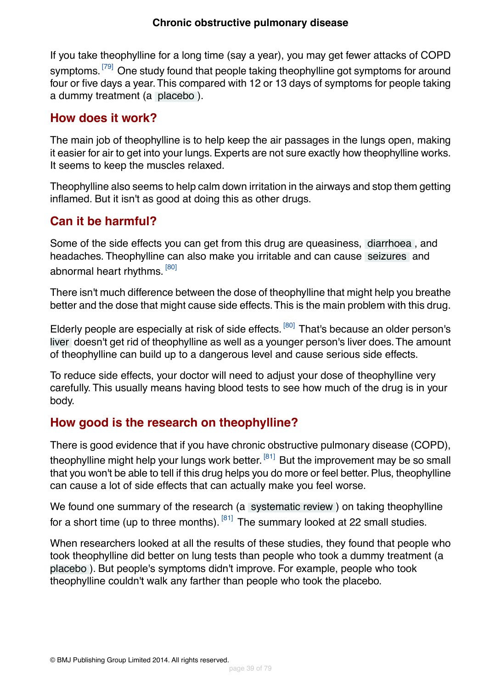If you take theophylline for a long time (say a year), you may get fewer attacks of COPD symptoms. <sup>[\[79\]](#page-76-3)</sup> One study found that people taking theophylline got symptoms for around four or five days a year.This compared with 12 or 13 days of symptoms for people taking a dummy treatment (a [placebo](#page-70-0) ).

## <span id="page-38-0"></span>**How does it work?**

The main job of theophylline is to help keep the air passages in the lungs open, making it easier for air to get into your lungs. Experts are not sure exactly how theophylline works. It seems to keep the muscles relaxed.

<span id="page-38-1"></span>Theophylline also seems to help calm down irritation in the airways and stop them getting inflamed. But it isn't as good at doing this as other drugs.

## **Can it be harmful?**

Some of the side effects you can get from this drug are queasiness, [diarrhoea](#page-71-0) , and headaches. Theophylline can also make you irritable and can cause [seizures](#page-71-1) and abnormal heart rhythms. <sup>[\[80\]](#page-76-4)</sup>

There isn't much difference between the dose of theophylline that might help you breathe better and the dose that might cause side effects.This is the main problem with this drug.

Elderly people are especially at risk of side effects. <sup>[\[80\]](#page-76-4)</sup> That's because an older person's [liver](#page-70-1) doesn't get rid of theophylline as well as a younger person's liver does.The amount of theophylline can build up to a dangerous level and cause serious side effects.

<span id="page-38-2"></span>To reduce side effects, your doctor will need to adjust your dose of theophylline very carefully. This usually means having blood tests to see how much of the drug is in your body.

## **How good is the research on theophylline?**

There is good evidence that if you have chronic obstructive pulmonary disease (COPD), theophylline might help your lungs work better. <sup>[\[81\]](#page-76-5)</sup> But the improvement may be so small that you won't be able to tell if this drug helps you do more or feel better. Plus, theophylline can cause a lot of side effects that can actually make you feel worse.

We found one summary of the research (a [systematic review](#page-70-2)) on taking theophylline for a short time (up to three months).  $[81]$  The summary looked at 22 small studies.

When researchers looked at all the results of these studies, they found that people who took theophylline did better on lung tests than people who took a dummy treatment (a [placebo](#page-70-0) ). But people's symptoms didn't improve. For example, people who took theophylline couldn't walk any farther than people who took the placebo.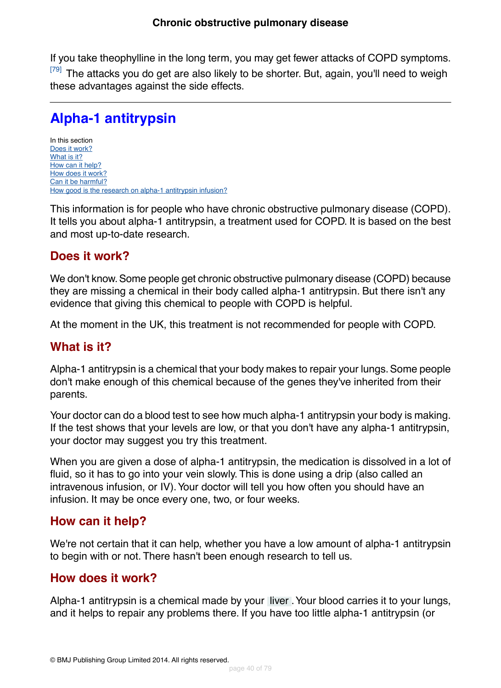If you take theophylline in the long term, you may get fewer attacks of COPD symptoms. <sup>[\[79\]](#page-76-3)</sup> The attacks you do get are also likely to be shorter. But, again, you'll need to weigh these advantages against the side effects.

# **Alpha-1 antitrypsin**

In this section [Does it work?](#page-39-0) [What is it?](#page-39-1) [How can it help?](#page-39-2) [How does it work?](#page-39-3) [Can it be harmful?](#page-40-0) [How good is the research on alpha-1 antitrypsin infusion?](#page-40-1)

<span id="page-39-0"></span>This information is for people who have chronic obstructive pulmonary disease (COPD). It tells you about alpha-1 antitrypsin, a treatment used for COPD. It is based on the best and most up-to-date research.

## **Does it work?**

We don't know. Some people get chronic obstructive pulmonary disease (COPD) because they are missing a chemical in their body called alpha-1 antitrypsin. But there isn't any evidence that giving this chemical to people with COPD is helpful.

<span id="page-39-1"></span>At the moment in the UK, this treatment is not recommended for people with COPD.

## **What is it?**

Alpha-1 antitrypsin is a chemical that your body makes to repair your lungs. Some people don't make enough of this chemical because of the genes they've inherited from their parents.

Your doctor can do a blood test to see how much alpha-1 antitrypsin your body is making. If the test shows that your levels are low, or that you don't have any alpha-1 antitrypsin, your doctor may suggest you try this treatment.

<span id="page-39-2"></span>When you are given a dose of alpha-1 antitrypsin, the medication is dissolved in a lot of fluid, so it has to go into your vein slowly. This is done using a drip (also called an intravenous infusion, or IV). Your doctor will tell you how often you should have an infusion. It may be once every one, two, or four weeks.

## <span id="page-39-3"></span>**How can it help?**

We're not certain that it can help, whether you have a low amount of alpha-1 antitrypsin to begin with or not. There hasn't been enough research to tell us.

## **How does it work?**

Alpha-1 antitrypsin is a chemical made by your [liver](#page-70-1) .Your blood carries it to your lungs, and it helps to repair any problems there. If you have too little alpha-1 antitrypsin (or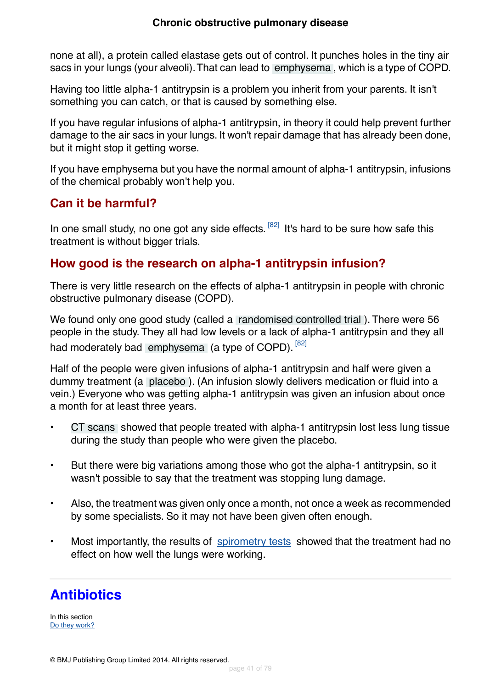### **Chronic obstructive pulmonary disease**

none at all), a protein called elastase gets out of control. It punches holes in the tiny air sacs in your lungs (your alveoli).That can lead to [emphysema](#page-69-0) , which is a type of COPD.

Having too little alpha-1 antitrypsin is a problem you inherit from your parents. It isn't something you can catch, or that is caused by something else.

If you have regular infusions of alpha-1 antitrypsin, in theory it could help prevent further damage to the air sacs in your lungs. It won't repair damage that has already been done, but it might stop it getting worse.

<span id="page-40-0"></span>If you have emphysema but you have the normal amount of alpha-1 antitrypsin, infusions of the chemical probably won't help you.

## **Can it be harmful?**

<span id="page-40-1"></span>In one small study, no one got any side effects. <sup>[\[82\]](#page-76-6)</sup> It's hard to be sure how safe this treatment is without bigger trials.

## **How good is the research on alpha-1 antitrypsin infusion?**

There is very little research on the effects of alpha-1 antitrypsin in people with chronic obstructive pulmonary disease (COPD).

We found only one good study (called a [randomised controlled trial](#page-70-3) ). There were 56 people in the study. They all had low levels or a lack of alpha-1 antitrypsin and they all had moderately bad [emphysema](#page-69-0) (a type of COPD). [\[82\]](#page-76-6)

Half of the people were given infusions of alpha-1 antitrypsin and half were given a dummy treatment (a [placebo](#page-70-0) ). (An infusion slowly delivers medication or fluid into a vein.) Everyone who was getting alpha-1 antitrypsin was given an infusion about once a month for at least three years.

- [CT scans](#page-71-2) showed that people treated with alpha-1 antitrypsin lost less lung tissue during the study than people who were given the placebo.
- But there were big variations among those who got the alpha-1 antitrypsin, so it wasn't possible to say that the treatment was stopping lung damage.
- Also, the treatment was given only once a month, not once a week as recommended by some specialists. So it may not have been given often enough.
- Most importantly, the results of [spirometry tests](#page-67-0) showed that the treatment had no effect on how well the lungs were working.

# **Antibiotics**

In this section [Do they work?](#page-41-0)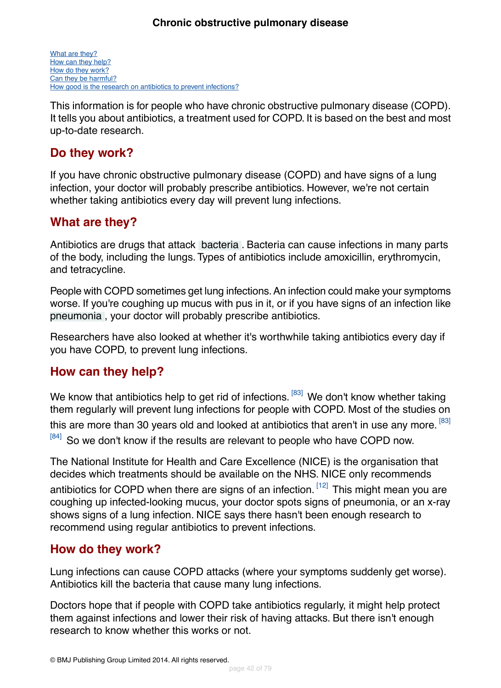[What are they?](#page-41-1) [How can they help?](#page-41-2) [How do they work?](#page-41-3) [Can they be harmful?](#page-42-0) [How good is the research on antibiotics to prevent infections?](#page-42-1)

This information is for people who have chronic obstructive pulmonary disease (COPD). It tells you about antibiotics, a treatment used for COPD. It is based on the best and most up-to-date research.

## <span id="page-41-0"></span>**Do they work?**

If you have chronic obstructive pulmonary disease (COPD) and have signs of a lung infection, your doctor will probably prescribe antibiotics. However, we're not certain whether taking antibiotics every day will prevent lung infections.

## <span id="page-41-1"></span>**What are they?**

Antibiotics are drugs that attack [bacteria](#page-69-1) . Bacteria can cause infections in many parts of the body, including the lungs. Types of antibiotics include amoxicillin, erythromycin, and tetracycline.

People with COPD sometimes get lung infections. An infection could make your symptoms worse. If you're coughing up mucus with pus in it, or if you have signs of an infection like [pneumonia](#page-71-3) , your doctor will probably prescribe antibiotics.

<span id="page-41-2"></span>Researchers have also looked at whether it's worthwhile taking antibiotics every day if you have COPD, to prevent lung infections.

## **How can they help?**

We know that antibiotics help to get rid of infections. <sup>[\[83\]](#page-76-7)</sup> We don't know whether taking them regularly will prevent lung infections for people with COPD. Most of the studies on this are more than 30 years old and looked at antibiotics that aren't in use any more.  $^{\left[83\right]}$ [\[84\]](#page-76-8) So we don't know if the results are relevant to people who have COPD now.

<span id="page-41-3"></span>The National Institute for Health and Care Excellence (NICE) is the organisation that decides which treatments should be available on the NHS. NICE only recommends antibiotics for COPD when there are signs of an infection.  $[12]$  This might mean you are coughing up infected-looking mucus, your doctor spots signs of pneumonia, or an x-ray shows signs of a lung infection. NICE says there hasn't been enough research to recommend using regular antibiotics to prevent infections.

## **How do they work?**

Lung infections can cause COPD attacks (where your symptoms suddenly get worse). Antibiotics kill the bacteria that cause many lung infections.

Doctors hope that if people with COPD take antibiotics regularly, it might help protect them against infections and lower their risk of having attacks. But there isn't enough research to know whether this works or not.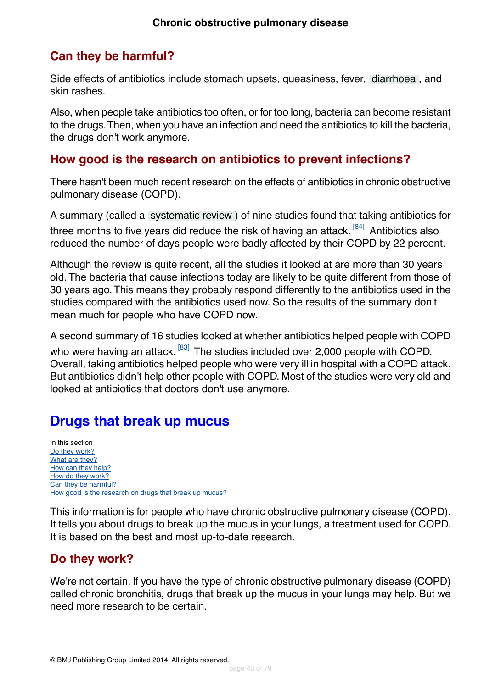## <span id="page-42-0"></span>**Can they be harmful?**

Side effects of antibiotics include stomach upsets, queasiness, fever, [diarrhoea](#page-71-0) , and skin rashes.

Also, when people take antibiotics too often, or for too long, bacteria can become resistant to the drugs.Then, when you have an infection and need the antibiotics to kill the bacteria, the drugs don't work anymore.

## <span id="page-42-1"></span>**How good is the research on antibiotics to prevent infections?**

There hasn't been much recent research on the effects of antibiotics in chronic obstructive pulmonary disease (COPD).

A summary (called a [systematic review](#page-70-2) ) of nine studies found that taking antibiotics for three months to five years did reduce the risk of having an attack. <sup>[\[84\]](#page-76-8)</sup> Antibiotics also reduced the number of days people were badly affected by their COPD by 22 percent.

Although the review is quite recent, all the studies it looked at are more than 30 years old. The bacteria that cause infections today are likely to be quite different from those of 30 years ago.This means they probably respond differently to the antibiotics used in the studies compared with the antibiotics used now. So the results of the summary don't mean much for people who have COPD now.

A second summary of 16 studies looked at whether antibiotics helped people with COPD who were having an attack. <sup>[\[83\]](#page-76-7)</sup> The studies included over 2,000 people with COPD. Overall, taking antibiotics helped people who were very ill in hospital with a COPD attack. But antibiotics didn't help other people with COPD. Most of the studies were very old and looked at antibiotics that doctors don't use anymore.

# **Drugs that break up mucus**

In this section [Do they work?](#page-42-2) [What are they?](#page-43-0) [How can they help?](#page-43-1) [How do they work?](#page-43-2) [Can they be harmful?](#page-43-3) [How good is the research on drugs that break up mucus?](#page-43-4)

<span id="page-42-2"></span>This information is for people who have chronic obstructive pulmonary disease (COPD). It tells you about drugs to break up the mucus in your lungs, a treatment used for COPD. It is based on the best and most up-to-date research.

## **Do they work?**

We're not certain. If you have the type of chronic obstructive pulmonary disease (COPD) called chronic bronchitis, drugs that break up the mucus in your lungs may help. But we need more research to be certain.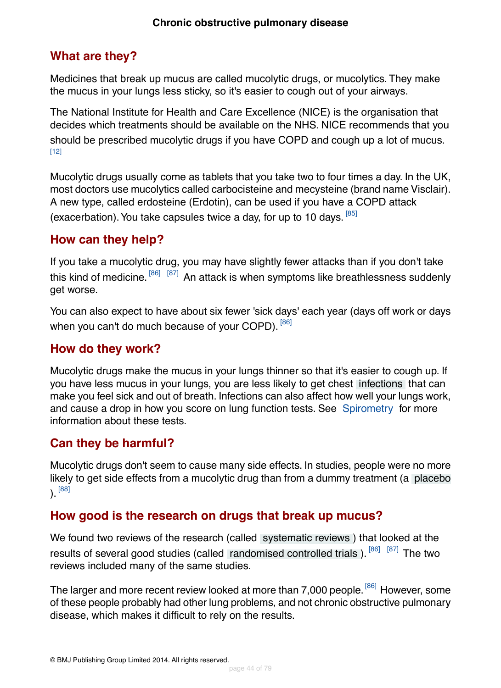## <span id="page-43-0"></span>**What are they?**

Medicines that break up mucus are called mucolytic drugs, or mucolytics. They make the mucus in your lungs less sticky, so it's easier to cough out of your airways.

The National Institute for Health and Care Excellence (NICE) is the organisation that decides which treatments should be available on the NHS. NICE recommends that you should be prescribed mucolytic drugs if you have COPD and cough up a lot of mucus. [\[12\]](#page-72-0)

Mucolytic drugs usually come as tablets that you take two to four times a day. In the UK, most doctors use mucolytics called carbocisteine and mecysteine (brand name Visclair). A new type, called erdosteine (Erdotin), can be used if you have a COPD attack (exacerbation). You take capsules twice a day, for up to 10 days. [\[85\]](#page-76-9)

## <span id="page-43-1"></span>**How can they help?**

If you take a mucolytic drug, you may have slightly fewer attacks than if you don't take this kind of medicine. <sup>[\[86\]](#page-76-10) [\[87\]](#page-76-11)</sup> An attack is when symptoms like breathlessness suddenly get worse.

<span id="page-43-2"></span>You can also expect to have about six fewer 'sick days' each year (days off work or days when you can't do much because of your COPD). [\[86\]](#page-76-10)

## **How do they work?**

<span id="page-43-3"></span>Mucolytic drugs make the mucus in your lungs thinner so that it's easier to cough up. If you have less mucus in your lungs, you are less likely to get chest [infections](#page-69-2) that can make you feel sick and out of breath. Infections can also affect how well your lungs work, and cause a drop in how you score on lung function tests. See [Spirometry](#page-67-0) for more information about these tests.

## **Can they be harmful?**

<span id="page-43-4"></span>Mucolytic drugs don't seem to cause many side effects. In studies, people were no more likely to get side effects from a mucolytic drug than from a dummy treatment (a [placebo](#page-70-0) ). [\[88\]](#page-76-12)

## **How good is the research on drugs that break up mucus?**

We found two reviews of the research (called [systematic reviews](#page-70-2) ) that looked at the results of several good studies (called [randomised controlled trials](#page-70-3)). [\[86\]](#page-76-10) [\[87\]](#page-76-11) The two reviews included many of the same studies.

The larger and more recent review looked at more than 7,000 people. <sup>[\[86\]](#page-76-10)</sup> However, some of these people probably had other lung problems, and not chronic obstructive pulmonary disease, which makes it difficult to rely on the results.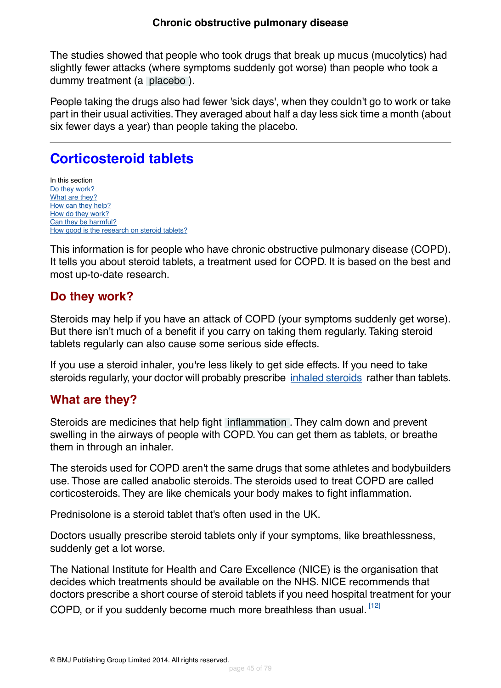The studies showed that people who took drugs that break up mucus (mucolytics) had slightly fewer attacks (where symptoms suddenly got worse) than people who took a dummy treatment (a [placebo](#page-70-0) ).

People taking the drugs also had fewer 'sick days', when they couldn't go to work or take part in their usual activities.They averaged about half a day less sick time a month (about six fewer days a year) than people taking the placebo.

# **Corticosteroid tablets**

In this section [Do they work?](#page-44-0) [What are they?](#page-44-1) [How can they help?](#page-45-0) [How do they work?](#page-45-1) [Can they be harmful?](#page-45-2) [How good is the research on steroid tablets?](#page-46-0)

<span id="page-44-0"></span>This information is for people who have chronic obstructive pulmonary disease (COPD). It tells you about steroid tablets, a treatment used for COPD. It is based on the best and most up-to-date research.

## **Do they work?**

Steroids may help if you have an attack of COPD (your symptoms suddenly get worse). But there isn't much of a benefit if you carry on taking them regularly. Taking steroid tablets regularly can also cause some serious side effects.

<span id="page-44-1"></span>If you use a steroid inhaler, you're less likely to get side effects. If you need to take steroids regularly, your doctor will probably prescribe [inhaled steroids](#page-23-0) rather than tablets.

## **What are they?**

Steroids are medicines that help fight [inflammation](#page-69-3) . They calm down and prevent swelling in the airways of people with COPD.You can get them as tablets, or breathe them in through an inhaler.

The steroids used for COPD aren't the same drugs that some athletes and bodybuilders use. Those are called anabolic steroids. The steroids used to treat COPD are called corticosteroids. They are like chemicals your body makes to fight inflammation.

Prednisolone is a steroid tablet that's often used in the UK.

Doctors usually prescribe steroid tablets only if your symptoms, like breathlessness, suddenly get a lot worse.

The National Institute for Health and Care Excellence (NICE) is the organisation that decides which treatments should be available on the NHS. NICE recommends that doctors prescribe a short course of steroid tablets if you need hospital treatment for your COPD, or if you suddenly become much more breathless than usual. [\[12\]](#page-72-0)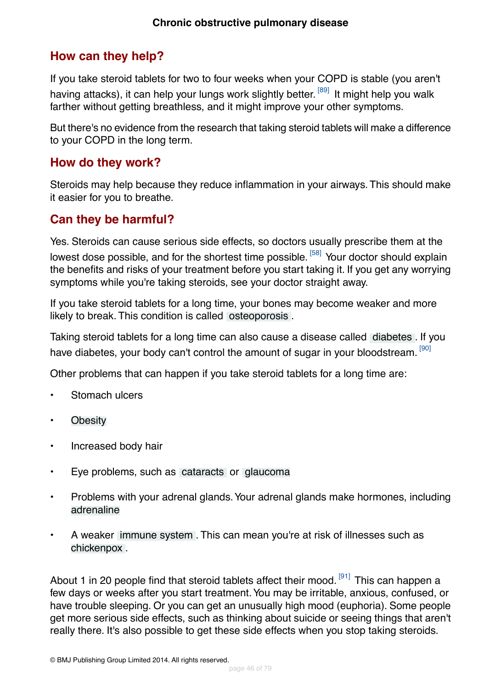## <span id="page-45-0"></span>**How can they help?**

If you take steroid tablets for two to four weeks when your COPD is stable (you aren't having attacks), it can help your lungs work slightly better. <sup>[\[89\]](#page-76-13)</sup> It might help you walk farther without getting breathless, and it might improve your other symptoms.

But there's no evidence from the research that taking steroid tablets will make a difference to your COPD in the long term.

### <span id="page-45-1"></span>**How do they work?**

<span id="page-45-2"></span>Steroids may help because they reduce inflammation in your airways.This should make it easier for you to breathe.

## **Can they be harmful?**

Yes. Steroids can cause serious side effects, so doctors usually prescribe them at the lowest dose possible, and for the shortest time possible. <sup>[\[58\]](#page-75-4)</sup> Your doctor should explain the benefits and risks of your treatment before you start taking it. If you get any worrying symptoms while you're taking steroids, see your doctor straight away.

If you take steroid tablets for a long time, your bones may become weaker and more likely to break. This condition is called [osteoporosis](#page-71-4) .

Taking steroid tablets for a long time can also cause a disease called [diabetes](#page-71-5) . If you have diabetes, your body can't control the amount of sugar in your bloodstream. [\[90\]](#page-76-14)

Other problems that can happen if you take steroid tablets for a long time are:

- Stomach ulcers
- [Obesity](#page-71-6)
- Increased body hair
- Eye problems, such as [cataracts](#page-71-7) or [glaucoma](#page-71-8)
- Problems with your adrenal glands.Your adrenal glands make hormones, including [adrenaline](#page-71-9)
- A weaker [immune system](#page-71-10) . This can mean you're at risk of illnesses such as [chickenpox](#page-71-11) .

About 1 in 20 people find that steroid tablets affect their mood.  $[91]$  This can happen a few days or weeks after you start treatment.You may be irritable, anxious, confused, or have trouble sleeping. Or you can get an unusually high mood (euphoria). Some people get more serious side effects, such as thinking about suicide or seeing things that aren't really there. It's also possible to get these side effects when you stop taking steroids.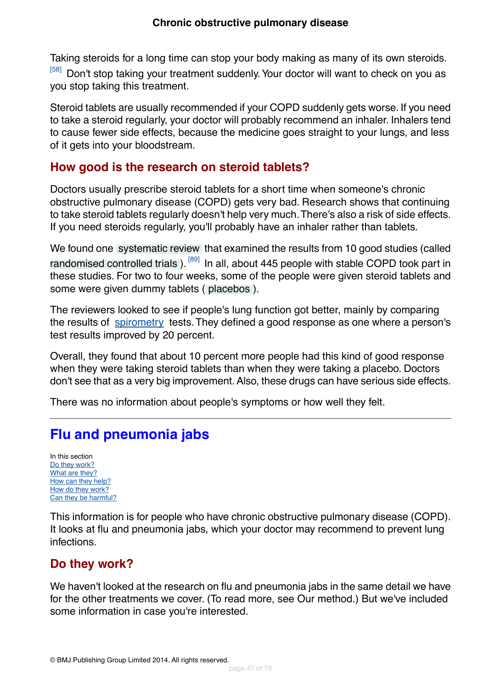Taking steroids for a long time can stop your body making as many of its own steroids.

[\[58\]](#page-75-4) Don't stop taking your treatment suddenly. Your doctor will want to check on you as you stop taking this treatment.

Steroid tablets are usually recommended if your COPD suddenly gets worse. If you need to take a steroid regularly, your doctor will probably recommend an inhaler. Inhalers tend to cause fewer side effects, because the medicine goes straight to your lungs, and less of it gets into your bloodstream.

## <span id="page-46-0"></span>**How good is the research on steroid tablets?**

Doctors usually prescribe steroid tablets for a short time when someone's chronic obstructive pulmonary disease (COPD) gets very bad. Research shows that continuing to take steroid tablets regularly doesn't help very much.There's also a risk of side effects. If you need steroids regularly, you'll probably have an inhaler rather than tablets.

We found one [systematic review](#page-70-2) that examined the results from 10 good studies (called [randomised controlled trials](#page-70-3)). <sup>[\[89\]](#page-76-13)</sup> In all, about 445 people with stable COPD took part in these studies. For two to four weeks, some of the people were given steroid tablets and some were given dummy tablets ( [placebos](#page-70-0) ).

The reviewers looked to see if people's lung function got better, mainly by comparing the results of [spirometry](#page-67-0) tests. They defined a good response as one where a person's test results improved by 20 percent.

Overall, they found that about 10 percent more people had this kind of good response when they were taking steroid tablets than when they were taking a placebo. Doctors don't see that as a very big improvement. Also, these drugs can have serious side effects.

There was no information about people's symptoms or how well they felt.

# **Flu and pneumonia jabs**

In this section [Do they work?](#page-46-1) [What are they?](#page-47-0) [How can they help?](#page-47-1) [How do they work?](#page-47-2) [Can they be harmful?](#page-48-0)

<span id="page-46-1"></span>This information is for people who have chronic obstructive pulmonary disease (COPD). It looks at flu and pneumonia jabs, which your doctor may recommend to prevent lung infections.

## **Do they work?**

We haven't looked at the research on flu and pneumonia jabs in the same detail we have for the other treatments we cover. (To read more, see Our method.) But we've included some information in case you're interested.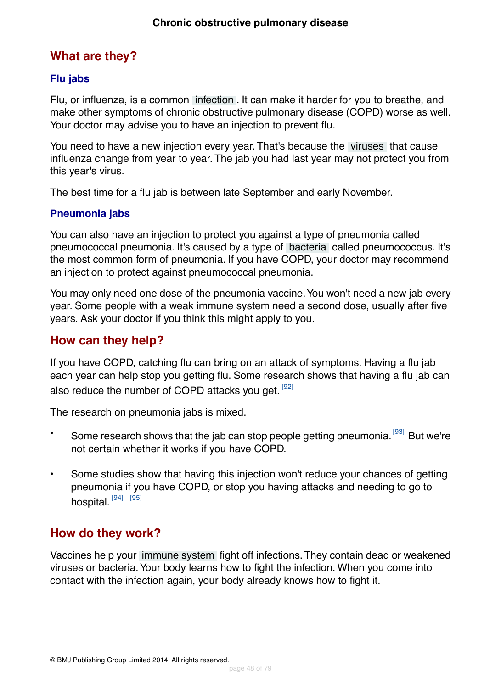## <span id="page-47-0"></span>**What are they?**

### **Flu jabs**

Flu, or influenza, is a common [infection](#page-69-2) . It can make it harder for you to breathe, and make other symptoms of chronic obstructive pulmonary disease (COPD) worse as well. Your doctor may advise you to have an injection to prevent flu.

You need to have a new injection every year. That's because the [viruses](#page-69-4) that cause influenza change from year to year. The jab you had last year may not protect you from this year's virus.

The best time for a flu jab is between late September and early November.

### **Pneumonia jabs**

You can also have an injection to protect you against a type of pneumonia called pneumococcal pneumonia. It's caused by a type of [bacteria](#page-69-1) called pneumococcus. It's the most common form of pneumonia. If you have COPD, your doctor may recommend an injection to protect against pneumococcal pneumonia.

<span id="page-47-1"></span>You may only need one dose of the pneumonia vaccine.You won't need a new jab every year. Some people with a weak immune system need a second dose, usually after five years. Ask your doctor if you think this might apply to you.

## **How can they help?**

If you have COPD, catching flu can bring on an attack of symptoms. Having a flu jab each year can help stop you getting flu. Some research shows that having a flu jab can also reduce the number of COPD attacks you get. [\[92\]](#page-76-16)

The research on pneumonia jabs is mixed.

- Some research shows that the jab can stop people getting pneumonia.<sup>[\[93\]](#page-76-17)</sup> But we're not certain whether it works if you have COPD.
- <span id="page-47-2"></span>• Some studies show that having this injection won't reduce your chances of getting pneumonia if you have COPD, or stop you having attacks and needing to go to hospital.<sup>[\[94\]](#page-76-18)</sup> [\[95\]](#page-76-19)

## **How do they work?**

Vaccines help your [immune system](#page-71-10) fight off infections.They contain dead or weakened viruses or bacteria.Your body learns how to fight the infection. When you come into contact with the infection again, your body already knows how to fight it.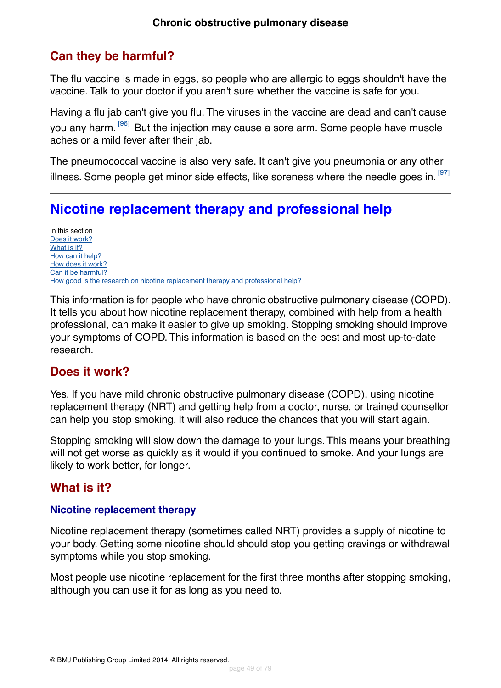## <span id="page-48-0"></span>**Can they be harmful?**

The flu vaccine is made in eggs, so people who are allergic to eggs shouldn't have the vaccine. Talk to your doctor if you aren't sure whether the vaccine is safe for you.

Having a flu jab can't give you flu. The viruses in the vaccine are dead and can't cause you any harm.<sup>[\[96\]](#page-76-20)</sup> But the injection may cause a sore arm. Some people have muscle aches or a mild fever after their jab.

The pneumococcal vaccine is also very safe. It can't give you pneumonia or any other illness. Some people get minor side effects, like soreness where the needle goes in.  $[97]$ 

# **Nicotine replacement therapy and professional help**

In this section [Does it work?](#page-48-1) [What is it?](#page-48-2) [How can it help?](#page-50-0) [How does it work?](#page-50-1) [Can it be harmful?](#page-51-0) [How good is the research on nicotine replacement therapy and professional help?](#page-51-1)

<span id="page-48-1"></span>This information is for people who have chronic obstructive pulmonary disease (COPD). It tells you about how nicotine replacement therapy, combined with help from a health professional, can make it easier to give up smoking. Stopping smoking should improve your symptoms of COPD. This information is based on the best and most up-to-date research.

## **Does it work?**

Yes. If you have mild chronic obstructive pulmonary disease (COPD), using nicotine replacement therapy (NRT) and getting help from a doctor, nurse, or trained counsellor can help you stop smoking. It will also reduce the chances that you will start again.

<span id="page-48-2"></span>Stopping smoking will slow down the damage to your lungs. This means your breathing will not get worse as quickly as it would if you continued to smoke. And your lungs are likely to work better, for longer.

## **What is it?**

### **Nicotine replacement therapy**

Nicotine replacement therapy (sometimes called NRT) provides a supply of nicotine to your body. Getting some nicotine should should stop you getting cravings or withdrawal symptoms while you stop smoking.

Most people use nicotine replacement for the first three months after stopping smoking, although you can use it for as long as you need to.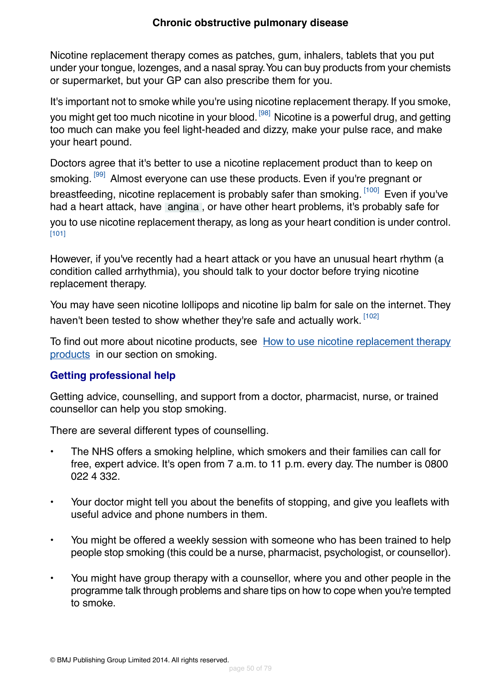### **Chronic obstructive pulmonary disease**

Nicotine replacement therapy comes as patches, gum, inhalers, tablets that you put under your tongue, lozenges, and a nasal spray.You can buy products from your chemists or supermarket, but your GP can also prescribe them for you.

It's important not to smoke while you're using nicotine replacement therapy. If you smoke, you might get too much nicotine in your blood.<sup>[\[98\]](#page-77-1)</sup> Nicotine is a powerful drug, and getting too much can make you feel light-headed and dizzy, make your pulse race, and make your heart pound.

Doctors agree that it's better to use a nicotine replacement product than to keep on smoking. <sup>[\[99\]](#page-77-2)</sup> Almost everyone can use these products. Even if you're pregnant or breastfeeding, nicotine replacement is probably safer than smoking. [\[100\]](#page-77-3) Even if you've had a heart attack, have [angina](#page-71-12) , or have other heart problems, it's probably safe for you to use nicotine replacement therapy, as long as your heart condition is under control. [\[101\]](#page-77-4)

However, if you've recently had a heart attack or you have an unusual heart rhythm (a condition called arrhythmia), you should talk to your doctor before trying nicotine replacement therapy.

You may have seen nicotine lollipops and nicotine lip balm for sale on the internet. They haven't been tested to show whether they're safe and actually work. [\[102\]](#page-77-5)

To find out more about nicotine products, see [How to use nicotine replacement therapy](http://besthealth.bmj.com) [products](http://besthealth.bmj.com) in our section on smoking.

### **Getting professional help**

Getting advice, counselling, and support from a doctor, pharmacist, nurse, or trained counsellor can help you stop smoking.

There are several different types of counselling.

- The NHS offers a smoking helpline, which smokers and their families can call for free, expert advice. It's open from 7 a.m. to 11 p.m. every day. The number is 0800 022 4 332.
- Your doctor might tell you about the benefits of stopping, and give you leaflets with useful advice and phone numbers in them.
- You might be offered a weekly session with someone who has been trained to help people stop smoking (this could be a nurse, pharmacist, psychologist, or counsellor).
- You might have group therapy with a counsellor, where you and other people in the programme talk through problems and share tips on how to cope when you're tempted to smoke.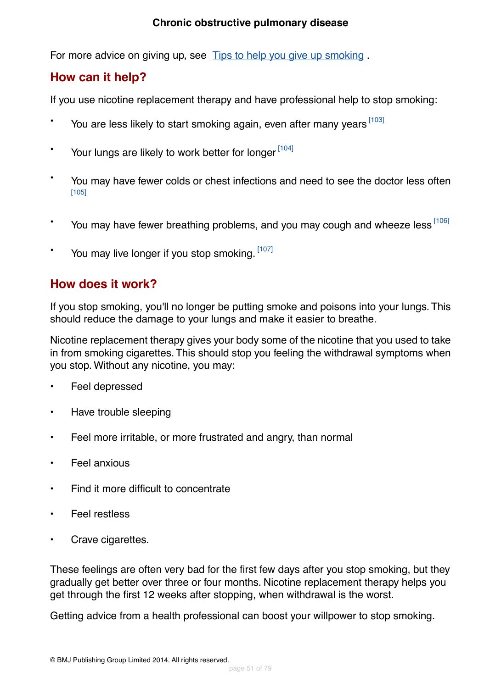### **Chronic obstructive pulmonary disease**

For more advice on giving up, see [Tips to help you give up smoking](http://besthealth.bmj.com).

## <span id="page-50-0"></span>**How can it help?**

If you use nicotine replacement therapy and have professional help to stop smoking:

- You are less likely to start smoking again, even after many years [\[103\]](#page-77-6)
- \* Your lungs are likely to work better for longer [\[104\]](#page-77-7)
- You may have fewer colds or chest infections and need to see the doctor less often [\[105\]](#page-77-8)
- \* You may have fewer breathing problems, and you may cough and wheeze less  $^{[106]}$  $^{[106]}$  $^{[106]}$
- <span id="page-50-1"></span>You may live longer if you stop smoking. [\[107\]](#page-77-10)

## **How does it work?**

If you stop smoking, you'll no longer be putting smoke and poisons into your lungs. This should reduce the damage to your lungs and make it easier to breathe.

Nicotine replacement therapy gives your body some of the nicotine that you used to take in from smoking cigarettes. This should stop you feeling the withdrawal symptoms when you stop. Without any nicotine, you may:

- Feel depressed
- Have trouble sleeping
- Feel more irritable, or more frustrated and angry, than normal
- Feel anxious
- Find it more difficult to concentrate
- Feel restless
- Crave cigarettes.

These feelings are often very bad for the first few days after you stop smoking, but they gradually get better over three or four months. Nicotine replacement therapy helps you get through the first 12 weeks after stopping, when withdrawal is the worst.

Getting advice from a health professional can boost your willpower to stop smoking.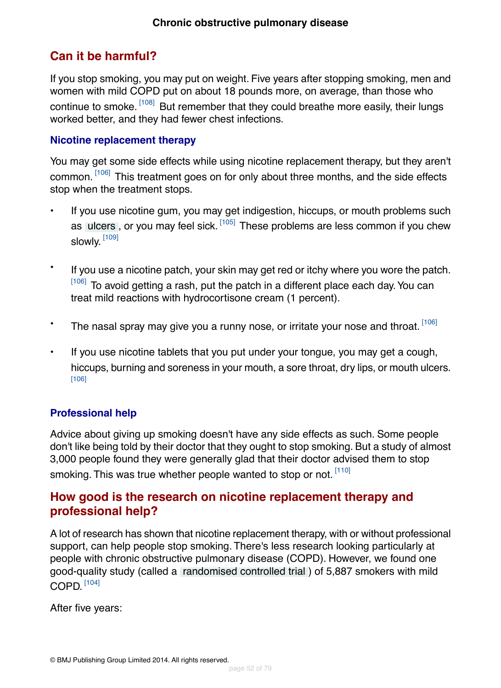## <span id="page-51-0"></span>**Can it be harmful?**

If you stop smoking, you may put on weight. Five years after stopping smoking, men and women with mild COPD put on about 18 pounds more, on average, than those who continue to smoke. <sup>[\[108\]](#page-77-11)</sup> But remember that they could breathe more easily, their lungs worked better, and they had fewer chest infections.

### **Nicotine replacement therapy**

You may get some side effects while using nicotine replacement therapy, but they aren't common. [\[106\]](#page-77-9) This treatment goes on for only about three months, and the side effects stop when the treatment stops.

- If you use nicotine gum, you may get indigestion, hiccups, or mouth problems such as [ulcers](#page-71-13), or you may feel sick. [\[105\]](#page-77-8) These problems are less common if you chew slowly.  $^{\left[109\right]}$
- If you use a nicotine patch, your skin may get red or itchy where you wore the patch. [\[106\]](#page-77-9) To avoid getting a rash, put the patch in a different place each day. You can treat mild reactions with hydrocortisone cream (1 percent).
- The nasal spray may give you a runny nose, or irritate your nose and throat. [\[106\]](#page-77-9)
- If you use nicotine tablets that you put under your tongue, you may get a cough, hiccups, burning and soreness in your mouth, a sore throat, dry lips, or mouth ulcers. [\[106\]](#page-77-9)

### **Professional help**

<span id="page-51-1"></span>Advice about giving up smoking doesn't have any side effects as such. Some people don't like being told by their doctor that they ought to stop smoking. But a study of almost 3,000 people found they were generally glad that their doctor advised them to stop smoking. This was true whether people wanted to stop or not. [\[110\]](#page-77-13)

## **How good is the research on nicotine replacement therapy and professional help?**

A lot of research has shown that nicotine replacement therapy, with or without professional support, can help people stop smoking. There's less research looking particularly at people with chronic obstructive pulmonary disease (COPD). However, we found one good-quality study (called a [randomised controlled trial](#page-70-3) ) of 5,887 smokers with mild  $\mathsf{COPD}.$   $^{[104]}$  $^{[104]}$  $^{[104]}$ 

After five years: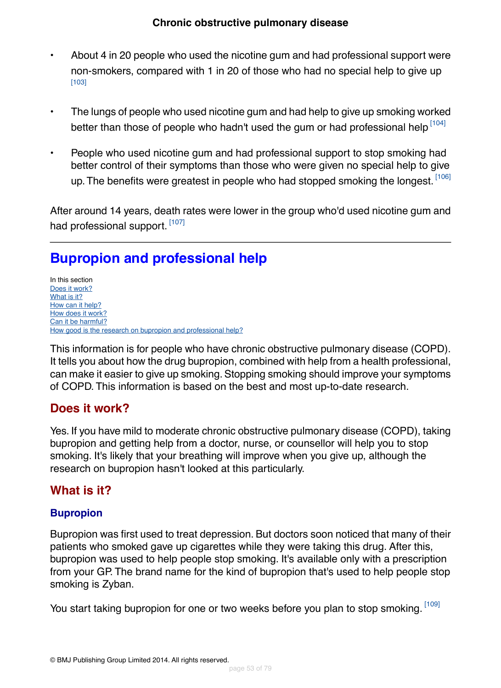- About 4 in 20 people who used the nicotine gum and had professional support were non-smokers, compared with 1 in 20 of those who had no special help to give up [\[103\]](#page-77-6)
- The lungs of people who used nicotine gum and had help to give up smoking worked better than those of people who hadn't used the gum or had professional help [\[104\]](#page-77-7)
- People who used nicotine gum and had professional support to stop smoking had better control of their symptoms than those who were given no special help to give up. The benefits were greatest in people who had stopped smoking the longest. [\[106\]](#page-77-9)

After around 14 years, death rates were lower in the group who'd used nicotine gum and had professional support.<sup>[\[107\]](#page-77-10)</sup>

# **Bupropion and professional help**

In this section [Does it work?](#page-52-0) [What is it?](#page-52-1) [How can it help?](#page-53-0) [How does it work?](#page-53-1) [Can it be harmful?](#page-53-2) [How good is the research on bupropion and professional help?](#page-54-0)

<span id="page-52-0"></span>This information is for people who have chronic obstructive pulmonary disease (COPD). It tells you about how the drug bupropion, combined with help from a health professional, can make it easier to give up smoking. Stopping smoking should improve your symptoms of COPD. This information is based on the best and most up-to-date research.

## **Does it work?**

<span id="page-52-1"></span>Yes. If you have mild to moderate chronic obstructive pulmonary disease (COPD), taking bupropion and getting help from a doctor, nurse, or counsellor will help you to stop smoking. It's likely that your breathing will improve when you give up, although the research on bupropion hasn't looked at this particularly.

## **What is it?**

## **Bupropion**

Bupropion was first used to treat depression. But doctors soon noticed that many of their patients who smoked gave up cigarettes while they were taking this drug. After this, bupropion was used to help people stop smoking. It's available only with a prescription from your GP. The brand name for the kind of bupropion that's used to help people stop smoking is Zyban.

You start taking bupropion for one or two weeks before you plan to stop smoking. [\[109\]](#page-77-12)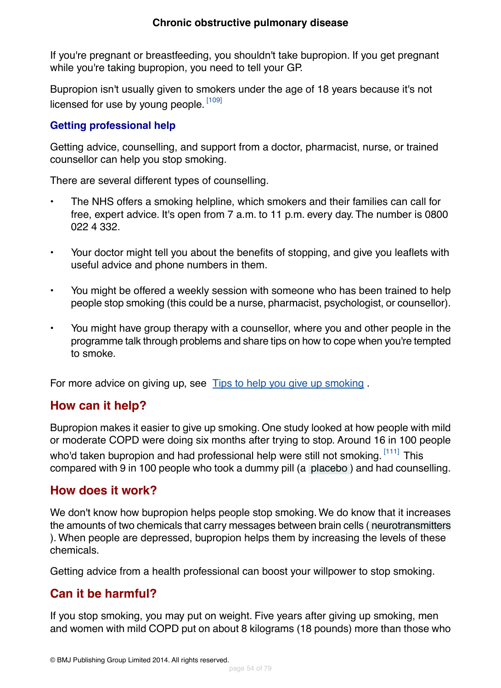If you're pregnant or breastfeeding, you shouldn't take bupropion. If you get pregnant while you're taking bupropion, you need to tell your GP.

Bupropion isn't usually given to smokers under the age of 18 years because it's not licensed for use by young people. <sup>[\[109\]](#page-77-12)</sup>

### **Getting professional help**

Getting advice, counselling, and support from a doctor, pharmacist, nurse, or trained counsellor can help you stop smoking.

There are several different types of counselling.

- The NHS offers a smoking helpline, which smokers and their families can call for free, expert advice. It's open from 7 a.m. to 11 p.m. every day. The number is 0800 022 4 332.
- Your doctor might tell you about the benefits of stopping, and give you leaflets with useful advice and phone numbers in them.
- You might be offered a weekly session with someone who has been trained to help people stop smoking (this could be a nurse, pharmacist, psychologist, or counsellor).
- You might have group therapy with a counsellor, where you and other people in the programme talk through problems and share tips on how to cope when you're tempted to smoke.

<span id="page-53-0"></span>For more advice on giving up, see [Tips to help you give up smoking](http://besthealth.bmj.com).

## **How can it help?**

<span id="page-53-1"></span>Bupropion makes it easier to give up smoking. One study looked at how people with mild or moderate COPD were doing six months after trying to stop. Around 16 in 100 people who'd taken bupropion and had professional help were still not smoking. [\[111\]](#page-77-14) This compared with 9 in 100 people who took a dummy pill (a [placebo](#page-70-0) ) and had counselling.

## **How does it work?**

<span id="page-53-2"></span>We don't know how bupropion helps people stop smoking. We do know that it increases the amounts of two chemicals that carry messages between brain cells ( [neurotransmitters](#page-71-14) ). When people are depressed, bupropion helps them by increasing the levels of these chemicals.

Getting advice from a health professional can boost your willpower to stop smoking.

## **Can it be harmful?**

If you stop smoking, you may put on weight. Five years after giving up smoking, men and women with mild COPD put on about 8 kilograms (18 pounds) more than those who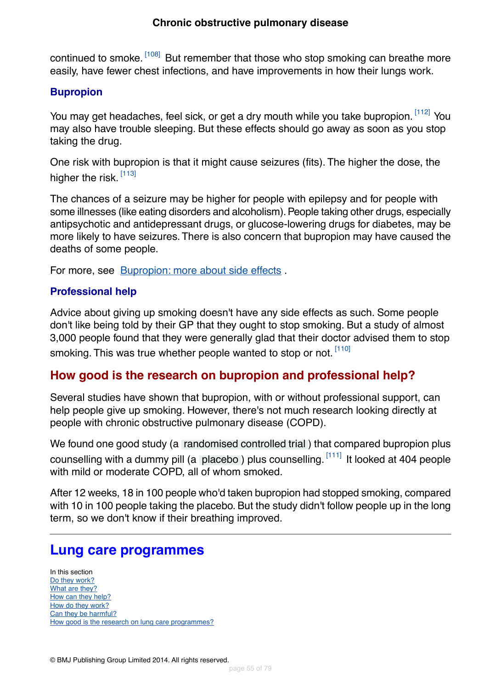### **Chronic obstructive pulmonary disease**

continued to smoke. <sup>[\[108\]](#page-77-11)</sup> But remember that those who stop smoking can breathe more easily, have fewer chest infections, and have improvements in how their lungs work.

### **Bupropion**

You may get headaches, feel sick, or get a dry mouth while you take bupropion. [\[112\]](#page-77-15) You may also have trouble sleeping. But these effects should go away as soon as you stop taking the drug.

One risk with bupropion is that it might cause seizures (fits). The higher the dose, the higher the risk. [\[113\]](#page-77-16)

The chances of a seizure may be higher for people with epilepsy and for people with some illnesses (like eating disorders and alcoholism). People taking other drugs, especially antipsychotic and antidepressant drugs, or glucose-lowering drugs for diabetes, may be more likely to have seizures.There is also concern that bupropion may have caused the deaths of some people.

For more, see [Bupropion: more about side effects](http://besthealth.bmj.com) .

### **Professional help**

<span id="page-54-0"></span>Advice about giving up smoking doesn't have any side effects as such. Some people don't like being told by their GP that they ought to stop smoking. But a study of almost 3,000 people found that they were generally glad that their doctor advised them to stop smoking. This was true whether people wanted to stop or not. [\[110\]](#page-77-13)

## **How good is the research on bupropion and professional help?**

Several studies have shown that bupropion, with or without professional support, can help people give up smoking. However, there's not much research looking directly at people with chronic obstructive pulmonary disease (COPD).

We found one good study (a [randomised controlled trial](#page-70-3) ) that compared bupropion plus counselling with a dummy pill (a [placebo](#page-70-0)) plus counselling.  $[111]$  It looked at 404 people with mild or moderate COPD, all of whom smoked.

After 12 weeks, 18 in 100 people who'd taken bupropion had stopped smoking, compared with 10 in 100 people taking the placebo. But the study didn't follow people up in the long term, so we don't know if their breathing improved.

## **Lung care programmes**

In this section [Do they work?](#page-55-0) [What are they?](#page-55-1) [How can they help?](#page-55-2) [How do they work?](#page-55-3) [Can they be harmful?](#page-55-4) [How good is the research on lung care programmes?](#page-56-0)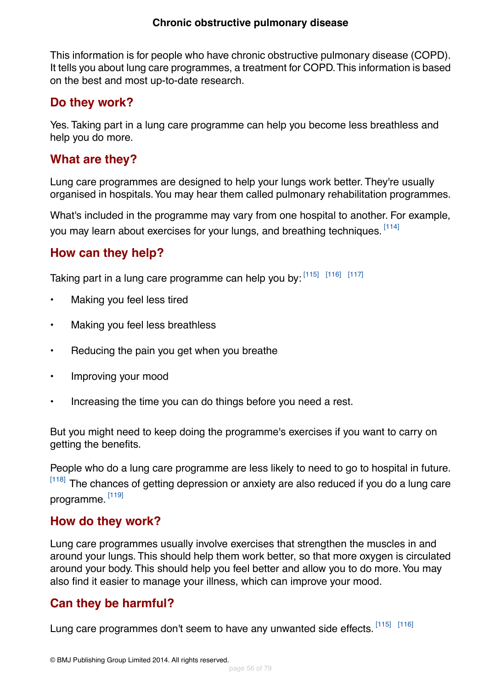<span id="page-55-5"></span>This information is for people who have chronic obstructive pulmonary disease (COPD). It tells you about lung care programmes, a treatment for COPD.This information is based on the best and most up-to-date research.

## <span id="page-55-0"></span>**Do they work?**

Yes. Taking part in a lung care programme can help you become less breathless and help you do more.

## <span id="page-55-1"></span>**What are they?**

Lung care programmes are designed to help your lungs work better. They're usually organised in hospitals.You may hear them called pulmonary rehabilitation programmes.

<span id="page-55-2"></span>What's included in the programme may vary from one hospital to another. For example, you may learn about exercises for your lungs, and breathing techniques. <sup>[\[114\]](#page-77-17)</sup>

## **How can they help?**

Taking part in a lung care programme can help you by: [\[115\]](#page-77-18) [\[116\]](#page-77-19) [\[117\]](#page-78-0)

- Making you feel less tired
- Making you feel less breathless
- Reducing the pain you get when you breathe
- Improving your mood
- Increasing the time you can do things before you need a rest.

But you might need to keep doing the programme's exercises if you want to carry on getting the benefits.

<span id="page-55-3"></span>People who do a lung care programme are less likely to need to go to hospital in future. [\[118\]](#page-78-1) The chances of getting depression or anxiety are also reduced if you do a lung care programme.  $^{\left[119\right]}$ 

## **How do they work?**

<span id="page-55-4"></span>Lung care programmes usually involve exercises that strengthen the muscles in and around your lungs. This should help them work better, so that more oxygen is circulated around your body. This should help you feel better and allow you to do more.You may also find it easier to manage your illness, which can improve your mood.

## **Can they be harmful?**

Lung care programmes don't seem to have any unwanted side effects. [\[115\]](#page-77-18) [\[116\]](#page-77-19)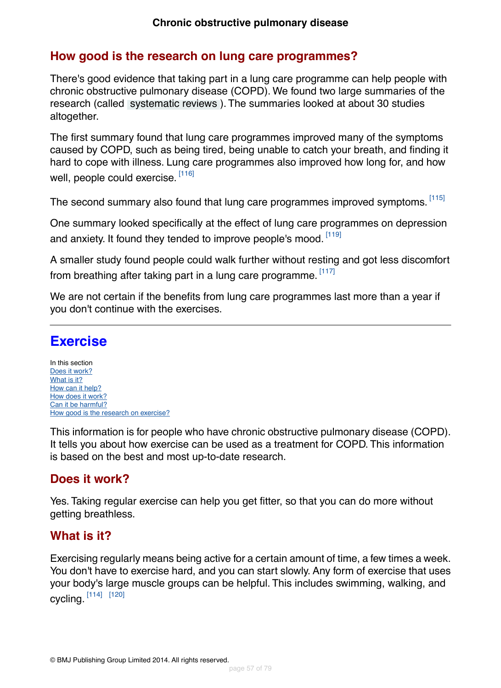## <span id="page-56-0"></span>**How good is the research on lung care programmes?**

There's good evidence that taking part in a lung care programme can help people with chronic obstructive pulmonary disease (COPD). We found two large summaries of the research (called [systematic reviews](#page-70-2) ). The summaries looked at about 30 studies altogether.

The first summary found that lung care programmes improved many of the symptoms caused by COPD, such as being tired, being unable to catch your breath, and finding it hard to cope with illness. Lung care programmes also improved how long for, and how well, people could exercise.  $^{\left[116\right]}$ 

The second summary also found that lung care programmes improved symptoms. [\[115\]](#page-77-18)

One summary looked specifically at the effect of lung care programmes on depression and anxiety. It found they tended to improve people's mood. [\[119\]](#page-78-2)

A smaller study found people could walk further without resting and got less discomfort from breathing after taking part in a lung care programme. <sup>[\[117\]](#page-78-0)</sup>

We are not certain if the benefits from lung care programmes last more than a year if you don't continue with the exercises.

## **Exercise**

In this section [Does it work?](#page-56-1) [What is it?](#page-56-2) [How can it help?](#page-57-0) [How does it work?](#page-57-1) [Can it be harmful?](#page-57-2) [How good is the research on exercise?](#page-57-3)

<span id="page-56-1"></span>This information is for people who have chronic obstructive pulmonary disease (COPD). It tells you about how exercise can be used as a treatment for COPD. This information is based on the best and most up-to-date research.

## <span id="page-56-2"></span>**Does it work?**

Yes. Taking regular exercise can help you get fitter, so that you can do more without getting breathless.

## **What is it?**

Exercising regularly means being active for a certain amount of time, a few times a week. You don't have to exercise hard, and you can start slowly. Any form of exercise that uses your body's large muscle groups can be helpful. This includes swimming, walking, and cycling. [\[114\]](#page-77-17) [\[120\]](#page-78-3)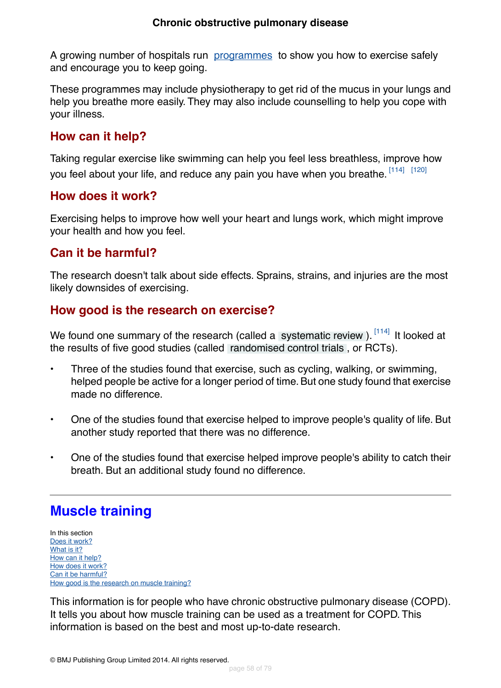A growing number of hospitals run [programmes](#page-55-5) to show you how to exercise safely and encourage you to keep going.

These programmes may include physiotherapy to get rid of the mucus in your lungs and help you breathe more easily. They may also include counselling to help you cope with your illness.

## <span id="page-57-0"></span>**How can it help?**

<span id="page-57-1"></span>Taking regular exercise like swimming can help you feel less breathless, improve how you feel about your life, and reduce any pain you have when you breathe.  $^{[114]}$  $^{[114]}$  $^{[114]}$   $^{[120]}$  $^{[120]}$  $^{[120]}$ 

## **How does it work?**

<span id="page-57-2"></span>Exercising helps to improve how well your heart and lungs work, which might improve your health and how you feel.

## **Can it be harmful?**

<span id="page-57-3"></span>The research doesn't talk about side effects. Sprains, strains, and injuries are the most likely downsides of exercising.

## **How good is the research on exercise?**

We found one summary of the research (called a [systematic review](#page-70-2)). [\[114\]](#page-77-17) It looked at the results of five good studies (called [randomised control trials](#page-70-3) , or RCTs).

- Three of the studies found that exercise, such as cycling, walking, or swimming, helped people be active for a longer period of time. But one study found that exercise made no difference
- One of the studies found that exercise helped to improve people's quality of life. But another study reported that there was no difference.
- One of the studies found that exercise helped improve people's ability to catch their breath. But an additional study found no difference.

# **Muscle training**

In this section [Does it work?](#page-58-0) [What is it?](#page-58-1) [How can it help?](#page-58-2) [How does it work?](#page-58-3) [Can it be harmful?](#page-58-4) [How good is the research on muscle training?](#page-58-5)

This information is for people who have chronic obstructive pulmonary disease (COPD). It tells you about how muscle training can be used as a treatment for COPD. This information is based on the best and most up-to-date research.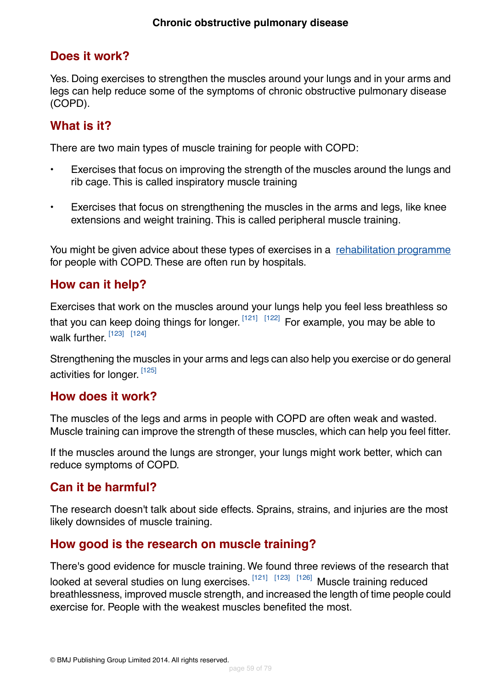## <span id="page-58-0"></span>**Does it work?**

Yes. Doing exercises to strengthen the muscles around your lungs and in your arms and legs can help reduce some of the symptoms of chronic obstructive pulmonary disease (COPD).

## <span id="page-58-1"></span>**What is it?**

There are two main types of muscle training for people with COPD:

- Exercises that focus on improving the strength of the muscles around the lungs and rib cage. This is called inspiratory muscle training
- Exercises that focus on strengthening the muscles in the arms and legs, like knee extensions and weight training. This is called peripheral muscle training.

<span id="page-58-2"></span>You might be given advice about these types of exercises in a [rehabilitation programme](#page-55-5) for people with COPD. These are often run by hospitals.

## **How can it help?**

Exercises that work on the muscles around your lungs help you feel less breathless so that you can keep doing things for longer.  $^{[121]}$  $^{[121]}$  $^{[121]}$   $^{[122]}$  $^{[122]}$  $^{[122]}$  For example, you may be able to walk further. [\[123\]](#page-78-6) [\[124\]](#page-78-7)

<span id="page-58-3"></span>Strengthening the muscles in your arms and legs can also help you exercise or do general activities for longer. [\[125\]](#page-78-8)

## **How does it work?**

The muscles of the legs and arms in people with COPD are often weak and wasted. Muscle training can improve the strength of these muscles, which can help you feel fitter.

<span id="page-58-4"></span>If the muscles around the lungs are stronger, your lungs might work better, which can reduce symptoms of COPD.

## <span id="page-58-5"></span>**Can it be harmful?**

The research doesn't talk about side effects. Sprains, strains, and injuries are the most likely downsides of muscle training.

## **How good is the research on muscle training?**

There's good evidence for muscle training. We found three reviews of the research that looked at several studies on lung exercises. [\[121\]](#page-78-4) [\[123\]](#page-78-6) [\[126\]](#page-78-9) Muscle training reduced breathlessness, improved muscle strength, and increased the length of time people could exercise for. People with the weakest muscles benefited the most.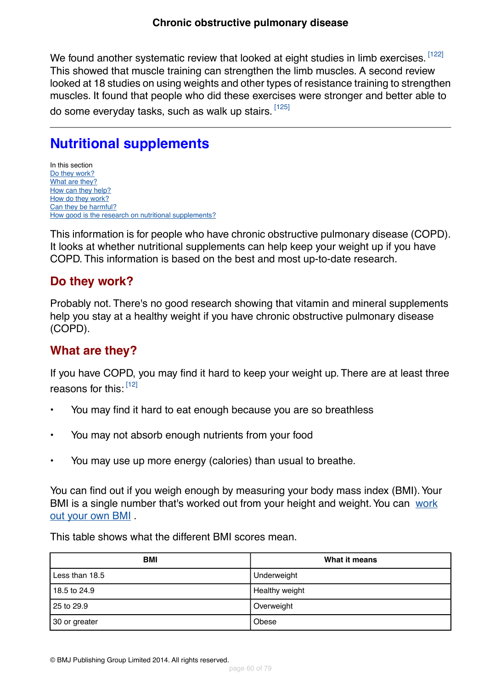We found another systematic review that looked at eight studies in limb exercises. [\[122\]](#page-78-5) This showed that muscle training can strengthen the limb muscles. A second review looked at 18 studies on using weights and other types of resistance training to strengthen muscles. It found that people who did these exercises were stronger and better able to do some everyday tasks, such as walk up stairs. <sup>[\[125\]](#page-78-8)</sup>

# **Nutritional supplements**

In this section [Do they work?](#page-59-0) [What are they?](#page-59-1) [How can they help?](#page-60-0) [How do they work?](#page-60-1) [Can they be harmful?](#page-60-2) [How good is the research on nutritional supplements?](#page-60-3)

<span id="page-59-0"></span>This information is for people who have chronic obstructive pulmonary disease (COPD). It looks at whether nutritional supplements can help keep your weight up if you have COPD. This information is based on the best and most up-to-date research.

## **Do they work?**

<span id="page-59-1"></span>Probably not. There's no good research showing that vitamin and mineral supplements help you stay at a healthy weight if you have chronic obstructive pulmonary disease (COPD).

## **What are they?**

If you have COPD, you may find it hard to keep your weight up. There are at least three reasons for this: [\[12\]](#page-72-0)

- You may find it hard to eat enough because you are so breathless
- You may not absorb enough nutrients from your food
- You may use up more energy (calories) than usual to breathe.

You can find out if you weigh enough by measuring your body mass index (BMI). Your BMI is a single number that's worked out from your height and weight.You can [work](bmicalc) [out your own BMI](bmicalc) .

This table shows what the different BMI scores mean.

| <b>BMI</b>     | What it means  |
|----------------|----------------|
| Less than 18.5 | Underweight    |
| 18.5 to 24.9   | Healthy weight |
| 25 to 29.9     | Overweight     |
| 30 or greater  | Obese          |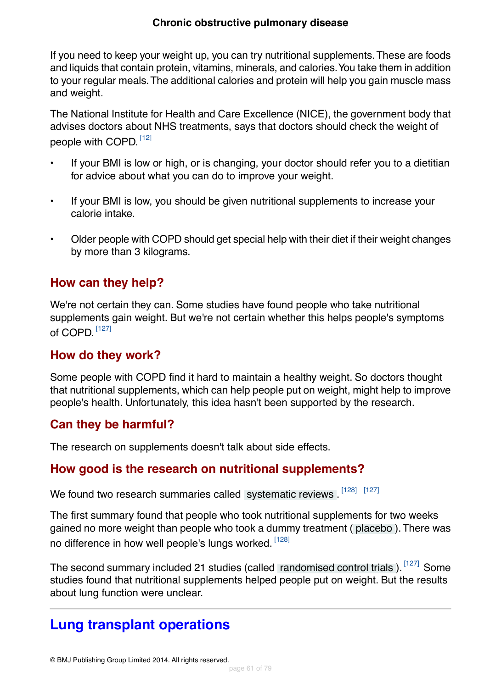### **Chronic obstructive pulmonary disease**

If you need to keep your weight up, you can try nutritional supplements.These are foods and liquids that contain protein, vitamins, minerals, and calories.You take them in addition to your regular meals.The additional calories and protein will help you gain muscle mass and weight.

The National Institute for Health and Care Excellence (NICE), the government body that advises doctors about NHS treatments, says that doctors should check the weight of people with COPD.  $^{\left[12\right]}$ 

- If your BMI is low or high, or is changing, your doctor should refer you to a dietitian for advice about what you can do to improve your weight.
- If your BMI is low, you should be given nutritional supplements to increase your calorie intake.
- <span id="page-60-0"></span>• Older people with COPD should get special help with their diet if their weight changes by more than 3 kilograms.

## **How can they help?**

<span id="page-60-1"></span>We're not certain they can. Some studies have found people who take nutritional supplements gain weight. But we're not certain whether this helps people's symptoms of COPD.  $^{\left[127\right]}$ 

## **How do they work?**

<span id="page-60-2"></span>Some people with COPD find it hard to maintain a healthy weight. So doctors thought that nutritional supplements, which can help people put on weight, might help to improve people's health. Unfortunately, this idea hasn't been supported by the research.

## <span id="page-60-3"></span>**Can they be harmful?**

The research on supplements doesn't talk about side effects.

## **How good is the research on nutritional supplements?**

We found two research summaries called [systematic reviews](#page-70-2). [\[128\]](#page-78-11) [\[127\]](#page-78-10)

The first summary found that people who took nutritional supplements for two weeks gained no more weight than people who took a dummy treatment ( [placebo](#page-70-0) ).There was no difference in how well people's lungs worked. [\[128\]](#page-78-11)

The second summary included 21 studies (called [randomised control trials](#page-70-3)). [\[127\]](#page-78-10) Some studies found that nutritional supplements helped people put on weight. But the results about lung function were unclear.

# **Lung transplant operations**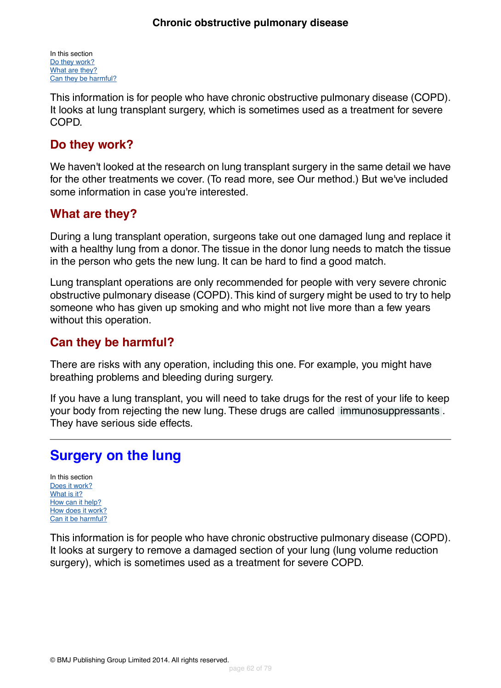In this section [Do they work?](#page-61-0) [What are they?](#page-61-1) [Can they be harmful?](#page-61-2)

This information is for people who have chronic obstructive pulmonary disease (COPD). It looks at lung transplant surgery, which is sometimes used as a treatment for severe COPD.

## <span id="page-61-0"></span>**Do they work?**

We haven't looked at the research on lung transplant surgery in the same detail we have for the other treatments we cover. (To read more, see Our method.) But we've included some information in case you're interested.

## <span id="page-61-1"></span>**What are they?**

During a lung transplant operation, surgeons take out one damaged lung and replace it with a healthy lung from a donor. The tissue in the donor lung needs to match the tissue in the person who gets the new lung. It can be hard to find a good match.

<span id="page-61-2"></span>Lung transplant operations are only recommended for people with very severe chronic obstructive pulmonary disease (COPD).This kind of surgery might be used to try to help someone who has given up smoking and who might not live more than a few years without this operation.

## **Can they be harmful?**

There are risks with any operation, including this one. For example, you might have breathing problems and bleeding during surgery.

If you have a lung transplant, you will need to take drugs for the rest of your life to keep your body from rejecting the new lung. These drugs are called [immunosuppressants](#page-72-1) . They have serious side effects.

# **Surgery on the lung**

In this section [Does it work?](#page-62-0) [What is it?](#page-62-1) [How can it help?](#page-62-2) [How does it work?](#page-62-3) [Can it be harmful?](#page-63-0)

This information is for people who have chronic obstructive pulmonary disease (COPD). It looks at surgery to remove a damaged section of your lung (lung volume reduction surgery), which is sometimes used as a treatment for severe COPD.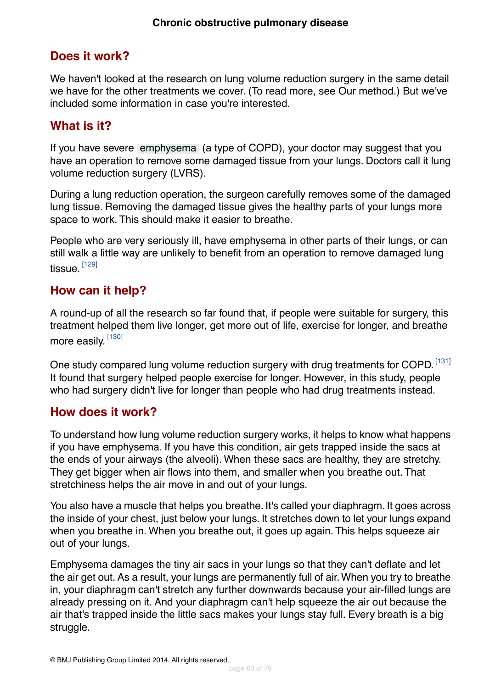## <span id="page-62-0"></span>**Does it work?**

We haven't looked at the research on lung volume reduction surgery in the same detail we have for the other treatments we cover. (To read more, see Our method.) But we've included some information in case you're interested.

## <span id="page-62-1"></span>**What is it?**

If you have severe [emphysema](#page-69-0) (a type of COPD), your doctor may suggest that you have an operation to remove some damaged tissue from your lungs. Doctors call it lung volume reduction surgery (LVRS).

During a lung reduction operation, the surgeon carefully removes some of the damaged lung tissue. Removing the damaged tissue gives the healthy parts of your lungs more space to work. This should make it easier to breathe.

<span id="page-62-2"></span>People who are very seriously ill, have emphysema in other parts of their lungs, or can still walk a little way are unlikely to benefit from an operation to remove damaged lung tissue. <sup>[\[129\]](#page-78-12)</sup>

## **How can it help?**

A round-up of all the research so far found that, if people were suitable for surgery, this treatment helped them live longer, get more out of life, exercise for longer, and breathe more easily. <sup>[\[130\]](#page-78-13)</sup>

<span id="page-62-3"></span>One study compared lung volume reduction surgery with drug treatments for COPD. [\[131\]](#page-78-14) It found that surgery helped people exercise for longer. However, in this study, people who had surgery didn't live for longer than people who had drug treatments instead.

## **How does it work?**

To understand how lung volume reduction surgery works, it helps to know what happens if you have emphysema. If you have this condition, air gets trapped inside the sacs at the ends of your airways (the alveoli). When these sacs are healthy, they are stretchy. They get bigger when air flows into them, and smaller when you breathe out. That stretchiness helps the air move in and out of your lungs.

You also have a muscle that helps you breathe. It's called your diaphragm. It goes across the inside of your chest, just below your lungs. It stretches down to let your lungs expand when you breathe in. When you breathe out, it goes up again. This helps squeeze air out of your lungs.

Emphysema damages the tiny air sacs in your lungs so that they can't deflate and let the air get out. As a result, your lungs are permanently full of air.When you try to breathe in, your diaphragm can't stretch any further downwards because your air-filled lungs are already pressing on it. And your diaphragm can't help squeeze the air out because the air that's trapped inside the little sacs makes your lungs stay full. Every breath is a big struggle.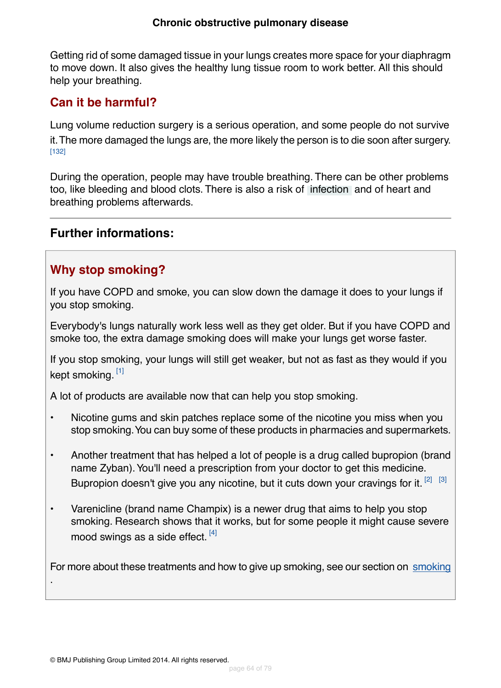### **Chronic obstructive pulmonary disease**

Getting rid of some damaged tissue in your lungs creates more space for your diaphragm to move down. It also gives the healthy lung tissue room to work better. All this should help your breathing.

## <span id="page-63-0"></span>**Can it be harmful?**

Lung volume reduction surgery is a serious operation, and some people do not survive it.The more damaged the lungs are, the more likely the person is to die soon after surgery. [\[132\]](#page-78-15)

During the operation, people may have trouble breathing. There can be other problems too, like bleeding and blood clots. There is also a risk of [infection](#page-69-2) and of heart and breathing problems afterwards.

## **Further informations:**

## **Why stop smoking?**

If you have COPD and smoke, you can slow down the damage it does to your lungs if you stop smoking.

Everybody's lungs naturally work less well as they get older. But if you have COPD and smoke too, the extra damage smoking does will make your lungs get worse faster.

If you stop smoking, your lungs will still get weaker, but not as fast as they would if you kept smoking. <sup>[\[1\]](#page-72-2)</sup>

A lot of products are available now that can help you stop smoking.

- Nicotine gums and skin patches replace some of the nicotine you miss when you stop smoking.You can buy some of these products in pharmacies and supermarkets.
- Another treatment that has helped a lot of people is a drug called bupropion (brand name Zyban). You'll need a prescription from your doctor to get this medicine. Bupropion doesn't give you any nicotine, but it cuts down your cravings for it.  $[2]$   $[3]$
- Varenicline (brand name Champix) is a newer drug that aims to help you stop smoking. Research shows that it works, but for some people it might cause severe mood swings as a side effect.<sup>[\[4\]](#page-72-5)</sup>

For more about these treatments and how to give up [smoking](http://besthealth.bmj.com), see our section on smoking

.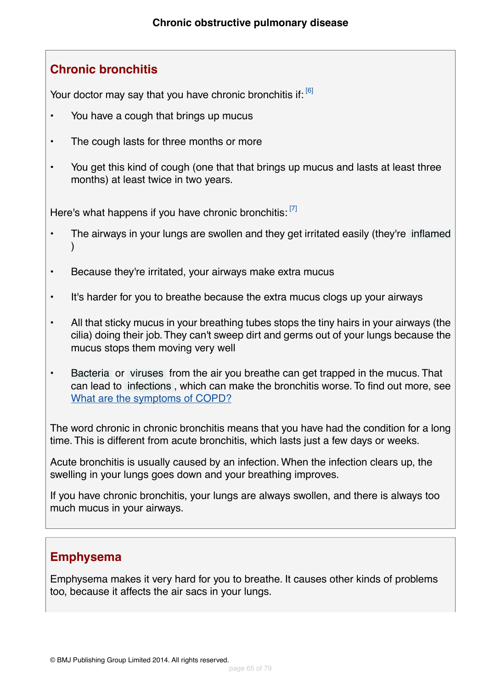## **Chronic bronchitis**

Your doctor may say that you have chronic bronchitis if: [\[6\]](#page-72-6)

- You have a cough that brings up mucus
- The cough lasts for three months or more
- You get this kind of cough (one that that brings up mucus and lasts at least three months) at least twice in two years.

Here's what happens if you have chronic bronchitis: [\[7\]](#page-72-7)

- The airways in your lungs are swollen and they get irritated easily (they're [inflamed](#page-69-3)  $\lambda$
- Because they're irritated, your airways make extra mucus
- It's harder for you to breathe because the extra mucus clogs up your airways
- All that sticky mucus in your breathing tubes stops the tiny hairs in your airways (the cilia) doing their job.They can't sweep dirt and germs out of your lungs because the mucus stops them moving very well
- [Bacteria](#page-69-1) or [viruses](#page-69-4) from the air you breathe can get trapped in the mucus. That can lead to [infections](#page-69-2) , which can make the bronchitis worse. To find out more, see [What are the symptoms of COPD?](#page-6-0)

The word chronic in chronic bronchitis means that you have had the condition for a long time. This is different from acute bronchitis, which lasts just a few days or weeks.

Acute bronchitis is usually caused by an infection. When the infection clears up, the swelling in your lungs goes down and your breathing improves.

If you have chronic bronchitis, your lungs are always swollen, and there is always too much mucus in your airways.

## **Emphysema**

Emphysema makes it very hard for you to breathe. It causes other kinds of problems too, because it affects the air sacs in your lungs.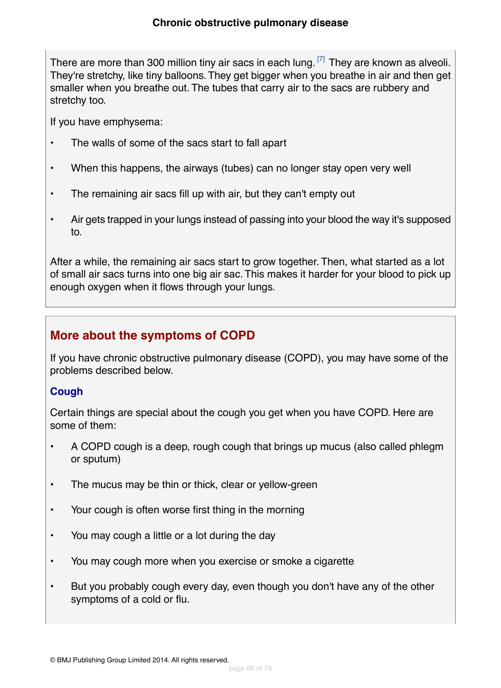There are more than 300 million tiny air sacs in each lung.  $[7]$  They are known as alveoli. They're stretchy, like tiny balloons.They get bigger when you breathe in air and then get smaller when you breathe out. The tubes that carry air to the sacs are rubbery and stretchy too.

If you have emphysema:

- The walls of some of the sacs start to fall apart
- When this happens, the airways (tubes) can no longer stay open very well
- The remaining air sacs fill up with air, but they can't empty out
- Air gets trapped in your lungs instead of passing into your blood the way it's supposed to.

After a while, the remaining air sacs start to grow together. Then, what started as a lot of small air sacs turns into one big air sac.This makes it harder for your blood to pick up enough oxygen when it flows through your lungs.

## **More about the symptoms of COPD**

If you have chronic obstructive pulmonary disease (COPD), you may have some of the problems described below.

## **Cough**

Certain things are special about the cough you get when you have COPD. Here are some of them:

- A COPD cough is a deep, rough cough that brings up mucus (also called phlegm or sputum)
- The mucus may be thin or thick, clear or yellow-green
- Your cough is often worse first thing in the morning
- You may cough a little or a lot during the day
- You may cough more when you exercise or smoke a cigarette
- But you probably cough every day, even though you don't have any of the other symptoms of a cold or flu.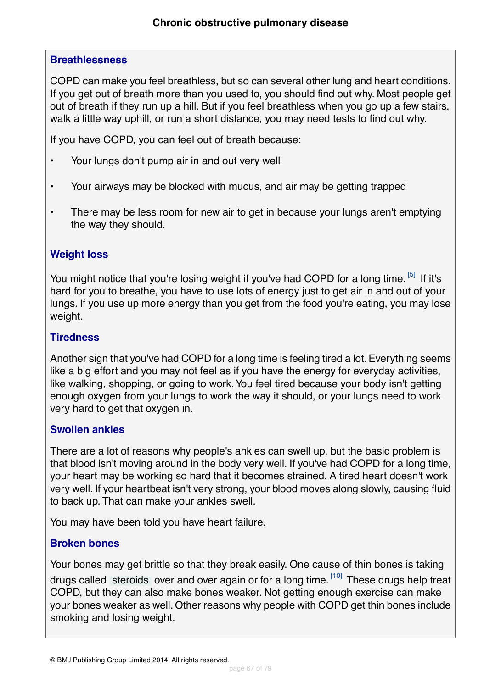## **Breathlessness**

COPD can make you feel breathless, but so can several other lung and heart conditions. If you get out of breath more than you used to, you should find out why. Most people get out of breath if they run up a hill. But if you feel breathless when you go up a few stairs, walk a little way uphill, or run a short distance, you may need tests to find out why.

If you have COPD, you can feel out of breath because:

- Your lungs don't pump air in and out very well
- Your airways may be blocked with mucus, and air may be getting trapped
- There may be less room for new air to get in because your lungs aren't emptying the way they should.

## **Weight loss**

You might notice that you're losing weight if you've had COPD for a long time. <sup>[\[5\]](#page-72-8)</sup> If it's hard for you to breathe, you have to use lots of energy just to get air in and out of your lungs. If you use up more energy than you get from the food you're eating, you may lose weight.

### **Tiredness**

Another sign that you've had COPD for a long time is feeling tired a lot. Everything seems like a big effort and you may not feel as if you have the energy for everyday activities, like walking, shopping, or going to work.You feel tired because your body isn't getting enough oxygen from your lungs to work the way it should, or your lungs need to work very hard to get that oxygen in.

### **Swollen ankles**

There are a lot of reasons why people's ankles can swell up, but the basic problem is that blood isn't moving around in the body very well. If you've had COPD for a long time, your heart may be working so hard that it becomes strained. A tired heart doesn't work very well. If your heartbeat isn't very strong, your blood moves along slowly, causing fluid to back up. That can make your ankles swell.

You may have been told you have heart failure.

## **Broken bones**

Your bones may get brittle so that they break easily. One cause of thin bones is taking drugs called [steroids](#page-70-4) over and over again or for a long time. <sup>[\[10\]](#page-72-9)</sup> These drugs help treat COPD, but they can also make bones weaker. Not getting enough exercise can make your bones weaker as well. Other reasons why people with COPD get thin bones include smoking and losing weight.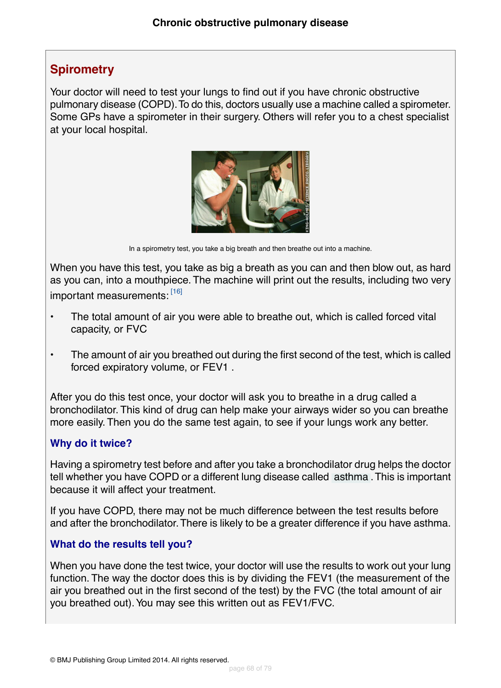## <span id="page-67-0"></span>**Spirometry**

Your doctor will need to test your lungs to find out if you have chronic obstructive pulmonary disease (COPD).To do this, doctors usually use a machine called a spirometer. Some GPs have a spirometer in their surgery. Others will refer you to a chest specialist at your local hospital.



In a spirometry test, you take a big breath and then breathe out into a machine.

When you have this test, you take as big a breath as you can and then blow out, as hard as you can, into a mouthpiece. The machine will print out the results, including two very important measurements: [\[16\]](#page-72-10)

- The total amount of air you were able to breathe out, which is called forced vital capacity, or FVC
- The amount of air you breathed out during the first second of the test, which is called forced expiratory volume, or FEV1 .

After you do this test once, your doctor will ask you to breathe in a drug called a bronchodilator. This kind of drug can help make your airways wider so you can breathe more easily. Then you do the same test again, to see if your lungs work any better.

### **Why do it twice?**

Having a spirometry test before and after you take a bronchodilator drug helps the doctor tell whether you have COPD or a different lung disease called [asthma](#page-70-5) .This is important because it will affect your treatment.

If you have COPD, there may not be much difference between the test results before and after the bronchodilator.There is likely to be a greater difference if you have asthma.

### **What do the results tell you?**

When you have done the test twice, your doctor will use the results to work out your lung function. The way the doctor does this is by dividing the FEV1 (the measurement of the air you breathed out in the first second of the test) by the FVC (the total amount of air you breathed out).You may see this written out as FEV1/FVC.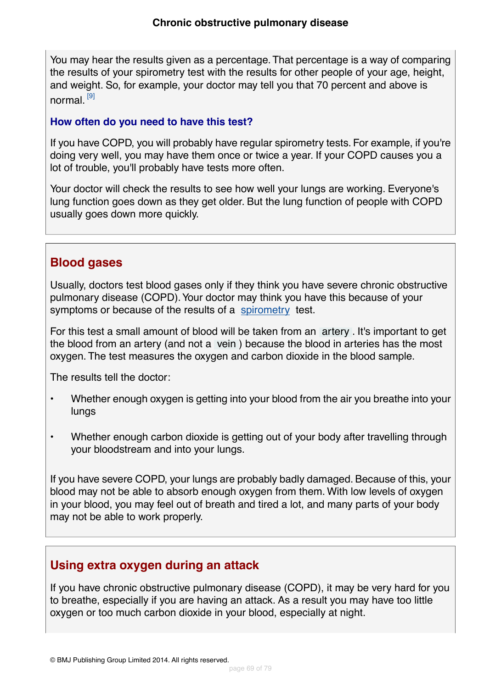You may hear the results given as a percentage.That percentage is a way of comparing the results of your spirometry test with the results for other people of your age, height, and weight. So, for example, your doctor may tell you that 70 percent and above is normal. [\[9\]](#page-72-11)

### **How often do you need to have this test?**

If you have COPD, you will probably have regular spirometry tests. For example, if you're doing very well, you may have them once or twice a year. If your COPD causes you a lot of trouble, you'll probably have tests more often.

Your doctor will check the results to see how well your lungs are working. Everyone's lung function goes down as they get older. But the lung function of people with COPD usually goes down more quickly.

## **Blood gases**

Usually, doctors test blood gases only if they think you have severe chronic obstructive pulmonary disease (COPD).Your doctor may think you have this because of your symptoms or because of the results of a [spirometry](#page-67-0) test.

For this test a small amount of blood will be taken from an [artery](#page-70-6) . It's important to get the blood from an artery (and not a [vein](#page-70-7) ) because the blood in arteries has the most oxygen. The test measures the oxygen and carbon dioxide in the blood sample.

The results tell the doctor:

- Whether enough oxygen is getting into your blood from the air you breathe into your lungs
- Whether enough carbon dioxide is getting out of your body after travelling through your bloodstream and into your lungs.

If you have severe COPD, your lungs are probably badly damaged. Because of this, your blood may not be able to absorb enough oxygen from them. With low levels of oxygen in your blood, you may feel out of breath and tired a lot, and many parts of your body may not be able to work properly.

## **Using extra oxygen during an attack**

If you have chronic obstructive pulmonary disease (COPD), it may be very hard for you to breathe, especially if you are having an attack. As a result you may have too little oxygen or too much carbon dioxide in your blood, especially at night.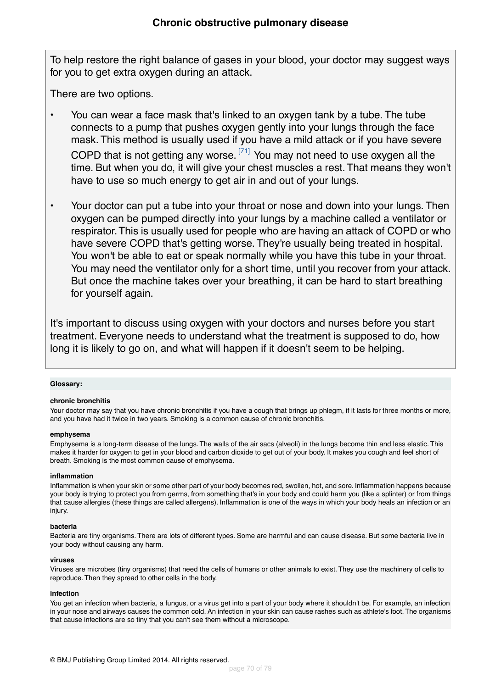To help restore the right balance of gases in your blood, your doctor may suggest ways for you to get extra oxygen during an attack.

There are two options.

- You can wear a face mask that's linked to an oxygen tank by a tube. The tube connects to a pump that pushes oxygen gently into your lungs through the face mask. This method is usually used if you have a mild attack or if you have severe COPD that is not getting any worse.<sup>[\[71\]](#page-75-5)</sup> You may not need to use oxygen all the time. But when you do, it will give your chest muscles a rest. That means they won't have to use so much energy to get air in and out of your lungs.
- Your doctor can put a tube into your throat or nose and down into your lungs. Then oxygen can be pumped directly into your lungs by a machine called a ventilator or respirator.This is usually used for people who are having an attack of COPD or who have severe COPD that's getting worse. They're usually being treated in hospital. You won't be able to eat or speak normally while you have this tube in your throat. You may need the ventilator only for a short time, until you recover from your attack. But once the machine takes over your breathing, it can be hard to start breathing for yourself again.

It's important to discuss using oxygen with your doctors and nurses before you start treatment. Everyone needs to understand what the treatment is supposed to do, how long it is likely to go on, and what will happen if it doesn't seem to be helping.

### <span id="page-69-0"></span>**Glossary:**

### **chronic bronchitis**

Your doctor may say that you have chronic bronchitis if you have a cough that brings up phlegm, if it lasts for three months or more, and you have had it twice in two years. Smoking is a common cause of chronic bronchitis.

### <span id="page-69-3"></span>**emphysema**

Emphysema is a long-term disease of the lungs. The walls of the air sacs (alveoli) in the lungs become thin and less elastic. This makes it harder for oxygen to get in your blood and carbon dioxide to get out of your body. It makes you cough and feel short of breath. Smoking is the most common cause of emphysema.

### <span id="page-69-1"></span>**inflammation**

<span id="page-69-4"></span>Inflammation is when your skin or some other part of your body becomes red, swollen, hot, and sore. Inflammation happens because your body is trying to protect you from germs, from something that's in your body and could harm you (like a splinter) or from things that cause allergies (these things are called allergens). Inflammation is one of the ways in which your body heals an infection or an injury.

### **bacteria**

<span id="page-69-2"></span>Bacteria are tiny organisms. There are lots of different types. Some are harmful and can cause disease. But some bacteria live in your body without causing any harm.

### **viruses**

Viruses are microbes (tiny organisms) that need the cells of humans or other animals to exist. They use the machinery of cells to reproduce. Then they spread to other cells in the body.

### **infection**

You get an infection when bacteria, a fungus, or a virus get into a part of your body where it shouldn't be. For example, an infection in your nose and airways causes the common cold. An infection in your skin can cause rashes such as athlete's foot.The organisms that cause infections are so tiny that you can't see them without a microscope.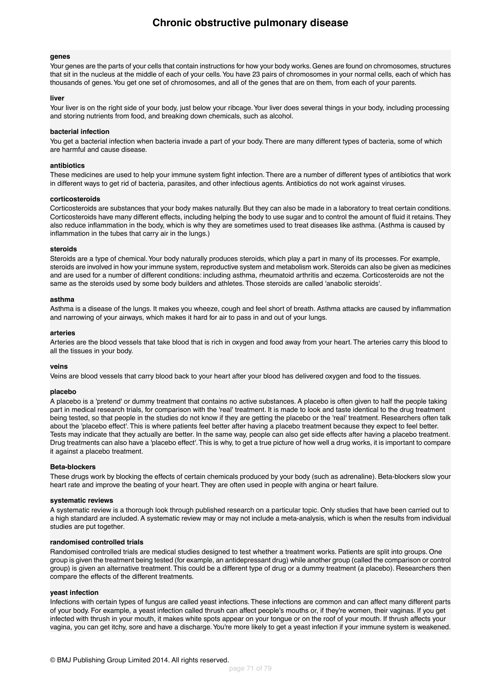#### **genes**

Your genes are the parts of your cells that contain instructions for how your body works. Genes are found on chromosomes, structures that sit in the nucleus at the middle of each of your cells.You have 23 pairs of chromosomes in your normal cells, each of which has thousands of genes.You get one set of chromosomes, and all of the genes that are on them, from each of your parents.

#### <span id="page-70-1"></span>**liver**

Your liver is on the right side of your body, just below your ribcage. Your liver does several things in your body, including processing and storing nutrients from food, and breaking down chemicals, such as alcohol.

#### **bacterial infection**

You get a bacterial infection when bacteria invade a part of your body. There are many different types of bacteria, some of which are harmful and cause disease.

#### **antibiotics**

These medicines are used to help your immune system fight infection. There are a number of different types of antibiotics that work in different ways to get rid of bacteria, parasites, and other infectious agents. Antibiotics do not work against viruses.

#### **corticosteroids**

<span id="page-70-4"></span>Corticosteroids are substances that your body makes naturally. But they can also be made in a laboratory to treat certain conditions. Corticosteroids have many different effects, including helping the body to use sugar and to control the amount of fluid it retains.They also reduce inflammation in the body, which is why they are sometimes used to treat diseases like asthma. (Asthma is caused by inflammation in the tubes that carry air in the lungs.)

#### **steroids**

<span id="page-70-5"></span>Steroids are a type of chemical.Your body naturally produces steroids, which play a part in many of its processes. For example, steroids are involved in how your immune system, reproductive system and metabolism work. Steroids can also be given as medicines and are used for a number of different conditions: including asthma, rheumatoid arthritis and eczema. Corticosteroids are not the same as the steroids used by some body builders and athletes. Those steroids are called 'anabolic steroids'.

#### <span id="page-70-6"></span>**asthma**

Asthma is a disease of the lungs. It makes you wheeze, cough and feel short of breath. Asthma attacks are caused by inflammation and narrowing of your airways, which makes it hard for air to pass in and out of your lungs.

#### <span id="page-70-7"></span>**arteries**

<span id="page-70-0"></span>Arteries are the blood vessels that take blood that is rich in oxygen and food away from your heart. The arteries carry this blood to all the tissues in your body.

#### **veins**

Veins are blood vessels that carry blood back to your heart after your blood has delivered oxygen and food to the tissues.

#### **placebo**

A placebo is a 'pretend' or dummy treatment that contains no active substances. A placebo is often given to half the people taking part in medical research trials, for comparison with the 'real' treatment. It is made to look and taste identical to the drug treatment being tested, so that people in the studies do not know if they are getting the placebo or the 'real' treatment. Researchers often talk about the 'placebo effect'. This is where patients feel better after having a placebo treatment because they expect to feel better. Tests may indicate that they actually are better. In the same way, people can also get side effects after having a placebo treatment. Drug treatments can also have a 'placebo effect'.This is why, to get a true picture of how well a drug works, it is important to compare it against a placebo treatment.

#### <span id="page-70-2"></span>**Beta-blockers**

<span id="page-70-3"></span>These drugs work by blocking the effects of certain chemicals produced by your body (such as adrenaline). Beta-blockers slow your heart rate and improve the beating of your heart. They are often used in people with angina or heart failure.

#### **systematic reviews**

A systematic review is a thorough look through published research on a particular topic. Only studies that have been carried out to a high standard are included. A systematic review may or may not include a meta-analysis, which is when the results from individual studies are put together.

#### **randomised controlled trials**

Randomised controlled trials are medical studies designed to test whether a treatment works. Patients are split into groups. One group is given the treatment being tested (for example, an antidepressant drug) while another group (called the comparison or control group) is given an alternative treatment. This could be a different type of drug or a dummy treatment (a placebo). Researchers then compare the effects of the different treatments.

#### **yeast infection**

Infections with certain types of fungus are called yeast infections. These infections are common and can affect many different parts of your body. For example, a yeast infection called thrush can affect people's mouths or, if they're women, their vaginas. If you get infected with thrush in your mouth, it makes white spots appear on your tongue or on the roof of your mouth. If thrush affects your vagina, you can get itchy, sore and have a discharge.You're more likely to get a yeast infection if your immune system is weakened.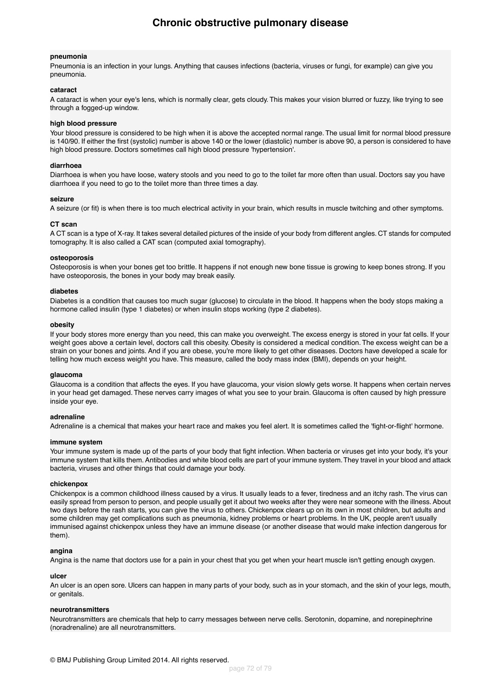### **Chronic obstructive pulmonary disease**

#### <span id="page-71-3"></span>**pneumonia**

Pneumonia is an infection in your lungs. Anything that causes infections (bacteria, viruses or fungi, for example) can give you pneumonia.

#### <span id="page-71-7"></span>**cataract**

A cataract is when your eye's lens, which is normally clear, gets cloudy. This makes your vision blurred or fuzzy, like trying to see through a fogged-up window.

#### **high blood pressure**

<span id="page-71-0"></span>Your blood pressure is considered to be high when it is above the accepted normal range. The usual limit for normal blood pressure is 140/90. If either the first (systolic) number is above 140 or the lower (diastolic) number is above 90, a person is considered to have high blood pressure. Doctors sometimes call high blood pressure 'hypertension'.

#### **diarrhoea**

<span id="page-71-1"></span>Diarrhoea is when you have loose, watery stools and you need to go to the toilet far more often than usual. Doctors say you have diarrhoea if you need to go to the toilet more than three times a day.

#### <span id="page-71-2"></span>**seizure**

A seizure (or fit) is when there is too much electrical activity in your brain, which results in muscle twitching and other symptoms.

#### **CT scan**

<span id="page-71-4"></span>A CT scan is a type of X-ray. It takes several detailed pictures of the inside of your body from different angles. CT stands for computed tomography. It is also called a CAT scan (computed axial tomography).

#### <span id="page-71-5"></span>**osteoporosis**

Osteoporosis is when your bones get too brittle. It happens if not enough new bone tissue is growing to keep bones strong. If you have osteoporosis, the bones in your body may break easily.

#### <span id="page-71-6"></span>**diabetes**

Diabetes is a condition that causes too much sugar (glucose) to circulate in the blood. It happens when the body stops making a hormone called insulin (type 1 diabetes) or when insulin stops working (type 2 diabetes).

#### **obesity**

<span id="page-71-8"></span>If your body stores more energy than you need, this can make you overweight. The excess energy is stored in your fat cells. If your weight goes above a certain level, doctors call this obesity. Obesity is considered a medical condition. The excess weight can be a strain on your bones and joints. And if you are obese, you're more likely to get other diseases. Doctors have developed a scale for telling how much excess weight you have. This measure, called the body mass index (BMI), depends on your height.

#### <span id="page-71-9"></span>**glaucoma**

<span id="page-71-10"></span>Glaucoma is a condition that affects the eyes. If you have glaucoma, your vision slowly gets worse. It happens when certain nerves in your head get damaged. These nerves carry images of what you see to your brain. Glaucoma is often caused by high pressure inside your eye.

#### **adrenaline**

<span id="page-71-11"></span>Adrenaline is a chemical that makes your heart race and makes you feel alert. It is sometimes called the 'fight-or-flight' hormone.

#### **immune system**

Your immune system is made up of the parts of your body that fight infection. When bacteria or viruses get into your body, it's your immune system that kills them. Antibodies and white blood cells are part of your immune system.They travel in your blood and attack bacteria, viruses and other things that could damage your body.

#### **chickenpox**

<span id="page-71-13"></span><span id="page-71-12"></span>Chickenpox is a common childhood illness caused by a virus. It usually leads to a fever, tiredness and an itchy rash. The virus can easily spread from person to person, and people usually get it about two weeks after they were near someone with the illness. About two days before the rash starts, you can give the virus to others. Chickenpox clears up on its own in most children, but adults and some children may get complications such as pneumonia, kidney problems or heart problems. In the UK, people aren't usually immunised against chickenpox unless they have an immune disease (or another disease that would make infection dangerous for them).

#### <span id="page-71-14"></span>**angina**

Angina is the name that doctors use for a pain in your chest that you get when your heart muscle isn't getting enough oxygen.

#### **ulcer**

An ulcer is an open sore. Ulcers can happen in many parts of your body, such as in your stomach, and the skin of your legs, mouth, or genitals.

#### **neurotransmitters**

Neurotransmitters are chemicals that help to carry messages between nerve cells. Serotonin, dopamine, and norepinephrine (noradrenaline) are all neurotransmitters.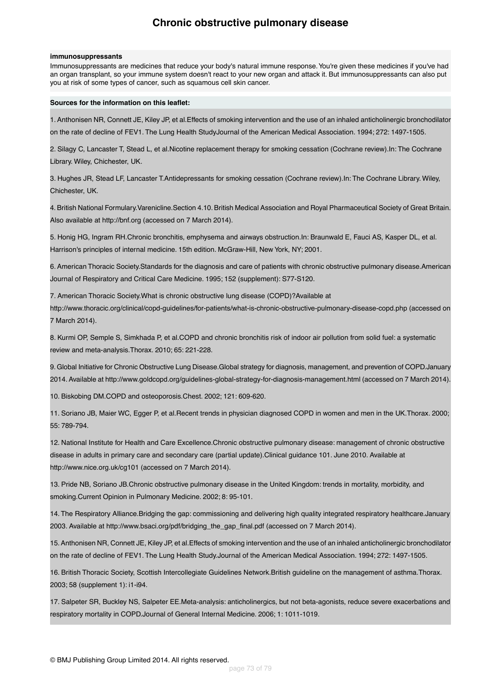#### **immunosuppressants**

Immunosuppressants are medicines that reduce your body's natural immune response. You're given these medicines if you've had an organ transplant, so your immune system doesn't react to your new organ and attack it. But immunosuppressants can also put you at risk of some types of cancer, such as squamous cell skin cancer.

#### **Sources for the information on this leaflet:**

1. Anthonisen NR, Connett JE, Kiley JP, et al.Effects of smoking intervention and the use of an inhaled anticholinergic bronchodilator on the rate of decline of FEV1. The Lung Health StudyJournal of the American Medical Association. 1994; 272: 1497-1505.

2. Silagy C, Lancaster T, Stead L, et al.Nicotine replacement therapy for smoking cessation (Cochrane review).In: The Cochrane Library. Wiley, Chichester, UK.

3. Hughes JR, Stead LF, Lancaster T.Antidepressants for smoking cessation (Cochrane review).In: The Cochrane Library. Wiley, Chichester, UK.

4. British National Formulary.Varenicline.Section 4.10. British Medical Association and Royal Pharmaceutical Society of Great Britain. Also available at http://bnf.org (accessed on 7 March 2014).

5. Honig HG, Ingram RH.Chronic bronchitis, emphysema and airways obstruction.In: Braunwald E, Fauci AS, Kasper DL, et al. Harrison's principles of internal medicine. 15th edition. McGraw-Hill, New York, NY; 2001.

6. American Thoracic Society.Standards for the diagnosis and care of patients with chronic obstructive pulmonary disease.American Journal of Respiratory and Critical Care Medicine. 1995; 152 (supplement): S77-S120.

7. American Thoracic Society.What is chronic obstructive lung disease (COPD)?Available at

http://www.thoracic.org/clinical/copd-guidelines/for-patients/what-is-chronic-obstructive-pulmonary-disease-copd.php (accessed on 7 March 2014).

8. Kurmi OP, Semple S, Simkhada P, et al.COPD and chronic bronchitis risk of indoor air pollution from solid fuel: a systematic review and meta-analysis.Thorax. 2010; 65: 221-228.

9. Global Initiative for Chronic Obstructive Lung Disease.Global strategy for diagnosis, management, and prevention of COPD.January 2014. Available at http://www.goldcopd.org/guidelines-global-strategy-for-diagnosis-management.html (accessed on 7 March 2014).

10. Biskobing DM.COPD and osteoporosis.Chest. 2002; 121: 609-620.

11. Soriano JB, Maier WC, Egger P, et al.Recent trends in physician diagnosed COPD in women and men in the UK.Thorax. 2000; 55: 789-794.

12. National Institute for Health and Care Excellence.Chronic obstructive pulmonary disease: management of chronic obstructive disease in adults in primary care and secondary care (partial update).Clinical guidance 101. June 2010. Available at http://www.nice.org.uk/cg101 (accessed on 7 March 2014).

13. Pride NB, Soriano JB.Chronic obstructive pulmonary disease in the United Kingdom: trends in mortality, morbidity, and smoking.Current Opinion in Pulmonary Medicine. 2002; 8: 95-101.

14. The Respiratory Alliance.Bridging the gap: commissioning and delivering high quality integrated respiratory healthcare.January 2003. Available at http://www.bsaci.org/pdf/bridging\_the\_gap\_final.pdf (accessed on 7 March 2014).

15. Anthonisen NR, Connett JE, Kiley JP, et al.Effects of smoking intervention and the use of an inhaled anticholinergic bronchodilator on the rate of decline of FEV1. The Lung Health Study.Journal of the American Medical Association. 1994; 272: 1497-1505.

16. British Thoracic Society, Scottish Intercollegiate Guidelines Network.British guideline on the management of asthma.Thorax. 2003; 58 (supplement 1): i1-i94.

17. Salpeter SR, Buckley NS, Salpeter EE.Meta-analysis: anticholinergics, but not beta-agonists, reduce severe exacerbations and respiratory mortality in COPD.Journal of General Internal Medicine. 2006; 1: 1011-1019.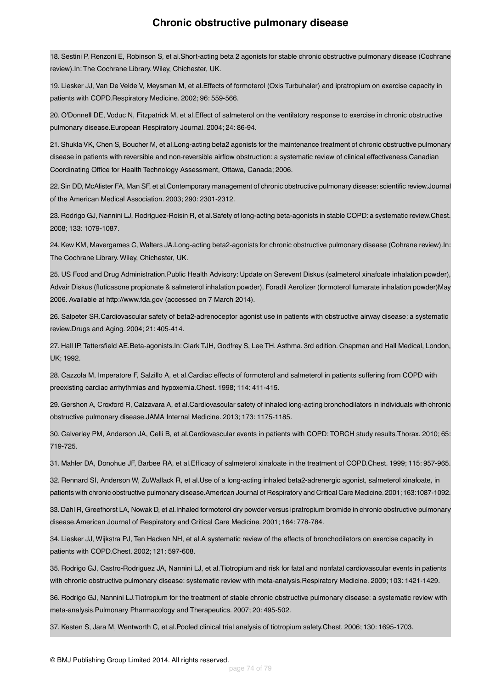18. Sestini P, Renzoni E, Robinson S, et al.Short-acting beta 2 agonists for stable chronic obstructive pulmonary disease (Cochrane review).In: The Cochrane Library. Wiley, Chichester, UK.

19. Liesker JJ, Van De Velde V, Meysman M, et al.Effects of formoterol (Oxis Turbuhaler) and ipratropium on exercise capacity in patients with COPD.Respiratory Medicine. 2002; 96: 559-566.

20. O'Donnell DE, Voduc N, Fitzpatrick M, et al.Effect of salmeterol on the ventilatory response to exercise in chronic obstructive pulmonary disease.European Respiratory Journal. 2004; 24: 86-94.

21. Shukla VK, Chen S, Boucher M, et al.Long-acting beta2 agonists for the maintenance treatment of chronic obstructive pulmonary disease in patients with reversible and non-reversible airflow obstruction: a systematic review of clinical effectiveness.Canadian Coordinating Office for Health Technology Assessment, Ottawa, Canada; 2006.

22. Sin DD, McAlister FA, Man SF, et al.Contemporary management of chronic obstructive pulmonary disease: scientific review.Journal of the American Medical Association. 2003; 290: 2301-2312.

23. Rodrigo GJ, Nannini LJ, Rodriguez-Roisin R, et al.Safety of long-acting beta-agonists in stable COPD: a systematic review.Chest. 2008; 133: 1079-1087.

24. Kew KM, Mavergames C, Walters JA.Long-acting beta2-agonists for chronic obstructive pulmonary disease (Cohrane review).In: The Cochrane Library. Wiley, Chichester, UK.

25. US Food and Drug Administration.Public Health Advisory: Update on Serevent Diskus (salmeterol xinafoate inhalation powder), Advair Diskus (fluticasone propionate & salmeterol inhalation powder), Foradil Aerolizer (formoterol fumarate inhalation powder)May 2006. Available at http://www.fda.gov (accessed on 7 March 2014).

26. Salpeter SR.Cardiovascular safety of beta2-adrenoceptor agonist use in patients with obstructive airway disease: a systematic review.Drugs and Aging. 2004; 21: 405-414.

27. Hall IP, Tattersfield AE.Beta-agonists.In: Clark TJH, Godfrey S, Lee TH. Asthma. 3rd edition. Chapman and Hall Medical, London, UK; 1992.

28. Cazzola M, Imperatore F, Salzillo A, et al.Cardiac effects of formoterol and salmeterol in patients suffering from COPD with preexisting cardiac arrhythmias and hypoxemia.Chest. 1998; 114: 411-415.

29. Gershon A, Croxford R, Calzavara A, et al.Cardiovascular safety of inhaled long-acting bronchodilators in individuals with chronic obstructive pulmonary disease.JAMA Internal Medicine. 2013; 173: 1175-1185.

30. Calverley PM, Anderson JA, Celli B, et al.Cardiovascular events in patients with COPD: TORCH study results.Thorax. 2010; 65: 719-725.

31. Mahler DA, Donohue JF, Barbee RA, et al.Efficacy of salmeterol xinafoate in the treatment of COPD.Chest. 1999; 115: 957-965.

32. Rennard SI, Anderson W, ZuWallack R, et al.Use of a long-acting inhaled beta2-adrenergic agonist, salmeterol xinafoate, in patients with chronic obstructive pulmonary disease.American Journal of Respiratory and Critical Care Medicine. 2001; 163:1087-1092.

33. Dahl R, Greefhorst LA, Nowak D, et al.Inhaled formoterol dry powder versus ipratropium bromide in chronic obstructive pulmonary disease.American Journal of Respiratory and Critical Care Medicine. 2001; 164: 778-784.

34. Liesker JJ, Wijkstra PJ, Ten Hacken NH, et al.A systematic review of the effects of bronchodilators on exercise capacity in patients with COPD.Chest. 2002; 121: 597-608.

35. Rodrigo GJ, Castro-Rodriguez JA, Nannini LJ, et al.Tiotropium and risk for fatal and nonfatal cardiovascular events in patients with chronic obstructive pulmonary disease: systematic review with meta-analysis.Respiratory Medicine. 2009; 103: 1421-1429.

36. Rodrigo GJ, Nannini LJ.Tiotropium for the treatment of stable chronic obstructive pulmonary disease: a systematic review with meta-analysis.Pulmonary Pharmacology and Therapeutics. 2007; 20: 495-502.

37. Kesten S, Jara M, Wentworth C, et al.Pooled clinical trial analysis of tiotropium safety.Chest. 2006; 130: 1695-1703.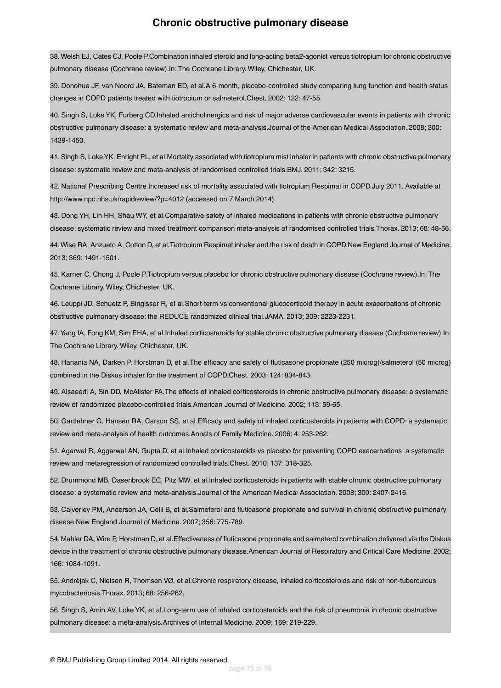38.Welsh EJ, Cates CJ, Poole P.Combination inhaled steroid and long-acting beta2-agonist versus tiotropium for chronic obstructive pulmonary disease (Cochrane review).In: The Cochrane Library. Wiley, Chichester, UK.

39. Donohue JF, van Noord JA, Bateman ED, et al.A 6-month, placebo-controlled study comparing lung function and health status changes in COPD patients treated with tiotropium or salmeterol.Chest. 2002; 122: 47-55.

40. Singh S, Loke YK, Furberg CD.Inhaled anticholinergics and risk of major adverse cardiovascular events in patients with chronic obstructive pulmonary disease: a systematic review and meta-analysis.Journal of the American Medical Association. 2008; 300: 1439-1450.

41. Singh S, Loke YK, Enright PL, et al.Mortality associated with tiotropium mist inhaler in patients with chronic obstructive pulmonary disease: systematic review and meta-analysis of randomised controlled trials.BMJ. 2011; 342: 3215.

42. National Prescribing Centre.Increased risk of mortality associated with tiotropium Respimat in COPD.July 2011. Available at http://www.npc.nhs.uk/rapidreview/?p=4012 (accessed on 7 March 2014).

43. Dong YH, Lin HH, Shau WY, et al.Comparative safety of inhaled medications in patients with chronic obstructive pulmonary disease: systematic review and mixed treatment comparison meta-analysis of randomised controlled trials.Thorax. 2013; 68: 48-56.

44.Wise RA, Anzueto A, Cotton D, et al.Tiotropium Respimat inhaler and the risk of death in COPD.New England Journal of Medicine. 2013; 369: 1491-1501.

45. Karner C, Chong J, Poole P.Tiotropium versus placebo for chronic obstructive pulmonary disease (Cochrane review).In: The Cochrane Library. Wiley, Chichester, UK.

46. Leuppi JD, Schuetz P, Bingisser R, et al.Short-term vs conventional glucocorticoid therapy in acute exacerbations of chronic obstructive pulmonary disease: the REDUCE randomized clinical trial.JAMA. 2013; 309: 2223-2231.

47.Yang IA, Fong KM, Sim EHA, et al.Inhaled corticosteroids for stable chronic obstructive pulmonary disease (Cochrane review).In: The Cochrane Library. Wiley, Chichester, UK.

48. Hanania NA, Darken P, Horstman D, et al.The efficacy and safety of fluticasone propionate (250 microg)/salmeterol (50 microg) combined in the Diskus inhaler for the treatment of COPD.Chest. 2003; 124: 834-843.

49. Alsaeedi A, Sin DD, McAlister FA.The effects of inhaled corticosteroids in chronic obstructive pulmonary disease: a systematic review of randomized placebo-controlled trials.American Journal of Medicine. 2002; 113: 59-65.

50. Gartlehner G, Hansen RA, Carson SS, et al.Efficacy and safety of inhaled corticosteroids in patients with COPD: a systematic review and meta-analysis of health outcomes.Annals of Family Medicine. 2006; 4: 253-262.

51. Agarwal R, Aggarwal AN, Gupta D, et al.Inhaled corticosteroids vs placebo for preventing COPD exacerbations: a systematic review and metaregression of randomized controlled trials.Chest. 2010; 137: 318-325.

52. Drummond MB, Dasenbrook EC, Pitz MW, et al.Inhaled corticosteroids in patients with stable chronic obstructive pulmonary disease: a systematic review and meta-analysis.Journal of the American Medical Association. 2008; 300: 2407-2416.

53. Calverley PM, Anderson JA, Celli B, et al.Salmeterol and fluticasone propionate and survival in chronic obstructive pulmonary disease.New England Journal of Medicine. 2007; 356: 775-789.

54. Mahler DA, Wire P, Horstman D, et al.Effectiveness of fluticasone propionate and salmeterol combination delivered via the Diskus device in the treatment of chronic obstructive pulmonary disease.American Journal of Respiratory and Critical Care Medicine. 2002; 166: 1084-1091.

55. Andréjak C, Nielsen R, Thomsen VØ, et al.Chronic respiratory disease, inhaled corticosteroids and risk of non-tuberculous mycobacteriosis.Thorax. 2013; 68: 256-262.

56. Singh S, Amin AV, Loke YK, et al.Long-term use of inhaled corticosteroids and the risk of pneumonia in chronic obstructive pulmonary disease: a meta-analysis.Archives of Internal Medicine. 2009; 169: 219-229.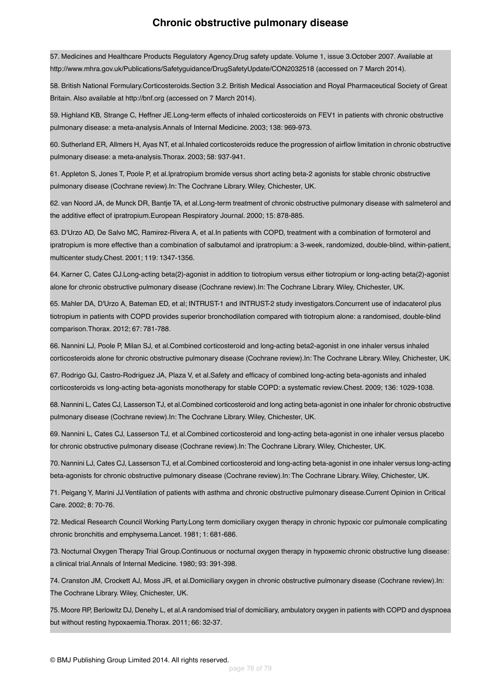57. Medicines and Healthcare Products Regulatory Agency.Drug safety update. Volume 1, issue 3.October 2007. Available at http://www.mhra.gov.uk/Publications/Safetyguidance/DrugSafetyUpdate/CON2032518 (accessed on 7 March 2014).

58. British National Formulary.Corticosteroids.Section 3.2. British Medical Association and Royal Pharmaceutical Society of Great Britain. Also available at http://bnf.org (accessed on 7 March 2014).

59. Highland KB, Strange C, Heffner JE.Long-term effects of inhaled corticosteroids on FEV1 in patients with chronic obstructive pulmonary disease: a meta-analysis.Annals of Internal Medicine. 2003; 138: 969-973.

60. Sutherland ER, Allmers H, Ayas NT, et al.Inhaled corticosteroids reduce the progression of airflow limitation in chronic obstructive pulmonary disease: a meta-analysis.Thorax. 2003; 58: 937-941.

61. Appleton S, Jones T, Poole P, et al.Ipratropium bromide versus short acting beta-2 agonists for stable chronic obstructive pulmonary disease (Cochrane review).In: The Cochrane Library. Wiley, Chichester, UK.

62. van Noord JA, de Munck DR, Bantje TA, et al.Long-term treatment of chronic obstructive pulmonary disease with salmeterol and the additive effect of ipratropium.European Respiratory Journal. 2000; 15: 878-885.

63. D'Urzo AD, De Salvo MC, Ramirez-Rivera A, et al.In patients with COPD, treatment with a combination of formoterol and ipratropium is more effective than a combination of salbutamol and ipratropium: a 3-week, randomized, double-blind, within-patient, multicenter study.Chest. 2001; 119: 1347-1356.

64. Karner C, Cates CJ.Long-acting beta(2)-agonist in addition to tiotropium versus either tiotropium or long-acting beta(2)-agonist alone for chronic obstructive pulmonary disease (Cochrane review).In: The Cochrane Library. Wiley, Chichester, UK.

65. Mahler DA, D'Urzo A, Bateman ED, et al; INTRUST-1 and INTRUST-2 study investigators.Concurrent use of indacaterol plus tiotropium in patients with COPD provides superior bronchodilation compared with tiotropium alone: a randomised, double-blind comparison.Thorax. 2012; 67: 781-788.

66. Nannini LJ, Poole P, Milan SJ, et al.Combined corticosteroid and long-acting beta2-agonist in one inhaler versus inhaled corticosteroids alone for chronic obstructive pulmonary disease (Cochrane review).In: The Cochrane Library. Wiley, Chichester, UK.

67. Rodrigo GJ, Castro-Rodriguez JA, Plaza V, et al.Safety and efficacy of combined long-acting beta-agonists and inhaled corticosteroids vs long-acting beta-agonists monotherapy for stable COPD: a systematic review.Chest. 2009; 136: 1029-1038.

68. Nannini L, Cates CJ, Lasserson TJ, et al.Combined corticosteroid and long acting beta-agonist in one inhaler for chronic obstructive pulmonary disease (Cochrane review).In: The Cochrane Library. Wiley, Chichester, UK.

69. Nannini L, Cates CJ, Lasserson TJ, et al.Combined corticosteroid and long-acting beta-agonist in one inhaler versus placebo for chronic obstructive pulmonary disease (Cochrane review).In: The Cochrane Library. Wiley, Chichester, UK.

70. Nannini LJ, Cates CJ, Lasserson TJ, et al.Combined corticosteroid and long-acting beta-agonist in one inhaler versus long-acting beta-agonists for chronic obstructive pulmonary disease (Cochrane review).In: The Cochrane Library. Wiley, Chichester, UK.

71. Peigang Y, Marini JJ.Ventilation of patients with asthma and chronic obstructive pulmonary disease.Current Opinion in Critical Care. 2002; 8: 70-76.

72. Medical Research Council Working Party.Long term domiciliary oxygen therapy in chronic hypoxic cor pulmonale complicating chronic bronchitis and emphysema.Lancet. 1981; 1: 681-686.

73. Nocturnal Oxygen Therapy Trial Group.Continuous or nocturnal oxygen therapy in hypoxemic chronic obstructive lung disease: a clinical trial.Annals of Internal Medicine. 1980; 93: 391-398.

74. Cranston JM, Crockett AJ, Moss JR, et al.Domiciliary oxygen in chronic obstructive pulmonary disease (Cochrane review).In: The Cochrane Library. Wiley, Chichester, UK.

75. Moore RP, Berlowitz DJ, Denehy L, et al.A randomised trial of domiciliary, ambulatory oxygen in patients with COPD and dyspnoea but without resting hypoxaemia.Thorax. 2011; 66: 32-37.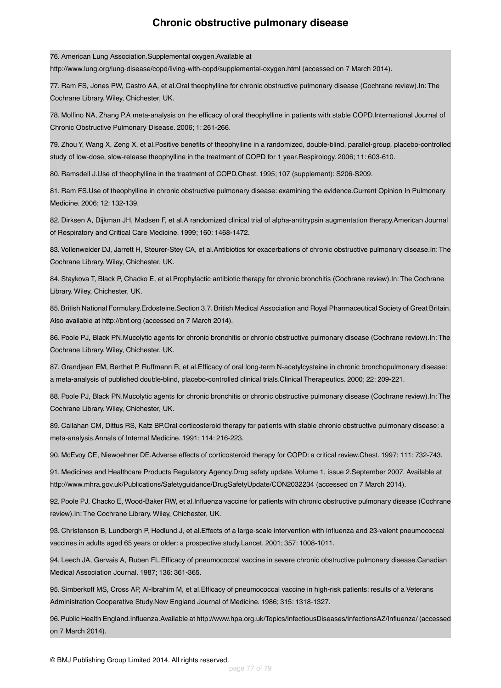76. American Lung Association.Supplemental oxygen.Available at

http://www.lung.org/lung-disease/copd/living-with-copd/supplemental-oxygen.html (accessed on 7 March 2014).

77. Ram FS, Jones PW, Castro AA, et al.Oral theophylline for chronic obstructive pulmonary disease (Cochrane review).In: The Cochrane Library. Wiley, Chichester, UK.

78. Molfino NA, Zhang P.A meta-analysis on the efficacy of oral theophylline in patients with stable COPD.International Journal of Chronic Obstructive Pulmonary Disease. 2006; 1: 261-266.

79. Zhou Y, Wang X, Zeng X, et al.Positive benefits of theophylline in a randomized, double-blind, parallel-group, placebo-controlled study of low-dose, slow-release theophylline in the treatment of COPD for 1 year.Respirology. 2006; 11: 603-610.

80. Ramsdell J.Use of theophylline in the treatment of COPD.Chest. 1995; 107 (supplement): S206-S209.

81. Ram FS.Use of theophylline in chronic obstructive pulmonary disease: examining the evidence.Current Opinion In Pulmonary Medicine. 2006; 12: 132-139.

82. Dirksen A, Dijkman JH, Madsen F, et al.A randomized clinical trial of alpha-antitrypsin augmentation therapy.American Journal of Respiratory and Critical Care Medicine. 1999; 160: 1468-1472.

83.Vollenweider DJ, Jarrett H, Steurer-Stey CA, et al.Antibiotics for exacerbations of chronic obstructive pulmonary disease.In: The Cochrane Library. Wiley, Chichester, UK.

84. Staykova T, Black P, Chacko E, et al.Prophylactic antibiotic therapy for chronic bronchitis (Cochrane review).In: The Cochrane Library. Wiley, Chichester, UK.

85. British National Formulary.Erdosteine.Section 3.7. British Medical Association and Royal Pharmaceutical Society of Great Britain. Also available at http://bnf.org (accessed on 7 March 2014).

86. Poole PJ, Black PN.Mucolytic agents for chronic bronchitis or chronic obstructive pulmonary disease (Cochrane review).In: The Cochrane Library. Wiley, Chichester, UK.

87. Grandjean EM, Berthet P, Ruffmann R, et al.Efficacy of oral long-term N-acetylcysteine in chronic bronchopulmonary disease: a meta-analysis of published double-blind, placebo-controlled clinical trials.Clinical Therapeutics. 2000; 22: 209-221.

88. Poole PJ, Black PN.Mucolytic agents for chronic bronchitis or chronic obstructive pulmonary disease (Cochrane review).In: The Cochrane Library. Wiley, Chichester, UK.

89. Callahan CM, Dittus RS, Katz BP.Oral corticosteroid therapy for patients with stable chronic obstructive pulmonary disease: a meta-analysis.Annals of Internal Medicine. 1991; 114: 216-223.

90. McEvoy CE, Niewoehner DE.Adverse effects of corticosteroid therapy for COPD: a critical review.Chest. 1997; 111: 732-743.

91. Medicines and Healthcare Products Regulatory Agency.Drug safety update. Volume 1, issue 2.September 2007. Available at http://www.mhra.gov.uk/Publications/Safetyguidance/DrugSafetyUpdate/CON2032234 (accessed on 7 March 2014).

92. Poole PJ, Chacko E, Wood-Baker RW, et al.Influenza vaccine for patients with chronic obstructive pulmonary disease (Cochrane review).In: The Cochrane Library. Wiley, Chichester, UK.

93. Christenson B, Lundbergh P, Hedlund J, et al.Effects of a large-scale intervention with influenza and 23-valent pneumococcal vaccines in adults aged 65 years or older: a prospective study.Lancet. 2001; 357: 1008-1011.

94. Leech JA, Gervais A, Ruben FL.Efficacy of pneumococcal vaccine in severe chronic obstructive pulmonary disease.Canadian Medical Association Journal. 1987; 136: 361-365.

95. Simberkoff MS, Cross AP, Al-Ibrahim M, et al.Efficacy of pneumococcal vaccine in high-risk patients: results of a Veterans Administration Cooperative Study.New England Journal of Medicine. 1986; 315: 1318-1327.

96. Public Health England.Influenza.Available at http://www.hpa.org.uk/Topics/InfectiousDiseases/InfectionsAZ/Influenza/ (accessed on 7 March 2014).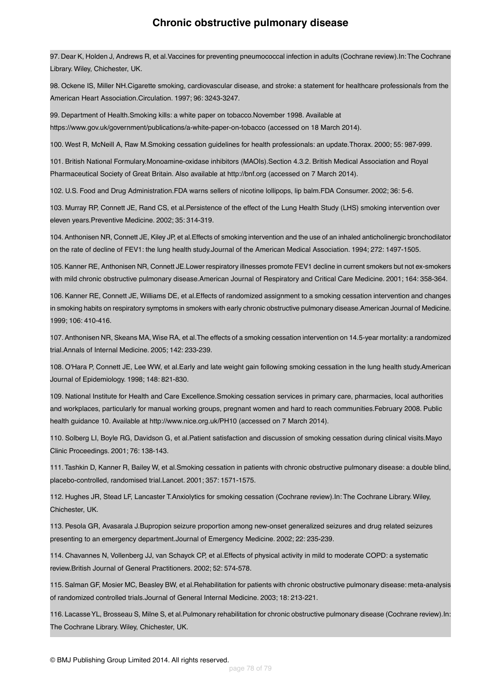97. Dear K, Holden J, Andrews R, et al.Vaccines for preventing pneumococcal infection in adults (Cochrane review).In:The Cochrane Library. Wiley, Chichester, UK.

98. Ockene IS, Miller NH.Cigarette smoking, cardiovascular disease, and stroke: a statement for healthcare professionals from the American Heart Association.Circulation. 1997; 96: 3243-3247.

99. Department of Health.Smoking kills: a white paper on tobacco.November 1998. Available at https://www.gov.uk/government/publications/a-white-paper-on-tobacco (accessed on 18 March 2014).

100. West R, McNeill A, Raw M.Smoking cessation guidelines for health professionals: an update.Thorax. 2000; 55: 987-999.

101. British National Formulary.Monoamine-oxidase inhibitors (MAOIs).Section 4.3.2. British Medical Association and Royal Pharmaceutical Society of Great Britain. Also available at http://bnf.org (accessed on 7 March 2014).

102. U.S. Food and Drug Administration.FDA warns sellers of nicotine lollipops, lip balm.FDA Consumer. 2002; 36: 5-6.

103. Murray RP, Connett JE, Rand CS, et al.Persistence of the effect of the Lung Health Study (LHS) smoking intervention over eleven years.Preventive Medicine. 2002; 35: 314-319.

104. Anthonisen NR, Connett JE, Kiley JP, et al.Effects of smoking intervention and the use of an inhaled anticholinergic bronchodilator on the rate of decline of FEV1: the lung health study.Journal of the American Medical Association. 1994; 272: 1497-1505.

105. Kanner RE, Anthonisen NR, Connett JE.Lower respiratory illnesses promote FEV1 decline in current smokers but not ex-smokers with mild chronic obstructive pulmonary disease.American Journal of Respiratory and Critical Care Medicine. 2001; 164: 358-364.

106. Kanner RE, Connett JE, Williams DE, et al.Effects of randomized assignment to a smoking cessation intervention and changes in smoking habits on respiratory symptoms in smokers with early chronic obstructive pulmonary disease.American Journal of Medicine. 1999; 106: 410-416.

107. Anthonisen NR, Skeans MA, Wise RA, et al.The effects of a smoking cessation intervention on 14.5-year mortality: a randomized trial.Annals of Internal Medicine. 2005; 142: 233-239.

108. O'Hara P, Connett JE, Lee WW, et al.Early and late weight gain following smoking cessation in the lung health study.American Journal of Epidemiology. 1998; 148: 821-830.

109. National Institute for Health and Care Excellence.Smoking cessation services in primary care, pharmacies, local authorities and workplaces, particularly for manual working groups, pregnant women and hard to reach communities.February 2008. Public health guidance 10. Available at http://www.nice.org.uk/PH10 (accessed on 7 March 2014).

110. Solberg LI, Boyle RG, Davidson G, et al.Patient satisfaction and discussion of smoking cessation during clinical visits.Mayo Clinic Proceedings. 2001; 76: 138-143.

111. Tashkin D, Kanner R, Bailey W, et al.Smoking cessation in patients with chronic obstructive pulmonary disease: a double blind, placebo-controlled, randomised trial.Lancet. 2001; 357: 1571-1575.

112. Hughes JR, Stead LF, Lancaster T.Anxiolytics for smoking cessation (Cochrane review).In: The Cochrane Library. Wiley, Chichester, UK.

113. Pesola GR, Avasarala J.Bupropion seizure proportion among new-onset generalized seizures and drug related seizures presenting to an emergency department.Journal of Emergency Medicine. 2002; 22: 235-239.

114. Chavannes N, Vollenberg JJ, van Schayck CP, et al.Effects of physical activity in mild to moderate COPD: a systematic review.British Journal of General Practitioners. 2002; 52: 574-578.

115. Salman GF, Mosier MC, Beasley BW, et al.Rehabilitation for patients with chronic obstructive pulmonary disease: meta-analysis of randomized controlled trials.Journal of General Internal Medicine. 2003; 18: 213-221.

116. Lacasse YL, Brosseau S, Milne S, et al.Pulmonary rehabilitation for chronic obstructive pulmonary disease (Cochrane review).In: The Cochrane Library. Wiley, Chichester, UK.